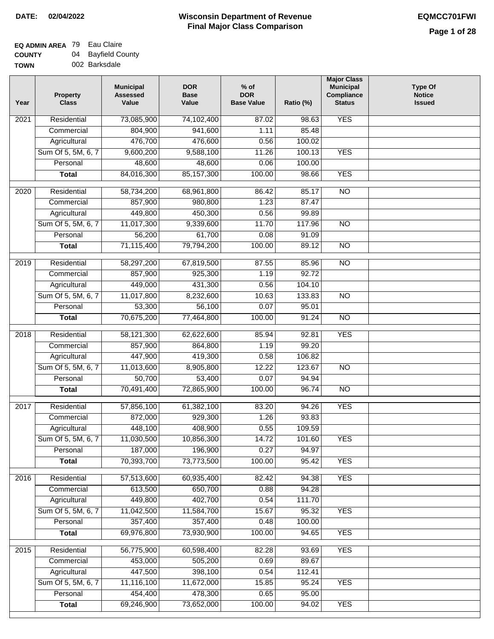#### **EQ ADMIN AREA** 79 Eau Claire **COUNTY** 04 Bayfield County

**TOWN** 002 Barksdale

| Year              | <b>Property</b><br><b>Class</b> | <b>Municipal</b><br><b>Assessed</b><br>Value | <b>DOR</b><br><b>Base</b><br>Value | $%$ of<br><b>DOR</b><br><b>Base Value</b> | Ratio (%) | <b>Major Class</b><br><b>Municipal</b><br>Compliance<br><b>Status</b> | <b>Type Of</b><br><b>Notice</b><br><b>Issued</b> |
|-------------------|---------------------------------|----------------------------------------------|------------------------------------|-------------------------------------------|-----------|-----------------------------------------------------------------------|--------------------------------------------------|
| 2021              | Residential                     | 73,085,900                                   | 74,102,400                         | 87.02                                     | 98.63     | <b>YES</b>                                                            |                                                  |
|                   | Commercial                      | 804,900                                      | 941,600                            | 1.11                                      | 85.48     |                                                                       |                                                  |
|                   | Agricultural                    | 476,700                                      | 476,600                            | 0.56                                      | 100.02    |                                                                       |                                                  |
|                   | Sum Of 5, 5M, 6, 7              | 9,600,200                                    | 9,588,100                          | 11.26                                     | 100.13    | <b>YES</b>                                                            |                                                  |
|                   | Personal                        | 48,600                                       | 48,600                             | 0.06                                      | 100.00    |                                                                       |                                                  |
|                   | <b>Total</b>                    | 84,016,300                                   | 85, 157, 300                       | 100.00                                    | 98.66     | <b>YES</b>                                                            |                                                  |
| $\overline{2020}$ | Residential                     | 58,734,200                                   | 68,961,800                         | 86.42                                     | 85.17     | $\overline{NO}$                                                       |                                                  |
|                   | Commercial                      | 857,900                                      | 980,800                            | 1.23                                      | 87.47     |                                                                       |                                                  |
|                   | Agricultural                    | 449,800                                      | 450,300                            | 0.56                                      | 99.89     |                                                                       |                                                  |
|                   | Sum Of 5, 5M, 6, 7              | 11,017,300                                   | 9,339,600                          | 11.70                                     | 117.96    | <b>NO</b>                                                             |                                                  |
|                   | Personal                        | 56,200                                       | 61,700                             | 0.08                                      | 91.09     |                                                                       |                                                  |
|                   | <b>Total</b>                    | 71,115,400                                   | 79,794,200                         | 100.00                                    | 89.12     | <b>NO</b>                                                             |                                                  |
|                   |                                 |                                              |                                    |                                           |           |                                                                       |                                                  |
| $\frac{1}{2019}$  | Residential                     | 58,297,200                                   | 67,819,500                         | 87.55                                     | 85.96     | $\overline{NO}$                                                       |                                                  |
|                   | Commercial                      | 857,900                                      | 925,300                            | 1.19                                      | 92.72     |                                                                       |                                                  |
|                   | Agricultural                    | 449,000                                      | 431,300                            | 0.56                                      | 104.10    |                                                                       |                                                  |
|                   | Sum Of 5, 5M, 6, 7              | 11,017,800                                   | 8,232,600                          | 10.63                                     | 133.83    | $\overline{NO}$                                                       |                                                  |
|                   | Personal                        | 53,300                                       | 56,100                             | 0.07                                      | 95.01     |                                                                       |                                                  |
|                   | <b>Total</b>                    | 70,675,200                                   | 77,464,800                         | 100.00                                    | 91.24     | $\overline{NO}$                                                       |                                                  |
| 2018              | Residential                     | 58,121,300                                   | 62,622,600                         | 85.94                                     | 92.81     | <b>YES</b>                                                            |                                                  |
|                   | Commercial                      | 857,900                                      | 864,800                            | 1.19                                      | 99.20     |                                                                       |                                                  |
|                   | Agricultural                    | 447,900                                      | 419,300                            | 0.58                                      | 106.82    |                                                                       |                                                  |
|                   | Sum Of 5, 5M, 6, 7              | 11,013,600                                   | 8,905,800                          | 12.22                                     | 123.67    | $\overline{NO}$                                                       |                                                  |
|                   | Personal                        | 50,700                                       | 53,400                             | 0.07                                      | 94.94     |                                                                       |                                                  |
|                   | <b>Total</b>                    | 70,491,400                                   | 72,865,900                         | 100.00                                    | 96.74     | $\overline{NO}$                                                       |                                                  |
| 2017              | Residential                     | 57,856,100                                   | 61,382,100                         | 83.20                                     | 94.26     | <b>YES</b>                                                            |                                                  |
|                   | Commercial                      | 872,000                                      | 929,300                            | 1.26                                      | 93.83     |                                                                       |                                                  |
|                   | Agricultural                    | 448,100                                      | 408,900                            | 0.55                                      | 109.59    |                                                                       |                                                  |
|                   | Sum Of 5, 5M, 6, 7              | 11,030,500                                   | 10,856,300                         | 14.72                                     | 101.60    | <b>YES</b>                                                            |                                                  |
|                   | Personal                        | 187,000                                      | 196,900                            | 0.27                                      | 94.97     |                                                                       |                                                  |
|                   | <b>Total</b>                    | 70,393,700                                   | 73,773,500                         | 100.00                                    | 95.42     | <b>YES</b>                                                            |                                                  |
| 2016              | Residential                     | 57,513,600                                   | 60,935,400                         | 82.42                                     | 94.38     | <b>YES</b>                                                            |                                                  |
|                   | Commercial                      | 613,500                                      | 650,700                            | 0.88                                      | 94.28     |                                                                       |                                                  |
|                   | Agricultural                    | 449,800                                      | 402,700                            | 0.54                                      | 111.70    |                                                                       |                                                  |
|                   | Sum Of 5, 5M, 6, 7              | 11,042,500                                   | 11,584,700                         | 15.67                                     | 95.32     | <b>YES</b>                                                            |                                                  |
|                   | Personal                        | 357,400                                      | 357,400                            | 0.48                                      | 100.00    |                                                                       |                                                  |
|                   | <b>Total</b>                    | 69,976,800                                   | 73,930,900                         | 100.00                                    | 94.65     | <b>YES</b>                                                            |                                                  |
|                   |                                 |                                              |                                    |                                           |           |                                                                       |                                                  |
| 2015              | Residential                     | 56,775,900                                   | 60,598,400                         | 82.28                                     | 93.69     | <b>YES</b>                                                            |                                                  |
|                   | Commercial                      | 453,000                                      | 505,200                            | 0.69                                      | 89.67     |                                                                       |                                                  |
|                   | Agricultural                    | 447,500                                      | 398,100                            | 0.54                                      | 112.41    |                                                                       |                                                  |
|                   | Sum Of 5, 5M, 6, 7              | 11,116,100                                   | 11,672,000                         | 15.85                                     | 95.24     | <b>YES</b>                                                            |                                                  |
|                   | Personal                        | 454,400                                      | 478,300                            | 0.65                                      | 95.00     |                                                                       |                                                  |
|                   | <b>Total</b>                    | 69,246,900                                   | 73,652,000                         | 100.00                                    | 94.02     | <b>YES</b>                                                            |                                                  |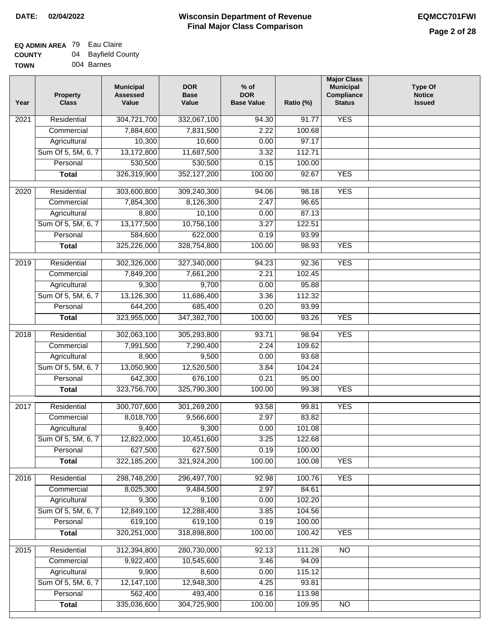| <b>TOWN</b> | 004 Barnes |
|-------------|------------|

| Year             | <b>Property</b><br><b>Class</b> | <b>Municipal</b><br><b>Assessed</b><br>Value | <b>DOR</b><br><b>Base</b><br>Value | $%$ of<br><b>DOR</b><br><b>Base Value</b> | Ratio (%)        | <b>Major Class</b><br><b>Municipal</b><br>Compliance<br><b>Status</b> | <b>Type Of</b><br><b>Notice</b><br><b>Issued</b> |
|------------------|---------------------------------|----------------------------------------------|------------------------------------|-------------------------------------------|------------------|-----------------------------------------------------------------------|--------------------------------------------------|
| 2021             | Residential                     | 304,721,700                                  | 332,067,100                        | 94.30                                     | 91.77            | <b>YES</b>                                                            |                                                  |
|                  | Commercial                      | 7,884,600                                    | 7,831,500                          | 2.22                                      | 100.68           |                                                                       |                                                  |
|                  | Agricultural                    | 10,300                                       | 10,600                             | 0.00                                      | 97.17            |                                                                       |                                                  |
|                  | Sum Of 5, 5M, 6, 7              | 13,172,800                                   | 11,687,500                         | 3.32                                      | 112.71           |                                                                       |                                                  |
|                  | Personal                        | 530,500                                      | 530,500                            | 0.15                                      | 100.00           |                                                                       |                                                  |
|                  | <b>Total</b>                    | 326,319,900                                  | 352,127,200                        | 100.00                                    | 92.67            | <b>YES</b>                                                            |                                                  |
| $\frac{1}{2020}$ | Residential                     | 303,600,800                                  | 309,240,300                        | 94.06                                     | 98.18            | <b>YES</b>                                                            |                                                  |
|                  | Commercial                      | 7,854,300                                    | 8,126,300                          | 2.47                                      | 96.65            |                                                                       |                                                  |
|                  | Agricultural                    | 8,800                                        | 10,100                             | 0.00                                      | 87.13            |                                                                       |                                                  |
|                  | Sum Of 5, 5M, 6, 7              | 13,177,500                                   | 10,756,100                         | 3.27                                      | 122.51           |                                                                       |                                                  |
|                  | Personal                        | 584,600                                      | 622,000                            | 0.19                                      | 93.99            |                                                                       |                                                  |
|                  | <b>Total</b>                    | 325,226,000                                  | 328,754,800                        | 100.00                                    | 98.93            | <b>YES</b>                                                            |                                                  |
| 2019             | Residential                     | 302,326,000                                  | 327,340,000                        | 94.23                                     | 92.36            | <b>YES</b>                                                            |                                                  |
|                  | Commercial                      | 7,849,200                                    | 7,661,200                          | 2.21                                      | 102.45           |                                                                       |                                                  |
|                  | Agricultural                    | 9,300                                        | 9,700                              | 0.00                                      | 95.88            |                                                                       |                                                  |
|                  | Sum Of 5, 5M, 6, 7              | 13,126,300                                   | 11,686,400                         | 3.36                                      | 112.32           |                                                                       |                                                  |
|                  | Personal                        | 644,200                                      | 685,400                            | 0.20                                      | 93.99            |                                                                       |                                                  |
|                  | <b>Total</b>                    | 323,955,000                                  | 347,382,700                        | 100.00                                    | 93.26            | <b>YES</b>                                                            |                                                  |
|                  |                                 |                                              |                                    |                                           |                  |                                                                       |                                                  |
| 2018             | Residential                     | 302,063,100                                  | 305,293,800                        | 93.71                                     | 98.94            | <b>YES</b>                                                            |                                                  |
|                  | Commercial                      | 7,991,500                                    | 7,290,400                          | 2.24                                      | 109.62           |                                                                       |                                                  |
|                  | Agricultural                    | 8,900                                        | 9,500                              | 0.00                                      | 93.68            |                                                                       |                                                  |
|                  | Sum Of 5, 5M, 6, 7              | 13,050,900                                   | 12,520,500                         | 3.84                                      | 104.24           |                                                                       |                                                  |
|                  | Personal                        | 642,300                                      | 676,100                            | 0.21                                      | 95.00            |                                                                       |                                                  |
|                  | <b>Total</b>                    | 323,756,700                                  | 325,790,300                        | 100.00                                    | 99.38            | <b>YES</b>                                                            |                                                  |
| 2017             | Residential                     | 300,707,600                                  | 301,269,200                        | 93.58                                     | 99.81            | <b>YES</b>                                                            |                                                  |
|                  | Commercial                      | 8,018,700                                    | 9,566,600                          | 2.97                                      | 83.82            |                                                                       |                                                  |
|                  | Agricultural                    | 9,400                                        | 9,300                              | 0.00                                      | 101.08           |                                                                       |                                                  |
|                  | Sum Of 5, 5M, 6, 7              | 12,822,000                                   | 10,451,600                         | 3.25                                      | 122.68           |                                                                       |                                                  |
|                  | Personal                        | 627,500                                      | 627,500                            | 0.19                                      | 100.00           |                                                                       |                                                  |
|                  | <b>Total</b>                    | 322, 185, 200                                | 321,924,200                        | 100.00                                    | 100.08           | <b>YES</b>                                                            |                                                  |
| 2016             | Residential                     | 298,748,200                                  | 296,497,700                        | 92.98                                     | 100.76           | <b>YES</b>                                                            |                                                  |
|                  | Commercial                      | 8,025,300                                    | 9,484,500                          | 2.97                                      | 84.61            |                                                                       |                                                  |
|                  | Agricultural                    | 9,300                                        | 9,100                              | 0.00                                      | 102.20           |                                                                       |                                                  |
|                  | Sum Of 5, 5M, 6, 7              | 12,849,100                                   | 12,288,400                         | 3.85                                      | 104.56           |                                                                       |                                                  |
|                  | Personal                        | 619,100                                      | 619,100                            | 0.19                                      | 100.00           |                                                                       |                                                  |
|                  | <b>Total</b>                    | 320,251,000                                  | 318,898,800                        | 100.00                                    | 100.42           | <b>YES</b>                                                            |                                                  |
|                  |                                 |                                              |                                    |                                           |                  |                                                                       |                                                  |
| 2015             | Residential                     | 312,394,800                                  | 280,730,000                        | 92.13                                     | 111.28           | N <sub>O</sub>                                                        |                                                  |
|                  | Commercial                      | 9,922,400                                    | 10,545,600                         | 3.46                                      | 94.09            |                                                                       |                                                  |
|                  | Agricultural                    | 9,900                                        | 8,600                              | 0.00                                      | 115.12           |                                                                       |                                                  |
|                  | Sum Of 5, 5M, 6, 7<br>Personal  | 12,147,100<br>562,400                        | 12,948,300<br>493,400              | 4.25                                      | 93.81            |                                                                       |                                                  |
|                  | <b>Total</b>                    | 335,036,600                                  | 304,725,900                        | 0.16<br>100.00                            | 113.98<br>109.95 | $\overline{NO}$                                                       |                                                  |
|                  |                                 |                                              |                                    |                                           |                  |                                                                       |                                                  |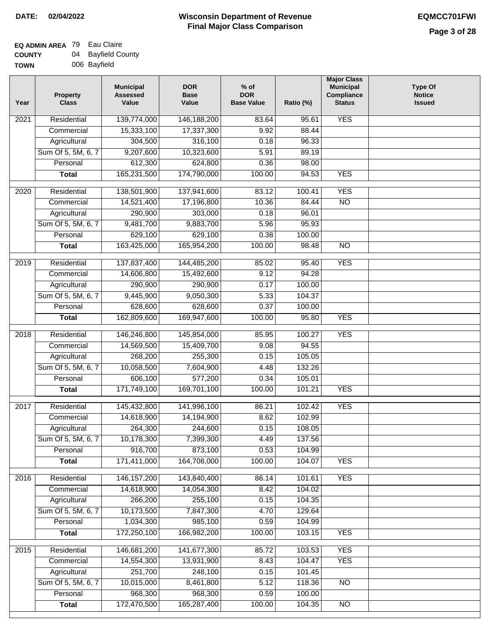| Year              | <b>Property</b><br><b>Class</b> | <b>Municipal</b><br><b>Assessed</b><br>Value | <b>DOR</b><br><b>Base</b><br>Value | $%$ of<br><b>DOR</b><br><b>Base Value</b> | Ratio (%)        | <b>Major Class</b><br><b>Municipal</b><br>Compliance<br><b>Status</b> | <b>Type Of</b><br><b>Notice</b><br><b>Issued</b> |
|-------------------|---------------------------------|----------------------------------------------|------------------------------------|-------------------------------------------|------------------|-----------------------------------------------------------------------|--------------------------------------------------|
| $\overline{202}1$ | Residential                     | 139,774,000                                  | 146,188,200                        | 83.64                                     | 95.61            | <b>YES</b>                                                            |                                                  |
|                   | Commercial                      | 15,333,100                                   | 17,337,300                         | 9.92                                      | 88.44            |                                                                       |                                                  |
|                   | Agricultural                    | 304,500                                      | 316,100                            | 0.18                                      | 96.33            |                                                                       |                                                  |
|                   | Sum Of 5, 5M, 6, 7              | 9,207,600                                    | 10,323,600                         | 5.91                                      | 89.19            |                                                                       |                                                  |
|                   | Personal                        | 612,300                                      | 624,800                            | 0.36                                      | 98.00            |                                                                       |                                                  |
|                   | <b>Total</b>                    | 165,231,500                                  | 174,790,000                        | 100.00                                    | 94.53            | <b>YES</b>                                                            |                                                  |
| $\overline{2020}$ | Residential                     | 138,501,900                                  | 137,941,600                        | 83.12                                     | 100.41           | <b>YES</b>                                                            |                                                  |
|                   | Commercial                      | 14,521,400                                   | 17,196,800                         | 10.36                                     | 84.44            | $\overline{NO}$                                                       |                                                  |
|                   | Agricultural                    | 290,900                                      | 303,000                            | 0.18                                      | 96.01            |                                                                       |                                                  |
|                   | Sum Of 5, 5M, 6, 7              | 9,481,700                                    | 9,883,700                          | 5.96                                      | 95.93            |                                                                       |                                                  |
|                   | Personal                        | 629,100                                      | 629,100                            | 0.38                                      | 100.00           |                                                                       |                                                  |
|                   | <b>Total</b>                    | 163,425,000                                  | 165,954,200                        | 100.00                                    | 98.48            | $\overline{NO}$                                                       |                                                  |
| 2019              | Residential                     | 137,837,400                                  | 144,485,200                        | 85.02                                     | 95.40            | <b>YES</b>                                                            |                                                  |
|                   | Commercial                      | 14,606,800                                   | 15,492,600                         | 9.12                                      | 94.28            |                                                                       |                                                  |
|                   | Agricultural                    | 290,900                                      | 290,900                            | 0.17                                      | 100.00           |                                                                       |                                                  |
|                   | Sum Of 5, 5M, 6, 7              | 9,445,900                                    | 9,050,300                          | 5.33                                      | 104.37           |                                                                       |                                                  |
|                   | Personal                        | 628,600                                      | 628,600                            | 0.37                                      | 100.00           |                                                                       |                                                  |
|                   | <b>Total</b>                    | 162,809,600                                  | 169,947,600                        | 100.00                                    | 95.80            | <b>YES</b>                                                            |                                                  |
|                   |                                 |                                              |                                    |                                           |                  |                                                                       |                                                  |
| 2018              | Residential                     | 146,246,800                                  | 145,854,000                        | 85.95                                     | 100.27           | <b>YES</b>                                                            |                                                  |
|                   | Commercial                      | 14,569,500                                   | 15,409,700                         | 9.08                                      | 94.55            |                                                                       |                                                  |
|                   | Agricultural                    | 268,200                                      | 255,300                            | 0.15                                      | 105.05           |                                                                       |                                                  |
|                   | Sum Of 5, 5M, 6, 7              | 10,058,500                                   | 7,604,900                          | 4.48                                      | 132.26           |                                                                       |                                                  |
|                   | Personal                        | 606,100                                      | 577,200                            | 0.34                                      | 105.01           |                                                                       |                                                  |
|                   | <b>Total</b>                    | 171,749,100                                  | 169,701,100                        | 100.00                                    | 101.21           | <b>YES</b>                                                            |                                                  |
| 2017              | Residential                     | 145,432,800                                  | 141,996,100                        | 86.21                                     | 102.42           | <b>YES</b>                                                            |                                                  |
|                   | Commercial                      | 14,618,900                                   | 14,194,900                         | 8.62                                      | 102.99           |                                                                       |                                                  |
|                   | Agricultural                    | 264,300                                      | 244,600                            | 0.15                                      | 108.05           |                                                                       |                                                  |
|                   | Sum Of 5, 5M, 6, 7              | 10,178,300                                   | 7,399,300                          | 4.49                                      | 137.56           |                                                                       |                                                  |
|                   | Personal                        | 916,700                                      | 873,100                            | 0.53                                      | 104.99           |                                                                       |                                                  |
|                   | <b>Total</b>                    | 171,411,000                                  | 164,708,000                        | 100.00                                    | 104.07           | <b>YES</b>                                                            |                                                  |
| 2016              | Residential                     | 146, 157, 200                                | 143,840,400                        | 86.14                                     | 101.61           | <b>YES</b>                                                            |                                                  |
|                   | Commercial                      | 14,618,900                                   | 14,054,300                         | 8.42                                      | 104.02           |                                                                       |                                                  |
|                   | Agricultural                    | 266,200                                      | 255,100                            | 0.15                                      | 104.35           |                                                                       |                                                  |
|                   | Sum Of 5, 5M, 6, 7              | 10,173,500                                   | 7,847,300                          | 4.70                                      | 129.64           |                                                                       |                                                  |
|                   | Personal                        | 1,034,300                                    | 985,100                            | 0.59                                      | 104.99           |                                                                       |                                                  |
|                   | <b>Total</b>                    | 172,250,100                                  | 166,982,200                        | 100.00                                    | 103.15           | <b>YES</b>                                                            |                                                  |
|                   |                                 |                                              |                                    |                                           |                  |                                                                       |                                                  |
| 2015              | Residential                     | 146,681,200                                  | 141,677,300                        | 85.72                                     | 103.53           | <b>YES</b>                                                            |                                                  |
|                   | Commercial                      | 14,554,300                                   | 13,931,900                         | 8.43                                      | 104.47           | <b>YES</b>                                                            |                                                  |
|                   | Agricultural                    | 251,700                                      | 248,100                            | 0.15                                      | 101.45           |                                                                       |                                                  |
|                   | Sum Of 5, 5M, 6, 7              | 10,015,000                                   | 8,461,800                          | 5.12                                      | 118.36           | <b>NO</b>                                                             |                                                  |
|                   | Personal<br><b>Total</b>        | 968,300<br>172,470,500                       | 968,300<br>165,287,400             | 0.59<br>100.00                            | 100.00<br>104.35 | NO                                                                    |                                                  |
|                   |                                 |                                              |                                    |                                           |                  |                                                                       |                                                  |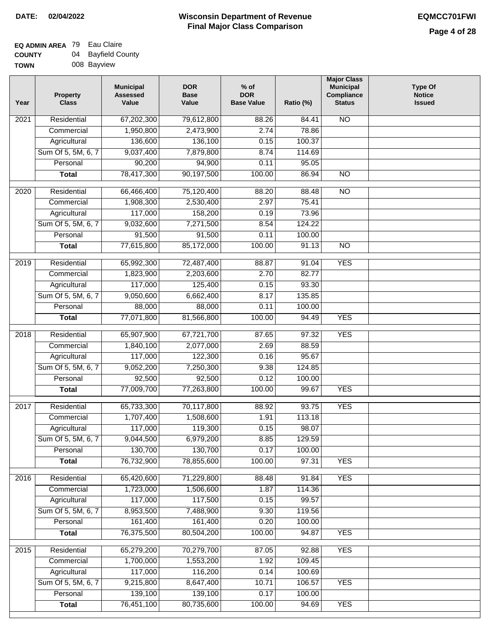# **Wisconsin Department of Revenue Final Major Class Comparison DATE: 02/04/2022 EQMCC701FWI**

| <b>TOWN</b> | 008 Bayview |
|-------------|-------------|

| Year              | <b>Property</b><br><b>Class</b> | <b>Municipal</b><br><b>Assessed</b><br>Value | <b>DOR</b><br><b>Base</b><br>Value | % of<br><b>DOR</b><br><b>Base Value</b> | Ratio (%) | <b>Major Class</b><br><b>Municipal</b><br>Compliance<br><b>Status</b> | <b>Type Of</b><br><b>Notice</b><br><b>Issued</b> |
|-------------------|---------------------------------|----------------------------------------------|------------------------------------|-----------------------------------------|-----------|-----------------------------------------------------------------------|--------------------------------------------------|
| 2021              | Residential                     | 67,202,300                                   | 79,612,800                         | 88.26                                   | 84.41     | N <sub>O</sub>                                                        |                                                  |
|                   | Commercial                      | 1,950,800                                    | 2,473,900                          | 2.74                                    | 78.86     |                                                                       |                                                  |
|                   | Agricultural                    | 136,600                                      | 136,100                            | 0.15                                    | 100.37    |                                                                       |                                                  |
|                   | Sum Of 5, 5M, 6, 7              | 9,037,400                                    | 7,879,800                          | 8.74                                    | 114.69    |                                                                       |                                                  |
|                   | Personal                        | 90,200                                       | 94,900                             | 0.11                                    | 95.05     |                                                                       |                                                  |
|                   | <b>Total</b>                    | 78,417,300                                   | 90,197,500                         | 100.00                                  | 86.94     | $\overline{NO}$                                                       |                                                  |
| $\overline{2020}$ | Residential                     | 66,466,400                                   | 75,120,400                         | 88.20                                   | 88.48     | $\overline{NO}$                                                       |                                                  |
|                   | Commercial                      | 1,908,300                                    | 2,530,400                          | 2.97                                    | 75.41     |                                                                       |                                                  |
|                   | Agricultural                    | 117,000                                      | 158,200                            | 0.19                                    | 73.96     |                                                                       |                                                  |
|                   | Sum Of 5, 5M, 6, 7              | 9,032,600                                    | 7,271,500                          | 8.54                                    | 124.22    |                                                                       |                                                  |
|                   | Personal                        | 91,500                                       | 91,500                             | 0.11                                    | 100.00    |                                                                       |                                                  |
|                   | <b>Total</b>                    | 77,615,800                                   | 85,172,000                         | 100.00                                  | 91.13     | $\overline{NO}$                                                       |                                                  |
|                   |                                 |                                              |                                    |                                         |           |                                                                       |                                                  |
| 2019              | Residential                     | 65,992,300                                   | 72,487,400                         | 88.87                                   | 91.04     | <b>YES</b>                                                            |                                                  |
|                   | Commercial                      | 1,823,900                                    | 2,203,600                          | 2.70                                    | 82.77     |                                                                       |                                                  |
|                   | Agricultural                    | 117,000                                      | 125,400                            | 0.15                                    | 93.30     |                                                                       |                                                  |
|                   | Sum Of 5, 5M, 6, 7              | 9,050,600                                    | 6,662,400                          | 8.17                                    | 135.85    |                                                                       |                                                  |
|                   | Personal                        | 88,000                                       | 88,000                             | 0.11                                    | 100.00    |                                                                       |                                                  |
|                   | <b>Total</b>                    | 77,071,800                                   | 81,566,800                         | 100.00                                  | 94.49     | <b>YES</b>                                                            |                                                  |
| 2018              | Residential                     | 65,907,900                                   | 67,721,700                         | 87.65                                   | 97.32     | <b>YES</b>                                                            |                                                  |
|                   | Commercial                      | 1,840,100                                    | 2,077,000                          | 2.69                                    | 88.59     |                                                                       |                                                  |
|                   | Agricultural                    | 117,000                                      | 122,300                            | 0.16                                    | 95.67     |                                                                       |                                                  |
|                   | Sum Of 5, 5M, 6, 7              | 9,052,200                                    | 7,250,300                          | 9.38                                    | 124.85    |                                                                       |                                                  |
|                   | Personal                        | 92,500                                       | 92,500                             | 0.12                                    | 100.00    |                                                                       |                                                  |
|                   | <b>Total</b>                    | 77,009,700                                   | 77,263,800                         | 100.00                                  | 99.67     | <b>YES</b>                                                            |                                                  |
| 2017              | Residential                     | 65,733,300                                   | 70,117,800                         | 88.92                                   | 93.75     | <b>YES</b>                                                            |                                                  |
|                   | Commercial                      | 1,707,400                                    | 1,508,600                          | 1.91                                    | 113.18    |                                                                       |                                                  |
|                   | Agricultural                    | 117,000                                      | 119,300                            | 0.15                                    | 98.07     |                                                                       |                                                  |
|                   | Sum Of 5, 5M, 6, 7              | 9,044,500                                    | 6,979,200                          | 8.85                                    | 129.59    |                                                                       |                                                  |
|                   | Personal                        | 130,700                                      | 130,700                            | 0.17                                    | 100.00    |                                                                       |                                                  |
|                   | <b>Total</b>                    | 76,732,900                                   | 78,855,600                         | 100.00                                  | 97.31     | <b>YES</b>                                                            |                                                  |
| 2016              | Residential                     | 65,420,600                                   | 71,229,800                         | 88.48                                   | 91.84     | <b>YES</b>                                                            |                                                  |
|                   | Commercial                      | 1,723,000                                    | 1,506,600                          | 1.87                                    | 114.36    |                                                                       |                                                  |
|                   | Agricultural                    | 117,000                                      | 117,500                            | 0.15                                    | 99.57     |                                                                       |                                                  |
|                   | Sum Of 5, 5M, 6, 7              | 8,953,500                                    | 7,488,900                          | 9.30                                    | 119.56    |                                                                       |                                                  |
|                   | Personal                        | 161,400                                      | 161,400                            | 0.20                                    | 100.00    |                                                                       |                                                  |
|                   | <b>Total</b>                    | 76,375,500                                   | 80,504,200                         | 100.00                                  | 94.87     | <b>YES</b>                                                            |                                                  |
| 2015              | Residential                     | 65,279,200                                   | 70,279,700                         | 87.05                                   | 92.88     | <b>YES</b>                                                            |                                                  |
|                   | Commercial                      | 1,700,000                                    | 1,553,200                          | 1.92                                    | 109.45    |                                                                       |                                                  |
|                   | Agricultural                    | 117,000                                      | 116,200                            | 0.14                                    | 100.69    |                                                                       |                                                  |
|                   | Sum Of 5, 5M, 6, 7              | 9,215,800                                    | 8,647,400                          | 10.71                                   | 106.57    | <b>YES</b>                                                            |                                                  |
|                   | Personal                        | 139,100                                      | 139,100                            | 0.17                                    | 100.00    |                                                                       |                                                  |
|                   | <b>Total</b>                    | 76,451,100                                   | 80,735,600                         | 100.00                                  | 94.69     | <b>YES</b>                                                            |                                                  |
|                   |                                 |                                              |                                    |                                         |           |                                                                       |                                                  |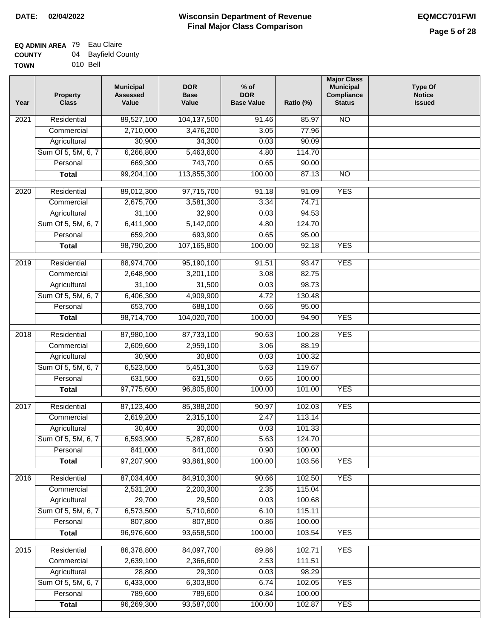| <b>TOWN</b> | 010 Bell |
|-------------|----------|

| Year              | <b>Property</b><br><b>Class</b> | <b>Municipal</b><br><b>Assessed</b><br>Value | <b>DOR</b><br><b>Base</b><br>Value | % of<br><b>DOR</b><br><b>Base Value</b> | Ratio (%) | <b>Major Class</b><br><b>Municipal</b><br>Compliance<br><b>Status</b> | <b>Type Of</b><br><b>Notice</b><br><b>Issued</b> |
|-------------------|---------------------------------|----------------------------------------------|------------------------------------|-----------------------------------------|-----------|-----------------------------------------------------------------------|--------------------------------------------------|
| $\overline{202}1$ | Residential                     | 89,527,100                                   | 104,137,500                        | $\frac{1}{91.46}$                       | 85.97     | <b>NO</b>                                                             |                                                  |
|                   | Commercial                      | 2,710,000                                    | 3,476,200                          | 3.05                                    | 77.96     |                                                                       |                                                  |
|                   | Agricultural                    | 30,900                                       | 34,300                             | 0.03                                    | 90.09     |                                                                       |                                                  |
|                   | Sum Of 5, 5M, 6, 7              | 6,266,800                                    | 5,463,600                          | 4.80                                    | 114.70    |                                                                       |                                                  |
|                   | Personal                        | 669,300                                      | 743,700                            | 0.65                                    | 90.00     |                                                                       |                                                  |
|                   | <b>Total</b>                    | 99,204,100                                   | 113,855,300                        | 100.00                                  | 87.13     | $\overline{NO}$                                                       |                                                  |
| $\overline{2020}$ | Residential                     | 89,012,300                                   | 97,715,700                         | 91.18                                   | 91.09     | <b>YES</b>                                                            |                                                  |
|                   | Commercial                      | 2,675,700                                    | 3,581,300                          | 3.34                                    | 74.71     |                                                                       |                                                  |
|                   | Agricultural                    | 31,100                                       | 32,900                             | 0.03                                    | 94.53     |                                                                       |                                                  |
|                   | Sum Of 5, 5M, 6, 7              | 6,411,900                                    | 5,142,000                          | 4.80                                    | 124.70    |                                                                       |                                                  |
|                   | Personal                        | 659,200                                      | 693,900                            | 0.65                                    | 95.00     |                                                                       |                                                  |
|                   | <b>Total</b>                    | 98,790,200                                   | 107,165,800                        | 100.00                                  | 92.18     | <b>YES</b>                                                            |                                                  |
|                   |                                 |                                              |                                    |                                         |           |                                                                       |                                                  |
| 2019              | Residential                     | 88,974,700                                   | 95,190,100                         | 91.51                                   | 93.47     | <b>YES</b>                                                            |                                                  |
|                   | Commercial                      | 2,648,900                                    | 3,201,100                          | 3.08                                    | 82.75     |                                                                       |                                                  |
|                   | Agricultural                    | 31,100                                       | 31,500                             | 0.03                                    | 98.73     |                                                                       |                                                  |
|                   | Sum Of 5, 5M, 6, 7              | 6,406,300                                    | 4,909,900                          | 4.72                                    | 130.48    |                                                                       |                                                  |
|                   | Personal                        | 653,700                                      | 688,100                            | 0.66                                    | 95.00     |                                                                       |                                                  |
|                   | <b>Total</b>                    | 98,714,700                                   | 104,020,700                        | 100.00                                  | 94.90     | <b>YES</b>                                                            |                                                  |
| 2018              | Residential                     | 87,980,100                                   | 87,733,100                         | 90.63                                   | 100.28    | <b>YES</b>                                                            |                                                  |
|                   | Commercial                      | 2,609,600                                    | 2,959,100                          | 3.06                                    | 88.19     |                                                                       |                                                  |
|                   | Agricultural                    | 30,900                                       | 30,800                             | 0.03                                    | 100.32    |                                                                       |                                                  |
|                   | Sum Of 5, 5M, 6, 7              | 6,523,500                                    | 5,451,300                          | 5.63                                    | 119.67    |                                                                       |                                                  |
|                   | Personal                        | 631,500                                      | 631,500                            | 0.65                                    | 100.00    |                                                                       |                                                  |
|                   | <b>Total</b>                    | 97,775,600                                   | 96,805,800                         | 100.00                                  | 101.00    | <b>YES</b>                                                            |                                                  |
| $\overline{2017}$ | Residential                     | 87,123,400                                   | 85,388,200                         | 90.97                                   | 102.03    | <b>YES</b>                                                            |                                                  |
|                   | Commercial                      | 2,619,200                                    | 2,315,100                          | 2.47                                    | 113.14    |                                                                       |                                                  |
|                   | Agricultural                    | 30,400                                       | 30,000                             | 0.03                                    | 101.33    |                                                                       |                                                  |
|                   | Sum Of 5, 5M, 6, 7              | 6,593,900                                    | 5,287,600                          | 5.63                                    | 124.70    |                                                                       |                                                  |
|                   | Personal                        | 841,000                                      | 841,000                            | 0.90                                    | 100.00    |                                                                       |                                                  |
|                   | <b>Total</b>                    | 97,207,900                                   | 93,861,900                         | 100.00                                  | 103.56    | <b>YES</b>                                                            |                                                  |
| 2016              | Residential                     | 87,034,400                                   | 84,910,300                         | 90.66                                   | 102.50    | <b>YES</b>                                                            |                                                  |
|                   | Commercial                      | 2,531,200                                    | 2,200,300                          | 2.35                                    | 115.04    |                                                                       |                                                  |
|                   | Agricultural                    | 29,700                                       | 29,500                             | 0.03                                    | 100.68    |                                                                       |                                                  |
|                   | Sum Of 5, 5M, 6, 7              | 6,573,500                                    | 5,710,600                          | 6.10                                    | 115.11    |                                                                       |                                                  |
|                   | Personal                        | 807,800                                      | 807,800                            | 0.86                                    | 100.00    |                                                                       |                                                  |
|                   | <b>Total</b>                    | 96,976,600                                   | 93,658,500                         | 100.00                                  | 103.54    | <b>YES</b>                                                            |                                                  |
|                   |                                 |                                              |                                    |                                         |           |                                                                       |                                                  |
| 2015              | Residential                     | 86,378,800                                   | 84,097,700                         | 89.86                                   | 102.71    | <b>YES</b>                                                            |                                                  |
|                   | Commercial                      | 2,639,100                                    | 2,366,600                          | 2.53                                    | 111.51    |                                                                       |                                                  |
|                   | Agricultural                    | 28,800                                       | 29,300                             | 0.03                                    | 98.29     |                                                                       |                                                  |
|                   | Sum Of 5, 5M, 6, 7              | 6,433,000                                    | 6,303,800                          | 6.74                                    | 102.05    | <b>YES</b>                                                            |                                                  |
|                   | Personal                        | 789,600                                      | 789,600                            | 0.84                                    | 100.00    |                                                                       |                                                  |
|                   | <b>Total</b>                    | 96,269,300                                   | 93,587,000                         | 100.00                                  | 102.87    | <b>YES</b>                                                            |                                                  |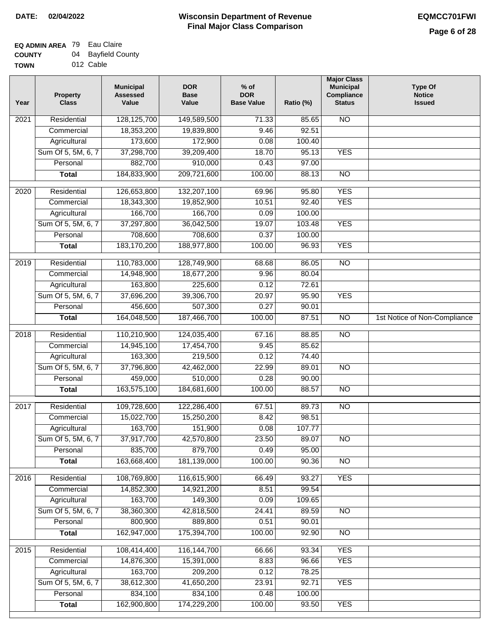#### **Wisconsin Department of Revenue Final Major Class Comparison DATE: 02/04/2022 EQMCC701FWI**

#### **EQ ADMIN AREA** 79 Eau Claire **COUNTY** 04 Bayfield County

| <b>COUNT</b> | V4. | Dayliciu Cuu |
|--------------|-----|--------------|
| <b>TOWN</b>  |     | 012 Cable    |

| 128,125,700<br><b>NO</b><br>Residential<br>149,589,500<br>71.33<br>85.65<br>2021<br>18,353,200<br>92.51<br>Commercial<br>19,839,800<br>9.46<br>173,600<br>172,900<br>0.08<br>Agricultural<br>100.40<br>Sum Of 5, 5M, 6, 7<br>37,298,700<br>39,209,400<br>18.70<br>95.13<br><b>YES</b><br>882,700<br>910,000<br>Personal<br>0.43<br>97.00<br>184,833,900<br>209,721,600<br>100.00<br>$\overline{NO}$<br>88.13<br><b>Total</b><br><b>YES</b><br>$\overline{2020}$<br>Residential<br>126,653,800<br>132,207,100<br>69.96<br>95.80<br>10.51<br><b>YES</b><br>Commercial<br>18,343,300<br>19,852,900<br>92.40<br>166,700<br>Agricultural<br>166,700<br>0.09<br>100.00<br>Sum Of 5, 5M, 6, 7<br>37,297,800<br>36,042,500<br>19.07<br>103.48<br><b>YES</b><br>708,600<br>708,600<br>0.37<br>100.00<br>Personal<br>183,170,200<br><b>YES</b><br><b>Total</b><br>188,977,800<br>100.00<br>96.93<br>$\overline{NO}$<br>2019<br>Residential<br>110,783,000<br>128,749,900<br>86.05<br>68.68<br>9.96<br>Commercial<br>14,948,900<br>18,677,200<br>80.04<br>163,800<br>225,600<br>0.12<br>72.61<br>Agricultural<br>Sum Of 5, 5M, 6, 7<br>37,696,200<br>39,306,700<br><b>YES</b><br>20.97<br>95.90<br>456,600<br>507,300<br>0.27<br>Personal<br>90.01<br>164,048,500<br>1st Notice of Non-Compliance<br>187,466,700<br>100.00<br>87.51<br>$\overline{NO}$<br><b>Total</b><br>110,210,900<br>$\overline{NO}$<br>2018<br>Residential<br>124,035,400<br>67.16<br>88.85<br>Commercial<br>14,945,100<br>17,454,700<br>9.45<br>85.62<br>163,300<br>219,500<br>0.12<br>74.40<br>Agricultural<br>Sum Of 5, 5M, 6, 7<br>37,796,800<br>22.99<br>89.01<br><b>NO</b><br>42,462,000<br>459,000<br>510,000<br>0.28<br>90.00<br>Personal<br>163,575,100<br>184,681,600<br>100.00<br>88.57<br>$\overline{10}$<br><b>Total</b><br>Residential<br>109,728,600<br>122,286,400<br>67.51<br>89.73<br><b>NO</b><br>2017<br>15,022,700<br>15,250,200<br>8.42<br>98.51<br>Commercial<br>163,700<br>151,900<br>0.08<br>107.77<br>Agricultural<br>Sum Of 5, 5M, 6, 7<br>37,917,700<br>42,570,800<br>23.50<br>89.07<br>$\overline{N}$<br>835,700<br>879,700<br>Personal<br>0.49<br>95.00<br>163,668,400<br>181,139,000<br>100.00<br>90.36<br>$\overline{30}$<br><b>Total</b><br>2016<br>Residential<br>108,769,800<br>116,615,900<br>66.49<br>93.27<br><b>YES</b><br>99.54<br>Commercial<br>14,852,300<br>14,921,200<br>8.51<br>163,700<br>149,300<br>109.65<br>Agricultural<br>0.09<br>38,360,300<br>Sum Of 5, 5M, 6, 7<br>42,818,500<br>24.41<br>89.59<br><b>NO</b><br>800,900<br>889,800<br>Personal<br>0.51<br>90.01<br>162,947,000<br>175,394,700<br>100.00<br>92.90<br>N <sub>O</sub><br><b>Total</b><br>108,414,400<br>116, 144, 700<br><b>YES</b><br>2015<br>Residential<br>66.66<br>93.34<br>8.83<br><b>YES</b><br>14,876,300<br>15,391,000<br>96.66<br>Commercial<br>163,700<br>Agricultural<br>209,200<br>0.12<br>78.25<br>Sum Of 5, 5M, 6, 7<br>38,612,300<br>41,650,200<br>92.71<br><b>YES</b><br>23.91<br>834,100<br>Personal<br>834,100<br>0.48<br>100.00<br>162,900,800<br>100.00<br><b>YES</b><br>174,229,200<br>93.50<br><b>Total</b> | Year | <b>Property</b><br><b>Class</b> | <b>Municipal</b><br><b>Assessed</b><br>Value | <b>DOR</b><br><b>Base</b><br>Value | $%$ of<br><b>DOR</b><br><b>Base Value</b> | Ratio (%) | <b>Major Class</b><br><b>Municipal</b><br>Compliance<br><b>Status</b> | <b>Type Of</b><br><b>Notice</b><br><b>Issued</b> |
|----------------------------------------------------------------------------------------------------------------------------------------------------------------------------------------------------------------------------------------------------------------------------------------------------------------------------------------------------------------------------------------------------------------------------------------------------------------------------------------------------------------------------------------------------------------------------------------------------------------------------------------------------------------------------------------------------------------------------------------------------------------------------------------------------------------------------------------------------------------------------------------------------------------------------------------------------------------------------------------------------------------------------------------------------------------------------------------------------------------------------------------------------------------------------------------------------------------------------------------------------------------------------------------------------------------------------------------------------------------------------------------------------------------------------------------------------------------------------------------------------------------------------------------------------------------------------------------------------------------------------------------------------------------------------------------------------------------------------------------------------------------------------------------------------------------------------------------------------------------------------------------------------------------------------------------------------------------------------------------------------------------------------------------------------------------------------------------------------------------------------------------------------------------------------------------------------------------------------------------------------------------------------------------------------------------------------------------------------------------------------------------------------------------------------------------------------------------------------------------------------------------------------------------------------------------------------------------------------------------------------------------------------------------------------------------------------------------------------------------------------------------------------------------------------------------------------------------------------------------------------------------------------------------------------------------------------------------------------------------------------------------------------------------------------------------------------------------------------------------|------|---------------------------------|----------------------------------------------|------------------------------------|-------------------------------------------|-----------|-----------------------------------------------------------------------|--------------------------------------------------|
|                                                                                                                                                                                                                                                                                                                                                                                                                                                                                                                                                                                                                                                                                                                                                                                                                                                                                                                                                                                                                                                                                                                                                                                                                                                                                                                                                                                                                                                                                                                                                                                                                                                                                                                                                                                                                                                                                                                                                                                                                                                                                                                                                                                                                                                                                                                                                                                                                                                                                                                                                                                                                                                                                                                                                                                                                                                                                                                                                                                                                                                                                                                |      |                                 |                                              |                                    |                                           |           |                                                                       |                                                  |
|                                                                                                                                                                                                                                                                                                                                                                                                                                                                                                                                                                                                                                                                                                                                                                                                                                                                                                                                                                                                                                                                                                                                                                                                                                                                                                                                                                                                                                                                                                                                                                                                                                                                                                                                                                                                                                                                                                                                                                                                                                                                                                                                                                                                                                                                                                                                                                                                                                                                                                                                                                                                                                                                                                                                                                                                                                                                                                                                                                                                                                                                                                                |      |                                 |                                              |                                    |                                           |           |                                                                       |                                                  |
|                                                                                                                                                                                                                                                                                                                                                                                                                                                                                                                                                                                                                                                                                                                                                                                                                                                                                                                                                                                                                                                                                                                                                                                                                                                                                                                                                                                                                                                                                                                                                                                                                                                                                                                                                                                                                                                                                                                                                                                                                                                                                                                                                                                                                                                                                                                                                                                                                                                                                                                                                                                                                                                                                                                                                                                                                                                                                                                                                                                                                                                                                                                |      |                                 |                                              |                                    |                                           |           |                                                                       |                                                  |
|                                                                                                                                                                                                                                                                                                                                                                                                                                                                                                                                                                                                                                                                                                                                                                                                                                                                                                                                                                                                                                                                                                                                                                                                                                                                                                                                                                                                                                                                                                                                                                                                                                                                                                                                                                                                                                                                                                                                                                                                                                                                                                                                                                                                                                                                                                                                                                                                                                                                                                                                                                                                                                                                                                                                                                                                                                                                                                                                                                                                                                                                                                                |      |                                 |                                              |                                    |                                           |           |                                                                       |                                                  |
|                                                                                                                                                                                                                                                                                                                                                                                                                                                                                                                                                                                                                                                                                                                                                                                                                                                                                                                                                                                                                                                                                                                                                                                                                                                                                                                                                                                                                                                                                                                                                                                                                                                                                                                                                                                                                                                                                                                                                                                                                                                                                                                                                                                                                                                                                                                                                                                                                                                                                                                                                                                                                                                                                                                                                                                                                                                                                                                                                                                                                                                                                                                |      |                                 |                                              |                                    |                                           |           |                                                                       |                                                  |
|                                                                                                                                                                                                                                                                                                                                                                                                                                                                                                                                                                                                                                                                                                                                                                                                                                                                                                                                                                                                                                                                                                                                                                                                                                                                                                                                                                                                                                                                                                                                                                                                                                                                                                                                                                                                                                                                                                                                                                                                                                                                                                                                                                                                                                                                                                                                                                                                                                                                                                                                                                                                                                                                                                                                                                                                                                                                                                                                                                                                                                                                                                                |      |                                 |                                              |                                    |                                           |           |                                                                       |                                                  |
|                                                                                                                                                                                                                                                                                                                                                                                                                                                                                                                                                                                                                                                                                                                                                                                                                                                                                                                                                                                                                                                                                                                                                                                                                                                                                                                                                                                                                                                                                                                                                                                                                                                                                                                                                                                                                                                                                                                                                                                                                                                                                                                                                                                                                                                                                                                                                                                                                                                                                                                                                                                                                                                                                                                                                                                                                                                                                                                                                                                                                                                                                                                |      |                                 |                                              |                                    |                                           |           |                                                                       |                                                  |
|                                                                                                                                                                                                                                                                                                                                                                                                                                                                                                                                                                                                                                                                                                                                                                                                                                                                                                                                                                                                                                                                                                                                                                                                                                                                                                                                                                                                                                                                                                                                                                                                                                                                                                                                                                                                                                                                                                                                                                                                                                                                                                                                                                                                                                                                                                                                                                                                                                                                                                                                                                                                                                                                                                                                                                                                                                                                                                                                                                                                                                                                                                                |      |                                 |                                              |                                    |                                           |           |                                                                       |                                                  |
|                                                                                                                                                                                                                                                                                                                                                                                                                                                                                                                                                                                                                                                                                                                                                                                                                                                                                                                                                                                                                                                                                                                                                                                                                                                                                                                                                                                                                                                                                                                                                                                                                                                                                                                                                                                                                                                                                                                                                                                                                                                                                                                                                                                                                                                                                                                                                                                                                                                                                                                                                                                                                                                                                                                                                                                                                                                                                                                                                                                                                                                                                                                |      |                                 |                                              |                                    |                                           |           |                                                                       |                                                  |
|                                                                                                                                                                                                                                                                                                                                                                                                                                                                                                                                                                                                                                                                                                                                                                                                                                                                                                                                                                                                                                                                                                                                                                                                                                                                                                                                                                                                                                                                                                                                                                                                                                                                                                                                                                                                                                                                                                                                                                                                                                                                                                                                                                                                                                                                                                                                                                                                                                                                                                                                                                                                                                                                                                                                                                                                                                                                                                                                                                                                                                                                                                                |      |                                 |                                              |                                    |                                           |           |                                                                       |                                                  |
|                                                                                                                                                                                                                                                                                                                                                                                                                                                                                                                                                                                                                                                                                                                                                                                                                                                                                                                                                                                                                                                                                                                                                                                                                                                                                                                                                                                                                                                                                                                                                                                                                                                                                                                                                                                                                                                                                                                                                                                                                                                                                                                                                                                                                                                                                                                                                                                                                                                                                                                                                                                                                                                                                                                                                                                                                                                                                                                                                                                                                                                                                                                |      |                                 |                                              |                                    |                                           |           |                                                                       |                                                  |
|                                                                                                                                                                                                                                                                                                                                                                                                                                                                                                                                                                                                                                                                                                                                                                                                                                                                                                                                                                                                                                                                                                                                                                                                                                                                                                                                                                                                                                                                                                                                                                                                                                                                                                                                                                                                                                                                                                                                                                                                                                                                                                                                                                                                                                                                                                                                                                                                                                                                                                                                                                                                                                                                                                                                                                                                                                                                                                                                                                                                                                                                                                                |      |                                 |                                              |                                    |                                           |           |                                                                       |                                                  |
|                                                                                                                                                                                                                                                                                                                                                                                                                                                                                                                                                                                                                                                                                                                                                                                                                                                                                                                                                                                                                                                                                                                                                                                                                                                                                                                                                                                                                                                                                                                                                                                                                                                                                                                                                                                                                                                                                                                                                                                                                                                                                                                                                                                                                                                                                                                                                                                                                                                                                                                                                                                                                                                                                                                                                                                                                                                                                                                                                                                                                                                                                                                |      |                                 |                                              |                                    |                                           |           |                                                                       |                                                  |
|                                                                                                                                                                                                                                                                                                                                                                                                                                                                                                                                                                                                                                                                                                                                                                                                                                                                                                                                                                                                                                                                                                                                                                                                                                                                                                                                                                                                                                                                                                                                                                                                                                                                                                                                                                                                                                                                                                                                                                                                                                                                                                                                                                                                                                                                                                                                                                                                                                                                                                                                                                                                                                                                                                                                                                                                                                                                                                                                                                                                                                                                                                                |      |                                 |                                              |                                    |                                           |           |                                                                       |                                                  |
|                                                                                                                                                                                                                                                                                                                                                                                                                                                                                                                                                                                                                                                                                                                                                                                                                                                                                                                                                                                                                                                                                                                                                                                                                                                                                                                                                                                                                                                                                                                                                                                                                                                                                                                                                                                                                                                                                                                                                                                                                                                                                                                                                                                                                                                                                                                                                                                                                                                                                                                                                                                                                                                                                                                                                                                                                                                                                                                                                                                                                                                                                                                |      |                                 |                                              |                                    |                                           |           |                                                                       |                                                  |
|                                                                                                                                                                                                                                                                                                                                                                                                                                                                                                                                                                                                                                                                                                                                                                                                                                                                                                                                                                                                                                                                                                                                                                                                                                                                                                                                                                                                                                                                                                                                                                                                                                                                                                                                                                                                                                                                                                                                                                                                                                                                                                                                                                                                                                                                                                                                                                                                                                                                                                                                                                                                                                                                                                                                                                                                                                                                                                                                                                                                                                                                                                                |      |                                 |                                              |                                    |                                           |           |                                                                       |                                                  |
|                                                                                                                                                                                                                                                                                                                                                                                                                                                                                                                                                                                                                                                                                                                                                                                                                                                                                                                                                                                                                                                                                                                                                                                                                                                                                                                                                                                                                                                                                                                                                                                                                                                                                                                                                                                                                                                                                                                                                                                                                                                                                                                                                                                                                                                                                                                                                                                                                                                                                                                                                                                                                                                                                                                                                                                                                                                                                                                                                                                                                                                                                                                |      |                                 |                                              |                                    |                                           |           |                                                                       |                                                  |
|                                                                                                                                                                                                                                                                                                                                                                                                                                                                                                                                                                                                                                                                                                                                                                                                                                                                                                                                                                                                                                                                                                                                                                                                                                                                                                                                                                                                                                                                                                                                                                                                                                                                                                                                                                                                                                                                                                                                                                                                                                                                                                                                                                                                                                                                                                                                                                                                                                                                                                                                                                                                                                                                                                                                                                                                                                                                                                                                                                                                                                                                                                                |      |                                 |                                              |                                    |                                           |           |                                                                       |                                                  |
|                                                                                                                                                                                                                                                                                                                                                                                                                                                                                                                                                                                                                                                                                                                                                                                                                                                                                                                                                                                                                                                                                                                                                                                                                                                                                                                                                                                                                                                                                                                                                                                                                                                                                                                                                                                                                                                                                                                                                                                                                                                                                                                                                                                                                                                                                                                                                                                                                                                                                                                                                                                                                                                                                                                                                                                                                                                                                                                                                                                                                                                                                                                |      |                                 |                                              |                                    |                                           |           |                                                                       |                                                  |
|                                                                                                                                                                                                                                                                                                                                                                                                                                                                                                                                                                                                                                                                                                                                                                                                                                                                                                                                                                                                                                                                                                                                                                                                                                                                                                                                                                                                                                                                                                                                                                                                                                                                                                                                                                                                                                                                                                                                                                                                                                                                                                                                                                                                                                                                                                                                                                                                                                                                                                                                                                                                                                                                                                                                                                                                                                                                                                                                                                                                                                                                                                                |      |                                 |                                              |                                    |                                           |           |                                                                       |                                                  |
|                                                                                                                                                                                                                                                                                                                                                                                                                                                                                                                                                                                                                                                                                                                                                                                                                                                                                                                                                                                                                                                                                                                                                                                                                                                                                                                                                                                                                                                                                                                                                                                                                                                                                                                                                                                                                                                                                                                                                                                                                                                                                                                                                                                                                                                                                                                                                                                                                                                                                                                                                                                                                                                                                                                                                                                                                                                                                                                                                                                                                                                                                                                |      |                                 |                                              |                                    |                                           |           |                                                                       |                                                  |
|                                                                                                                                                                                                                                                                                                                                                                                                                                                                                                                                                                                                                                                                                                                                                                                                                                                                                                                                                                                                                                                                                                                                                                                                                                                                                                                                                                                                                                                                                                                                                                                                                                                                                                                                                                                                                                                                                                                                                                                                                                                                                                                                                                                                                                                                                                                                                                                                                                                                                                                                                                                                                                                                                                                                                                                                                                                                                                                                                                                                                                                                                                                |      |                                 |                                              |                                    |                                           |           |                                                                       |                                                  |
|                                                                                                                                                                                                                                                                                                                                                                                                                                                                                                                                                                                                                                                                                                                                                                                                                                                                                                                                                                                                                                                                                                                                                                                                                                                                                                                                                                                                                                                                                                                                                                                                                                                                                                                                                                                                                                                                                                                                                                                                                                                                                                                                                                                                                                                                                                                                                                                                                                                                                                                                                                                                                                                                                                                                                                                                                                                                                                                                                                                                                                                                                                                |      |                                 |                                              |                                    |                                           |           |                                                                       |                                                  |
|                                                                                                                                                                                                                                                                                                                                                                                                                                                                                                                                                                                                                                                                                                                                                                                                                                                                                                                                                                                                                                                                                                                                                                                                                                                                                                                                                                                                                                                                                                                                                                                                                                                                                                                                                                                                                                                                                                                                                                                                                                                                                                                                                                                                                                                                                                                                                                                                                                                                                                                                                                                                                                                                                                                                                                                                                                                                                                                                                                                                                                                                                                                |      |                                 |                                              |                                    |                                           |           |                                                                       |                                                  |
|                                                                                                                                                                                                                                                                                                                                                                                                                                                                                                                                                                                                                                                                                                                                                                                                                                                                                                                                                                                                                                                                                                                                                                                                                                                                                                                                                                                                                                                                                                                                                                                                                                                                                                                                                                                                                                                                                                                                                                                                                                                                                                                                                                                                                                                                                                                                                                                                                                                                                                                                                                                                                                                                                                                                                                                                                                                                                                                                                                                                                                                                                                                |      |                                 |                                              |                                    |                                           |           |                                                                       |                                                  |
|                                                                                                                                                                                                                                                                                                                                                                                                                                                                                                                                                                                                                                                                                                                                                                                                                                                                                                                                                                                                                                                                                                                                                                                                                                                                                                                                                                                                                                                                                                                                                                                                                                                                                                                                                                                                                                                                                                                                                                                                                                                                                                                                                                                                                                                                                                                                                                                                                                                                                                                                                                                                                                                                                                                                                                                                                                                                                                                                                                                                                                                                                                                |      |                                 |                                              |                                    |                                           |           |                                                                       |                                                  |
|                                                                                                                                                                                                                                                                                                                                                                                                                                                                                                                                                                                                                                                                                                                                                                                                                                                                                                                                                                                                                                                                                                                                                                                                                                                                                                                                                                                                                                                                                                                                                                                                                                                                                                                                                                                                                                                                                                                                                                                                                                                                                                                                                                                                                                                                                                                                                                                                                                                                                                                                                                                                                                                                                                                                                                                                                                                                                                                                                                                                                                                                                                                |      |                                 |                                              |                                    |                                           |           |                                                                       |                                                  |
|                                                                                                                                                                                                                                                                                                                                                                                                                                                                                                                                                                                                                                                                                                                                                                                                                                                                                                                                                                                                                                                                                                                                                                                                                                                                                                                                                                                                                                                                                                                                                                                                                                                                                                                                                                                                                                                                                                                                                                                                                                                                                                                                                                                                                                                                                                                                                                                                                                                                                                                                                                                                                                                                                                                                                                                                                                                                                                                                                                                                                                                                                                                |      |                                 |                                              |                                    |                                           |           |                                                                       |                                                  |
|                                                                                                                                                                                                                                                                                                                                                                                                                                                                                                                                                                                                                                                                                                                                                                                                                                                                                                                                                                                                                                                                                                                                                                                                                                                                                                                                                                                                                                                                                                                                                                                                                                                                                                                                                                                                                                                                                                                                                                                                                                                                                                                                                                                                                                                                                                                                                                                                                                                                                                                                                                                                                                                                                                                                                                                                                                                                                                                                                                                                                                                                                                                |      |                                 |                                              |                                    |                                           |           |                                                                       |                                                  |
|                                                                                                                                                                                                                                                                                                                                                                                                                                                                                                                                                                                                                                                                                                                                                                                                                                                                                                                                                                                                                                                                                                                                                                                                                                                                                                                                                                                                                                                                                                                                                                                                                                                                                                                                                                                                                                                                                                                                                                                                                                                                                                                                                                                                                                                                                                                                                                                                                                                                                                                                                                                                                                                                                                                                                                                                                                                                                                                                                                                                                                                                                                                |      |                                 |                                              |                                    |                                           |           |                                                                       |                                                  |
|                                                                                                                                                                                                                                                                                                                                                                                                                                                                                                                                                                                                                                                                                                                                                                                                                                                                                                                                                                                                                                                                                                                                                                                                                                                                                                                                                                                                                                                                                                                                                                                                                                                                                                                                                                                                                                                                                                                                                                                                                                                                                                                                                                                                                                                                                                                                                                                                                                                                                                                                                                                                                                                                                                                                                                                                                                                                                                                                                                                                                                                                                                                |      |                                 |                                              |                                    |                                           |           |                                                                       |                                                  |
|                                                                                                                                                                                                                                                                                                                                                                                                                                                                                                                                                                                                                                                                                                                                                                                                                                                                                                                                                                                                                                                                                                                                                                                                                                                                                                                                                                                                                                                                                                                                                                                                                                                                                                                                                                                                                                                                                                                                                                                                                                                                                                                                                                                                                                                                                                                                                                                                                                                                                                                                                                                                                                                                                                                                                                                                                                                                                                                                                                                                                                                                                                                |      |                                 |                                              |                                    |                                           |           |                                                                       |                                                  |
|                                                                                                                                                                                                                                                                                                                                                                                                                                                                                                                                                                                                                                                                                                                                                                                                                                                                                                                                                                                                                                                                                                                                                                                                                                                                                                                                                                                                                                                                                                                                                                                                                                                                                                                                                                                                                                                                                                                                                                                                                                                                                                                                                                                                                                                                                                                                                                                                                                                                                                                                                                                                                                                                                                                                                                                                                                                                                                                                                                                                                                                                                                                |      |                                 |                                              |                                    |                                           |           |                                                                       |                                                  |
|                                                                                                                                                                                                                                                                                                                                                                                                                                                                                                                                                                                                                                                                                                                                                                                                                                                                                                                                                                                                                                                                                                                                                                                                                                                                                                                                                                                                                                                                                                                                                                                                                                                                                                                                                                                                                                                                                                                                                                                                                                                                                                                                                                                                                                                                                                                                                                                                                                                                                                                                                                                                                                                                                                                                                                                                                                                                                                                                                                                                                                                                                                                |      |                                 |                                              |                                    |                                           |           |                                                                       |                                                  |
|                                                                                                                                                                                                                                                                                                                                                                                                                                                                                                                                                                                                                                                                                                                                                                                                                                                                                                                                                                                                                                                                                                                                                                                                                                                                                                                                                                                                                                                                                                                                                                                                                                                                                                                                                                                                                                                                                                                                                                                                                                                                                                                                                                                                                                                                                                                                                                                                                                                                                                                                                                                                                                                                                                                                                                                                                                                                                                                                                                                                                                                                                                                |      |                                 |                                              |                                    |                                           |           |                                                                       |                                                  |
|                                                                                                                                                                                                                                                                                                                                                                                                                                                                                                                                                                                                                                                                                                                                                                                                                                                                                                                                                                                                                                                                                                                                                                                                                                                                                                                                                                                                                                                                                                                                                                                                                                                                                                                                                                                                                                                                                                                                                                                                                                                                                                                                                                                                                                                                                                                                                                                                                                                                                                                                                                                                                                                                                                                                                                                                                                                                                                                                                                                                                                                                                                                |      |                                 |                                              |                                    |                                           |           |                                                                       |                                                  |
|                                                                                                                                                                                                                                                                                                                                                                                                                                                                                                                                                                                                                                                                                                                                                                                                                                                                                                                                                                                                                                                                                                                                                                                                                                                                                                                                                                                                                                                                                                                                                                                                                                                                                                                                                                                                                                                                                                                                                                                                                                                                                                                                                                                                                                                                                                                                                                                                                                                                                                                                                                                                                                                                                                                                                                                                                                                                                                                                                                                                                                                                                                                |      |                                 |                                              |                                    |                                           |           |                                                                       |                                                  |
|                                                                                                                                                                                                                                                                                                                                                                                                                                                                                                                                                                                                                                                                                                                                                                                                                                                                                                                                                                                                                                                                                                                                                                                                                                                                                                                                                                                                                                                                                                                                                                                                                                                                                                                                                                                                                                                                                                                                                                                                                                                                                                                                                                                                                                                                                                                                                                                                                                                                                                                                                                                                                                                                                                                                                                                                                                                                                                                                                                                                                                                                                                                |      |                                 |                                              |                                    |                                           |           |                                                                       |                                                  |
|                                                                                                                                                                                                                                                                                                                                                                                                                                                                                                                                                                                                                                                                                                                                                                                                                                                                                                                                                                                                                                                                                                                                                                                                                                                                                                                                                                                                                                                                                                                                                                                                                                                                                                                                                                                                                                                                                                                                                                                                                                                                                                                                                                                                                                                                                                                                                                                                                                                                                                                                                                                                                                                                                                                                                                                                                                                                                                                                                                                                                                                                                                                |      |                                 |                                              |                                    |                                           |           |                                                                       |                                                  |
|                                                                                                                                                                                                                                                                                                                                                                                                                                                                                                                                                                                                                                                                                                                                                                                                                                                                                                                                                                                                                                                                                                                                                                                                                                                                                                                                                                                                                                                                                                                                                                                                                                                                                                                                                                                                                                                                                                                                                                                                                                                                                                                                                                                                                                                                                                                                                                                                                                                                                                                                                                                                                                                                                                                                                                                                                                                                                                                                                                                                                                                                                                                |      |                                 |                                              |                                    |                                           |           |                                                                       |                                                  |
|                                                                                                                                                                                                                                                                                                                                                                                                                                                                                                                                                                                                                                                                                                                                                                                                                                                                                                                                                                                                                                                                                                                                                                                                                                                                                                                                                                                                                                                                                                                                                                                                                                                                                                                                                                                                                                                                                                                                                                                                                                                                                                                                                                                                                                                                                                                                                                                                                                                                                                                                                                                                                                                                                                                                                                                                                                                                                                                                                                                                                                                                                                                |      |                                 |                                              |                                    |                                           |           |                                                                       |                                                  |
|                                                                                                                                                                                                                                                                                                                                                                                                                                                                                                                                                                                                                                                                                                                                                                                                                                                                                                                                                                                                                                                                                                                                                                                                                                                                                                                                                                                                                                                                                                                                                                                                                                                                                                                                                                                                                                                                                                                                                                                                                                                                                                                                                                                                                                                                                                                                                                                                                                                                                                                                                                                                                                                                                                                                                                                                                                                                                                                                                                                                                                                                                                                |      |                                 |                                              |                                    |                                           |           |                                                                       |                                                  |
|                                                                                                                                                                                                                                                                                                                                                                                                                                                                                                                                                                                                                                                                                                                                                                                                                                                                                                                                                                                                                                                                                                                                                                                                                                                                                                                                                                                                                                                                                                                                                                                                                                                                                                                                                                                                                                                                                                                                                                                                                                                                                                                                                                                                                                                                                                                                                                                                                                                                                                                                                                                                                                                                                                                                                                                                                                                                                                                                                                                                                                                                                                                |      |                                 |                                              |                                    |                                           |           |                                                                       |                                                  |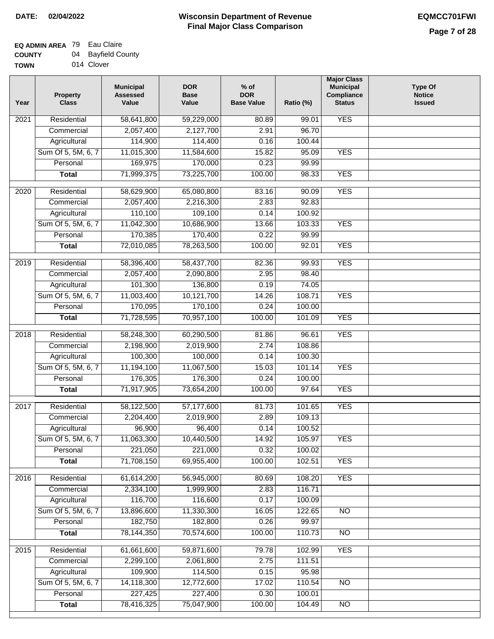# **EQ ADMIN AREA** 79 Eau Claire **COUNTY**

| <b>COUNTY</b> | 04 Bayfield County |
|---------------|--------------------|
| <b>TOWN</b>   | 014 Clover         |

| Year | <b>Property</b><br><b>Class</b> | <b>Municipal</b><br><b>Assessed</b><br>Value | <b>DOR</b><br><b>Base</b><br>Value | $%$ of<br><b>DOR</b><br><b>Base Value</b> | Ratio (%) | <b>Major Class</b><br><b>Municipal</b><br>Compliance<br><b>Status</b> | <b>Type Of</b><br><b>Notice</b><br><b>Issued</b> |
|------|---------------------------------|----------------------------------------------|------------------------------------|-------------------------------------------|-----------|-----------------------------------------------------------------------|--------------------------------------------------|
| 2021 | Residential                     | 58,641,800                                   | 59,229,000                         | 80.89                                     | 99.01     | <b>YES</b>                                                            |                                                  |
|      | Commercial                      | 2,057,400                                    | 2,127,700                          | 2.91                                      | 96.70     |                                                                       |                                                  |
|      | Agricultural                    | 114,900                                      | 114,400                            | 0.16                                      | 100.44    |                                                                       |                                                  |
|      | Sum Of 5, 5M, 6, 7              | 11,015,300                                   | 11,584,600                         | 15.82                                     | 95.09     | <b>YES</b>                                                            |                                                  |
|      | Personal                        | 169,975                                      | 170,000                            | 0.23                                      | 99.99     |                                                                       |                                                  |
|      | <b>Total</b>                    | 71,999,375                                   | 73,225,700                         | 100.00                                    | 98.33     | <b>YES</b>                                                            |                                                  |
| 2020 | Residential                     | 58,629,900                                   | 65,080,800                         | 83.16                                     | 90.09     | <b>YES</b>                                                            |                                                  |
|      | Commercial                      | 2,057,400                                    | 2,216,300                          | 2.83                                      | 92.83     |                                                                       |                                                  |
|      | Agricultural                    | 110,100                                      | 109,100                            | 0.14                                      | 100.92    |                                                                       |                                                  |
|      | Sum Of 5, 5M, 6, 7              | 11,042,300                                   | 10,686,900                         | 13.66                                     | 103.33    | <b>YES</b>                                                            |                                                  |
|      | Personal                        | 170,385                                      | 170,400                            | 0.22                                      | 99.99     |                                                                       |                                                  |
|      | <b>Total</b>                    | 72,010,085                                   | 78,263,500                         | 100.00                                    | 92.01     | <b>YES</b>                                                            |                                                  |
| 2019 | Residential                     | 58,396,400                                   | 58,437,700                         | 82.36                                     | 99.93     | <b>YES</b>                                                            |                                                  |
|      | Commercial                      | 2,057,400                                    | 2,090,800                          | 2.95                                      | 98.40     |                                                                       |                                                  |
|      | Agricultural                    | 101,300                                      | 136,800                            | 0.19                                      | 74.05     |                                                                       |                                                  |
|      | Sum Of 5, 5M, 6, 7              | 11,003,400                                   | 10,121,700                         | 14.26                                     | 108.71    | <b>YES</b>                                                            |                                                  |
|      | Personal                        | 170,095                                      | 170,100                            | 0.24                                      | 100.00    |                                                                       |                                                  |
|      |                                 | 71,728,595                                   | 70,957,100                         | 100.00                                    | 101.09    | <b>YES</b>                                                            |                                                  |
|      | <b>Total</b>                    |                                              |                                    |                                           |           |                                                                       |                                                  |
| 2018 | Residential                     | 58,248,300                                   | 60,290,500                         | 81.86                                     | 96.61     | <b>YES</b>                                                            |                                                  |
|      | Commercial                      | 2,198,900                                    | 2,019,900                          | 2.74                                      | 108.86    |                                                                       |                                                  |
|      | Agricultural                    | 100,300                                      | 100,000                            | 0.14                                      | 100.30    |                                                                       |                                                  |
|      | Sum Of 5, 5M, 6, 7              | 11,194,100                                   | 11,067,500                         | 15.03                                     | 101.14    | <b>YES</b>                                                            |                                                  |
|      | Personal                        | 176,305                                      | 176,300                            | 0.24                                      | 100.00    |                                                                       |                                                  |
|      | <b>Total</b>                    | 71,917,905                                   | 73,654,200                         | 100.00                                    | 97.64     | <b>YES</b>                                                            |                                                  |
| 2017 | Residential                     | 58,122,500                                   | 57,177,600                         | 81.73                                     | 101.65    | <b>YES</b>                                                            |                                                  |
|      | Commercial                      | 2,204,400                                    | 2,019,900                          | 2.89                                      | 109.13    |                                                                       |                                                  |
|      | Agricultural                    | 96,900                                       | 96,400                             | 0.14                                      | 100.52    |                                                                       |                                                  |
|      | Sum Of 5, 5M, 6, 7              | 11,063,300                                   | 10,440,500                         | 14.92                                     | 105.97    | YES                                                                   |                                                  |
|      | Personal                        | 221,050                                      | 221,000                            | 0.32                                      | 100.02    |                                                                       |                                                  |
|      | <b>Total</b>                    | 71,708,150                                   | 69,955,400                         | 100.00                                    | 102.51    | <b>YES</b>                                                            |                                                  |
| 2016 | Residential                     | 61,614,200                                   | 56,945,000                         | 80.69                                     | 108.20    | <b>YES</b>                                                            |                                                  |
|      | Commercial                      | 2,334,100                                    | 1,999,900                          | 2.83                                      | 116.71    |                                                                       |                                                  |
|      | Agricultural                    | 116,700                                      | 116,600                            | 0.17                                      | 100.09    |                                                                       |                                                  |
|      | Sum Of 5, 5M, 6, 7              | 13,896,600                                   | 11,330,300                         | 16.05                                     | 122.65    | N <sub>O</sub>                                                        |                                                  |
|      | Personal                        | 182,750                                      | 182,800                            | 0.26                                      | 99.97     |                                                                       |                                                  |
|      | <b>Total</b>                    | 78,144,350                                   | 70,574,600                         | 100.00                                    | 110.73    | N <sub>O</sub>                                                        |                                                  |
| 2015 | Residential                     | 61,661,600                                   | 59,871,600                         | 79.78                                     | 102.99    | <b>YES</b>                                                            |                                                  |
|      | Commercial                      | 2,299,100                                    | 2,061,800                          | 2.75                                      | 111.51    |                                                                       |                                                  |
|      | Agricultural                    | 109,900                                      | 114,500                            | 0.15                                      | 95.98     |                                                                       |                                                  |
|      | Sum Of 5, 5M, 6, 7              | 14,118,300                                   | 12,772,600                         | 17.02                                     | 110.54    | NO                                                                    |                                                  |
|      | Personal                        | 227,425                                      | 227,400                            | 0.30                                      | 100.01    |                                                                       |                                                  |
|      | <b>Total</b>                    | 78,416,325                                   | 75,047,900                         | 100.00                                    | 104.49    | $\overline{NO}$                                                       |                                                  |
|      |                                 |                                              |                                    |                                           |           |                                                                       |                                                  |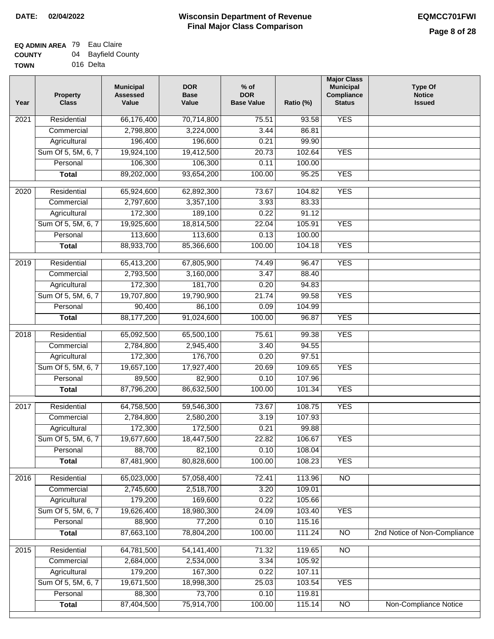## **Wisconsin Department of Revenue Final Major Class Comparison DATE: 02/04/2022 EQMCC701FWI**

| <b>TOWN</b> | 016 Delta |
|-------------|-----------|

| Year | <b>Property</b><br><b>Class</b> | <b>Municipal</b><br><b>Assessed</b><br>Value | <b>DOR</b><br><b>Base</b><br>Value | $%$ of<br><b>DOR</b><br><b>Base Value</b> | Ratio (%) | <b>Major Class</b><br><b>Municipal</b><br>Compliance<br><b>Status</b> | <b>Type Of</b><br><b>Notice</b><br><b>Issued</b> |
|------|---------------------------------|----------------------------------------------|------------------------------------|-------------------------------------------|-----------|-----------------------------------------------------------------------|--------------------------------------------------|
| 2021 | Residential                     | 66,176,400                                   | 70,714,800                         | 75.51                                     | 93.58     | <b>YES</b>                                                            |                                                  |
|      | Commercial                      | 2,798,800                                    | 3,224,000                          | 3.44                                      | 86.81     |                                                                       |                                                  |
|      | Agricultural                    | 196,400                                      | 196,600                            | 0.21                                      | 99.90     |                                                                       |                                                  |
|      | Sum Of 5, 5M, 6, 7              | 19,924,100                                   | 19,412,500                         | 20.73                                     | 102.64    | <b>YES</b>                                                            |                                                  |
|      | Personal                        | 106,300                                      | 106,300                            | 0.11                                      | 100.00    |                                                                       |                                                  |
|      | <b>Total</b>                    | 89,202,000                                   | 93,654,200                         | 100.00                                    | 95.25     | <b>YES</b>                                                            |                                                  |
| 2020 | Residential                     | 65,924,600                                   | 62,892,300                         | 73.67                                     | 104.82    | <b>YES</b>                                                            |                                                  |
|      | Commercial                      | 2,797,600                                    | 3,357,100                          | 3.93                                      | 83.33     |                                                                       |                                                  |
|      | Agricultural                    | 172,300                                      | 189,100                            | 0.22                                      | 91.12     |                                                                       |                                                  |
|      | Sum Of 5, 5M, 6, 7              | 19,925,600                                   | 18,814,500                         | 22.04                                     | 105.91    | <b>YES</b>                                                            |                                                  |
|      | Personal                        | 113,600                                      | 113,600                            | 0.13                                      | 100.00    |                                                                       |                                                  |
|      | <b>Total</b>                    | 88,933,700                                   | 85,366,600                         | 100.00                                    | 104.18    | <b>YES</b>                                                            |                                                  |
|      |                                 |                                              |                                    |                                           |           |                                                                       |                                                  |
| 2019 | Residential                     | 65,413,200                                   | 67,805,900                         | 74.49                                     | 96.47     | <b>YES</b>                                                            |                                                  |
|      | Commercial                      | 2,793,500                                    | 3,160,000                          | 3.47                                      | 88.40     |                                                                       |                                                  |
|      | Agricultural                    | 172,300                                      | 181,700                            | 0.20                                      | 94.83     |                                                                       |                                                  |
|      | Sum Of 5, 5M, 6, 7              | 19,707,800                                   | 19,790,900                         | 21.74                                     | 99.58     | <b>YES</b>                                                            |                                                  |
|      | Personal                        | 90,400                                       | 86,100                             | 0.09                                      | 104.99    |                                                                       |                                                  |
|      | <b>Total</b>                    | 88,177,200                                   | 91,024,600                         | 100.00                                    | 96.87     | <b>YES</b>                                                            |                                                  |
| 2018 | Residential                     | 65,092,500                                   | 65,500,100                         | 75.61                                     | 99.38     | <b>YES</b>                                                            |                                                  |
|      | Commercial                      | 2,784,800                                    | 2,945,400                          | 3.40                                      | 94.55     |                                                                       |                                                  |
|      | Agricultural                    | 172,300                                      | 176,700                            | 0.20                                      | 97.51     |                                                                       |                                                  |
|      | Sum Of 5, 5M, 6, 7              | 19,657,100                                   | 17,927,400                         | 20.69                                     | 109.65    | <b>YES</b>                                                            |                                                  |
|      | Personal                        | 89,500                                       | 82,900                             | 0.10                                      | 107.96    |                                                                       |                                                  |
|      | <b>Total</b>                    | 87,796,200                                   | 86,632,500                         | 100.00                                    | 101.34    | <b>YES</b>                                                            |                                                  |
| 2017 | Residential                     | 64,758,500                                   | 59,546,300                         | 73.67                                     | 108.75    | <b>YES</b>                                                            |                                                  |
|      | Commercial                      | 2,784,800                                    | 2,580,200                          | 3.19                                      | 107.93    |                                                                       |                                                  |
|      | Agricultural                    | 172,300                                      | 172,500                            | 0.21                                      | 99.88     |                                                                       |                                                  |
|      | Sum Of 5, 5M, 6, 7              | 19,677,600                                   | 18,447,500                         | 22.82                                     | 106.67    | <b>YES</b>                                                            |                                                  |
|      | Personal                        | 88,700                                       | 82,100                             | 0.10                                      | 108.04    |                                                                       |                                                  |
|      | <b>Total</b>                    | 87,481,900                                   | 80,828,600                         | 100.00                                    | 108.23    | <b>YES</b>                                                            |                                                  |
| 2016 | Residential                     | 65,023,000                                   | 57,058,400                         | 72.41                                     | 113.96    | $\overline{NO}$                                                       |                                                  |
|      | Commercial                      | 2,745,600                                    | 2,518,700                          | 3.20                                      | 109.01    |                                                                       |                                                  |
|      | Agricultural                    | 179,200                                      | 169,600                            | 0.22                                      | 105.66    |                                                                       |                                                  |
|      | Sum Of 5, 5M, 6, 7              | 19,626,400                                   | 18,980,300                         | 24.09                                     | 103.40    | <b>YES</b>                                                            |                                                  |
|      | Personal                        | 88,900                                       | 77,200                             | 0.10                                      | 115.16    |                                                                       |                                                  |
|      | <b>Total</b>                    | 87,663,100                                   | 78,804,200                         | 100.00                                    | 111.24    | N <sub>O</sub>                                                        | 2nd Notice of Non-Compliance                     |
| 2015 | Residential                     | 64,781,500                                   | 54, 141, 400                       | 71.32                                     | 119.65    | N <sub>O</sub>                                                        |                                                  |
|      | Commercial                      | 2,684,000                                    | 2,534,000                          | 3.34                                      | 105.92    |                                                                       |                                                  |
|      | Agricultural                    | 179,200                                      | 167,300                            | 0.22                                      | 107.11    |                                                                       |                                                  |
|      | Sum Of 5, 5M, 6, 7              | 19,671,500                                   | 18,998,300                         | 25.03                                     | 103.54    | <b>YES</b>                                                            |                                                  |
|      | Personal                        | 88,300                                       | 73,700                             | 0.10                                      | 119.81    |                                                                       |                                                  |
|      | <b>Total</b>                    | 87,404,500                                   | 75,914,700                         | 100.00                                    | 115.14    | $\overline{NO}$                                                       | Non-Compliance Notice                            |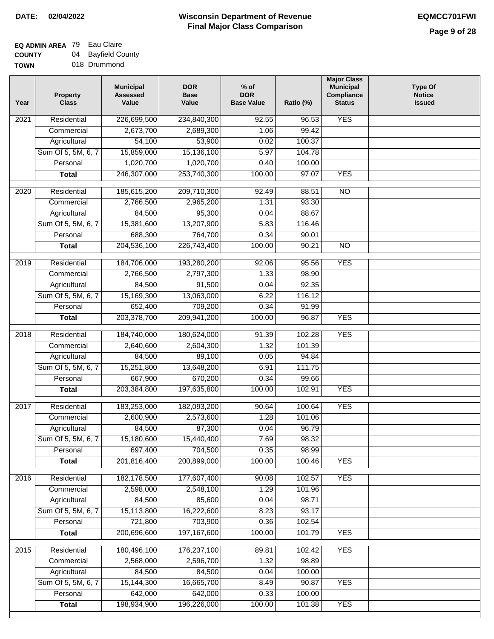# **EQ ADMIN AREA** 79 Eau Claire

**COUNTY TOWN** 04 Bayfield County 018 Drummond

| Year | <b>Property</b><br><b>Class</b> | <b>Municipal</b><br><b>Assessed</b><br>Value | <b>DOR</b><br><b>Base</b><br>Value | $%$ of<br><b>DOR</b><br><b>Base Value</b> | Ratio (%) | <b>Major Class</b><br><b>Municipal</b><br>Compliance<br><b>Status</b> | <b>Type Of</b><br><b>Notice</b><br><b>Issued</b> |
|------|---------------------------------|----------------------------------------------|------------------------------------|-------------------------------------------|-----------|-----------------------------------------------------------------------|--------------------------------------------------|
| 2021 | Residential                     | 226,699,500                                  | 234,840,300                        | 92.55                                     | 96.53     | <b>YES</b>                                                            |                                                  |
|      | Commercial                      | 2,673,700                                    | 2,689,300                          | 1.06                                      | 99.42     |                                                                       |                                                  |
|      | Agricultural                    | 54,100                                       | 53,900                             | 0.02                                      | 100.37    |                                                                       |                                                  |
|      | Sum Of 5, 5M, 6, 7              | 15,859,000                                   | 15,136,100                         | 5.97                                      | 104.78    |                                                                       |                                                  |
|      | Personal                        | 1,020,700                                    | 1,020,700                          | 0.40                                      | 100.00    |                                                                       |                                                  |
|      | <b>Total</b>                    | 246,307,000                                  | 253,740,300                        | 100.00                                    | 97.07     | <b>YES</b>                                                            |                                                  |
| 2020 | Residential                     | 185,615,200                                  | 209,710,300                        | 92.49                                     | 88.51     | $\overline{NO}$                                                       |                                                  |
|      | Commercial                      | 2,766,500                                    | 2,965,200                          | 1.31                                      | 93.30     |                                                                       |                                                  |
|      | Agricultural                    | 84,500                                       | 95,300                             | 0.04                                      | 88.67     |                                                                       |                                                  |
|      | Sum Of 5, 5M, 6, 7              | 15,381,600                                   | 13,207,900                         | 5.83                                      | 116.46    |                                                                       |                                                  |
|      | Personal                        | 688,300                                      | 764,700                            | 0.34                                      | 90.01     |                                                                       |                                                  |
|      | <b>Total</b>                    | 204,536,100                                  | 226,743,400                        | 100.00                                    | 90.21     | $\overline{NO}$                                                       |                                                  |
| 2019 | Residential                     | 184,706,000                                  | 193,280,200                        | 92.06                                     | 95.56     | <b>YES</b>                                                            |                                                  |
|      | Commercial                      | 2,766,500                                    | 2,797,300                          | 1.33                                      | 98.90     |                                                                       |                                                  |
|      | Agricultural                    | 84,500                                       | 91,500                             | 0.04                                      | 92.35     |                                                                       |                                                  |
|      | Sum Of 5, 5M, 6, 7              | 15,169,300                                   | 13,063,000                         | 6.22                                      | 116.12    |                                                                       |                                                  |
|      | Personal                        | 652,400                                      | 709,200                            | 0.34                                      | 91.99     |                                                                       |                                                  |
|      | <b>Total</b>                    | 203,378,700                                  | 209,941,200                        | 100.00                                    | 96.87     | <b>YES</b>                                                            |                                                  |
| 2018 | Residential                     | 184,740,000                                  | 180,624,000                        | 91.39                                     | 102.28    | <b>YES</b>                                                            |                                                  |
|      | Commercial                      | 2,640,600                                    | 2,604,300                          | 1.32                                      | 101.39    |                                                                       |                                                  |
|      | Agricultural                    | 84,500                                       | 89,100                             | 0.05                                      | 94.84     |                                                                       |                                                  |
|      | Sum Of 5, 5M, 6, 7              | 15,251,800                                   | 13,648,200                         | 6.91                                      | 111.75    |                                                                       |                                                  |
|      | Personal                        | 667,900                                      | 670,200                            | 0.34                                      | 99.66     |                                                                       |                                                  |
|      | <b>Total</b>                    | 203,384,800                                  | 197,635,800                        | 100.00                                    | 102.91    | <b>YES</b>                                                            |                                                  |
| 2017 | Residential                     | 183,253,000                                  | 182,093,200                        | 90.64                                     | 100.64    | <b>YES</b>                                                            |                                                  |
|      | Commercial                      | 2,600,900                                    | 2,573,600                          | 1.28                                      | 101.06    |                                                                       |                                                  |
|      | Agricultural                    | 84,500                                       | 87,300                             | 0.04                                      | 96.79     |                                                                       |                                                  |
|      | Sum Of 5, 5M, 6, 7              | 15,180,600                                   | 15,440,400                         | 7.69                                      | 98.32     |                                                                       |                                                  |
|      | Personal                        | 697,400                                      | 704,500                            | 0.35                                      | 98.99     |                                                                       |                                                  |
|      | <b>Total</b>                    | 201,816,400                                  | 200,899,000                        | 100.00                                    | 100.46    | <b>YES</b>                                                            |                                                  |
| 2016 | Residential                     | 182,178,500                                  | 177,607,400                        | 90.08                                     | 102.57    | <b>YES</b>                                                            |                                                  |
|      | Commercial                      | 2,598,000                                    | 2,548,100                          | 1.29                                      | 101.96    |                                                                       |                                                  |
|      | Agricultural                    | 84,500                                       | 85,600                             | 0.04                                      | 98.71     |                                                                       |                                                  |
|      | Sum Of 5, 5M, 6, 7              | 15,113,800                                   | 16,222,600                         | 8.23                                      | 93.17     |                                                                       |                                                  |
|      | Personal                        | 721,800                                      | 703,900                            | 0.36                                      | 102.54    |                                                                       |                                                  |
|      | <b>Total</b>                    | 200,696,600                                  | 197, 167, 600                      | 100.00                                    | 101.79    | <b>YES</b>                                                            |                                                  |
| 2015 | Residential                     | 180,496,100                                  | 176,237,100                        | 89.81                                     | 102.42    | <b>YES</b>                                                            |                                                  |
|      | Commercial                      | 2,568,000                                    | 2,596,700                          | 1.32                                      | 98.89     |                                                                       |                                                  |
|      | Agricultural                    | 84,500                                       | 84,500                             | 0.04                                      | 100.00    |                                                                       |                                                  |
|      | Sum Of 5, 5M, 6, 7              | 15,144,300                                   | 16,665,700                         | 8.49                                      | 90.87     | <b>YES</b>                                                            |                                                  |
|      | Personal                        | 642,000                                      | 642,000                            | 0.33                                      | 100.00    |                                                                       |                                                  |
|      | <b>Total</b>                    | 198,934,900                                  | 196,226,000                        | 100.00                                    | 101.38    | <b>YES</b>                                                            |                                                  |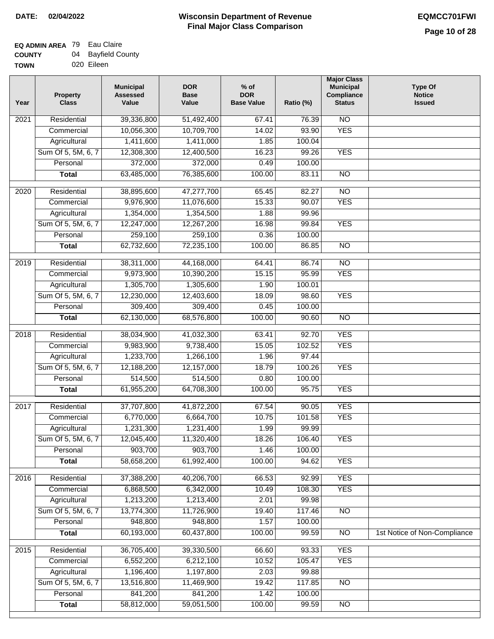| -------     | - - - - - - |
|-------------|-------------|
| <b>TOWN</b> | 020 Eileen  |

| Year              | <b>Property</b><br><b>Class</b> | <b>Municipal</b><br><b>Assessed</b><br>Value | <b>DOR</b><br><b>Base</b><br>Value | $%$ of<br><b>DOR</b><br><b>Base Value</b> | Ratio (%) | <b>Major Class</b><br><b>Municipal</b><br>Compliance<br><b>Status</b> | <b>Type Of</b><br><b>Notice</b><br><b>Issued</b> |
|-------------------|---------------------------------|----------------------------------------------|------------------------------------|-------------------------------------------|-----------|-----------------------------------------------------------------------|--------------------------------------------------|
| 2021              | Residential                     | 39,336,800                                   | 51,492,400                         | 67.41                                     | 76.39     | $\overline{NO}$                                                       |                                                  |
|                   | Commercial                      | 10,056,300                                   | 10,709,700                         | 14.02                                     | 93.90     | <b>YES</b>                                                            |                                                  |
|                   | Agricultural                    | 1,411,600                                    | 1,411,000                          | 1.85                                      | 100.04    |                                                                       |                                                  |
|                   | Sum Of 5, 5M, 6, 7              | 12,308,300                                   | 12,400,500                         | 16.23                                     | 99.26     | <b>YES</b>                                                            |                                                  |
|                   | Personal                        | 372,000                                      | 372,000                            | 0.49                                      | 100.00    |                                                                       |                                                  |
|                   | <b>Total</b>                    | 63,485,000                                   | 76,385,600                         | 100.00                                    | 83.11     | $\overline{NO}$                                                       |                                                  |
| 2020              | Residential                     | 38,895,600                                   | 47,277,700                         | 65.45                                     | 82.27     | $\overline{NO}$                                                       |                                                  |
|                   | Commercial                      | 9,976,900                                    | 11,076,600                         | 15.33                                     | 90.07     | <b>YES</b>                                                            |                                                  |
|                   | Agricultural                    | 1,354,000                                    | 1,354,500                          | 1.88                                      | 99.96     |                                                                       |                                                  |
|                   | Sum Of 5, 5M, 6, 7              | 12,247,000                                   | 12,267,200                         | 16.98                                     | 99.84     | <b>YES</b>                                                            |                                                  |
|                   | Personal                        | 259,100                                      | 259,100                            | 0.36                                      | 100.00    |                                                                       |                                                  |
|                   | <b>Total</b>                    | 62,732,600                                   | 72,235,100                         | 100.00                                    | 86.85     | $\overline{NO}$                                                       |                                                  |
|                   |                                 |                                              |                                    |                                           |           |                                                                       |                                                  |
| 2019              | Residential                     | 38,311,000                                   | 44,168,000                         | 64.41                                     | 86.74     | $\overline{NO}$                                                       |                                                  |
|                   | Commercial                      | 9,973,900                                    | 10,390,200                         | 15.15                                     | 95.99     | <b>YES</b>                                                            |                                                  |
|                   | Agricultural                    | 1,305,700                                    | 1,305,600                          | 1.90                                      | 100.01    |                                                                       |                                                  |
|                   | Sum Of 5, 5M, 6, 7              | 12,230,000                                   | 12,403,600                         | 18.09                                     | 98.60     | <b>YES</b>                                                            |                                                  |
|                   | Personal                        | 309,400                                      | 309,400                            | 0.45                                      | 100.00    |                                                                       |                                                  |
|                   | <b>Total</b>                    | 62,130,000                                   | 68,576,800                         | 100.00                                    | 90.60     | $\overline{NO}$                                                       |                                                  |
| $\overline{2018}$ | Residential                     | 38,034,900                                   | 41,032,300                         | 63.41                                     | 92.70     | <b>YES</b>                                                            |                                                  |
|                   | Commercial                      | 9,983,900                                    | 9,738,400                          | 15.05                                     | 102.52    | <b>YES</b>                                                            |                                                  |
|                   | Agricultural                    | 1,233,700                                    | 1,266,100                          | 1.96                                      | 97.44     |                                                                       |                                                  |
|                   | Sum Of 5, 5M, 6, 7              | 12,188,200                                   | 12,157,000                         | 18.79                                     | 100.26    | <b>YES</b>                                                            |                                                  |
|                   | Personal                        | 514,500                                      | 514,500                            | 0.80                                      | 100.00    |                                                                       |                                                  |
|                   | <b>Total</b>                    | 61,955,200                                   | 64,708,300                         | 100.00                                    | 95.75     | <b>YES</b>                                                            |                                                  |
| 2017              | Residential                     | 37,707,800                                   | 41,872,200                         | 67.54                                     | 90.05     | <b>YES</b>                                                            |                                                  |
|                   | Commercial                      | 6,770,000                                    | 6,664,700                          | 10.75                                     | 101.58    | <b>YES</b>                                                            |                                                  |
|                   | Agricultural                    | 1,231,300                                    | 1,231,400                          | 1.99                                      | 99.99     |                                                                       |                                                  |
|                   | Sum Of 5, 5M, 6, 7              | 12,045,400                                   | 11,320,400                         | 18.26                                     | 106.40    | <b>YES</b>                                                            |                                                  |
|                   | Personal                        | 903,700                                      | 903,700                            | 1.46                                      | 100.00    |                                                                       |                                                  |
|                   | <b>Total</b>                    | 58,658,200                                   | 61,992,400                         | 100.00                                    | 94.62     | <b>YES</b>                                                            |                                                  |
|                   |                                 |                                              |                                    |                                           |           |                                                                       |                                                  |
| 2016              | Residential                     | 37,388,200                                   | 40,206,700                         | 66.53                                     | 92.99     | <b>YES</b>                                                            |                                                  |
|                   | Commercial                      | 6,868,500                                    | 6,342,000                          | 10.49                                     | 108.30    | <b>YES</b>                                                            |                                                  |
|                   | Agricultural                    | 1,213,200                                    | 1,213,400                          | 2.01                                      | 99.98     |                                                                       |                                                  |
|                   | Sum Of 5, 5M, 6, 7              | 13,774,300                                   | 11,726,900                         | 19.40                                     | 117.46    | <b>NO</b>                                                             |                                                  |
|                   | Personal                        | 948,800                                      | 948,800                            | 1.57                                      | 100.00    |                                                                       |                                                  |
|                   | <b>Total</b>                    | 60,193,000                                   | 60,437,800                         | 100.00                                    | 99.59     | N <sub>O</sub>                                                        | 1st Notice of Non-Compliance                     |
| 2015              | Residential                     | 36,705,400                                   | 39,330,500                         | 66.60                                     | 93.33     | <b>YES</b>                                                            |                                                  |
|                   | Commercial                      | 6,552,200                                    | 6,212,100                          | 10.52                                     | 105.47    | <b>YES</b>                                                            |                                                  |
|                   | Agricultural                    | 1,196,400                                    | 1,197,800                          | 2.03                                      | 99.88     |                                                                       |                                                  |
|                   | Sum Of 5, 5M, 6, 7              | 13,516,800                                   | 11,469,900                         | 19.42                                     | 117.85    | <b>NO</b>                                                             |                                                  |
|                   | Personal                        | 841,200                                      | 841,200                            | 1.42                                      | 100.00    |                                                                       |                                                  |
|                   | <b>Total</b>                    | 58,812,000                                   | 59,051,500                         | 100.00                                    | 99.59     | $\overline{NO}$                                                       |                                                  |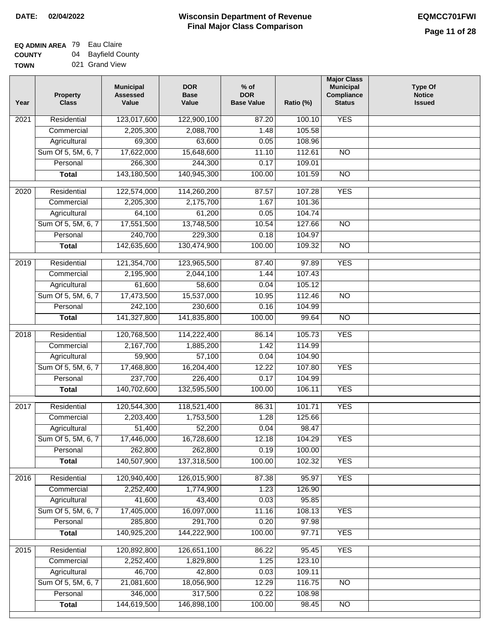#### **EQ ADMIN AREA** 79 Eau Claire **COUNTY** 04 Bayfield County

**TOWN** 021 Grand View

| Year | <b>Property</b><br><b>Class</b> | <b>Municipal</b><br><b>Assessed</b><br>Value | <b>DOR</b><br><b>Base</b><br>Value | % of<br><b>DOR</b><br><b>Base Value</b> | Ratio (%) | <b>Major Class</b><br><b>Municipal</b><br>Compliance<br><b>Status</b> | <b>Type Of</b><br><b>Notice</b><br><b>Issued</b> |
|------|---------------------------------|----------------------------------------------|------------------------------------|-----------------------------------------|-----------|-----------------------------------------------------------------------|--------------------------------------------------|
| 2021 | Residential                     | 123,017,600                                  | 122,900,100                        | 87.20                                   | 100.10    | <b>YES</b>                                                            |                                                  |
|      | Commercial                      | 2,205,300                                    | 2,088,700                          | 1.48                                    | 105.58    |                                                                       |                                                  |
|      | Agricultural                    | 69,300                                       | 63,600                             | 0.05                                    | 108.96    |                                                                       |                                                  |
|      | Sum Of 5, 5M, 6, 7              | 17,622,000                                   | 15,648,600                         | 11.10                                   | 112.61    | $\overline{NO}$                                                       |                                                  |
|      | Personal                        | 266,300                                      | 244,300                            | 0.17                                    | 109.01    |                                                                       |                                                  |
|      | <b>Total</b>                    | 143,180,500                                  | 140,945,300                        | 100.00                                  | 101.59    | $\overline{NO}$                                                       |                                                  |
| 2020 | Residential                     | 122,574,000                                  | 114,260,200                        | 87.57                                   | 107.28    | <b>YES</b>                                                            |                                                  |
|      | Commercial                      | 2,205,300                                    | 2,175,700                          | 1.67                                    | 101.36    |                                                                       |                                                  |
|      | Agricultural                    | 64,100                                       | 61,200                             | 0.05                                    | 104.74    |                                                                       |                                                  |
|      | Sum Of 5, 5M, 6, 7              | 17,551,500                                   | 13,748,500                         | 10.54                                   | 127.66    | $\overline{NO}$                                                       |                                                  |
|      | Personal                        | 240,700                                      | 229,300                            | 0.18                                    | 104.97    |                                                                       |                                                  |
|      | <b>Total</b>                    | 142,635,600                                  | 130,474,900                        | 100.00                                  | 109.32    | $\overline{NO}$                                                       |                                                  |
| 2019 | Residential                     | 121,354,700                                  | 123,965,500                        | 87.40                                   | 97.89     | <b>YES</b>                                                            |                                                  |
|      | Commercial                      | 2,195,900                                    | 2,044,100                          | 1.44                                    | 107.43    |                                                                       |                                                  |
|      | Agricultural                    | 61,600                                       | 58,600                             | 0.04                                    | 105.12    |                                                                       |                                                  |
|      | Sum Of 5, 5M, 6, 7              | 17,473,500                                   | 15,537,000                         | 10.95                                   | 112.46    | $\overline{NO}$                                                       |                                                  |
|      | Personal                        | 242,100                                      | 230,600                            | 0.16                                    | 104.99    |                                                                       |                                                  |
|      | <b>Total</b>                    | 141,327,800                                  | 141,835,800                        | 100.00                                  | 99.64     | $\overline{NO}$                                                       |                                                  |
| 2018 | Residential                     | 120,768,500                                  | 114,222,400                        | 86.14                                   | 105.73    | <b>YES</b>                                                            |                                                  |
|      | Commercial                      | 2,167,700                                    | 1,885,200                          | 1.42                                    | 114.99    |                                                                       |                                                  |
|      | Agricultural                    | 59,900                                       | 57,100                             | 0.04                                    | 104.90    |                                                                       |                                                  |
|      | Sum Of 5, 5M, 6, 7              | 17,468,800                                   | 16,204,400                         | 12.22                                   | 107.80    | <b>YES</b>                                                            |                                                  |
|      | Personal                        | 237,700                                      | 226,400                            | 0.17                                    | 104.99    |                                                                       |                                                  |
|      | <b>Total</b>                    | 140,702,600                                  | 132,595,500                        | 100.00                                  | 106.11    | <b>YES</b>                                                            |                                                  |
| 2017 | Residential                     | 120,544,300                                  | 118,521,400                        | 86.31                                   | 101.71    | <b>YES</b>                                                            |                                                  |
|      | Commercial                      | 2,203,400                                    | 1,753,500                          | 1.28                                    | 125.66    |                                                                       |                                                  |
|      | Agricultural                    | 51,400                                       | 52,200                             | 0.04                                    | 98.47     |                                                                       |                                                  |
|      | Sum Of 5, 5M, 6, 7              | 17,446,000                                   | 16,728,600                         | 12.18                                   | 104.29    | <b>YES</b>                                                            |                                                  |
|      | Personal                        | 262,800                                      | 262,800                            | 0.19                                    | 100.00    |                                                                       |                                                  |
|      | <b>Total</b>                    | 140,507,900                                  | 137,318,500                        | 100.00                                  | 102.32    | <b>YES</b>                                                            |                                                  |
| 2016 | Residential                     | 120,940,400                                  | 126,015,900                        | 87.38                                   | 95.97     | <b>YES</b>                                                            |                                                  |
|      | Commercial                      | 2,252,400                                    | 1,774,900                          | 1.23                                    | 126.90    |                                                                       |                                                  |
|      | Agricultural                    | 41,600                                       | 43,400                             | 0.03                                    | 95.85     |                                                                       |                                                  |
|      | Sum Of 5, 5M, 6, 7              | 17,405,000                                   | 16,097,000                         | 11.16                                   | 108.13    | <b>YES</b>                                                            |                                                  |
|      | Personal                        | 285,800                                      | 291,700                            | 0.20                                    | 97.98     |                                                                       |                                                  |
|      | <b>Total</b>                    | 140,925,200                                  | 144,222,900                        | 100.00                                  | 97.71     | <b>YES</b>                                                            |                                                  |
| 2015 | Residential                     | 120,892,800                                  | 126,651,100                        | 86.22                                   | 95.45     | <b>YES</b>                                                            |                                                  |
|      | Commercial                      | 2,252,400                                    | 1,829,800                          | 1.25                                    | 123.10    |                                                                       |                                                  |
|      | Agricultural                    | 46,700                                       | 42,800                             | 0.03                                    | 109.11    |                                                                       |                                                  |
|      | Sum Of 5, 5M, 6, 7              | 21,081,600                                   | 18,056,900                         | 12.29                                   | 116.75    | $\overline{NO}$                                                       |                                                  |
|      | Personal                        | 346,000                                      | 317,500                            | 0.22                                    | 108.98    |                                                                       |                                                  |
|      | <b>Total</b>                    | 144,619,500                                  | 146,898,100                        | 100.00                                  | 98.45     | $\overline{NO}$                                                       |                                                  |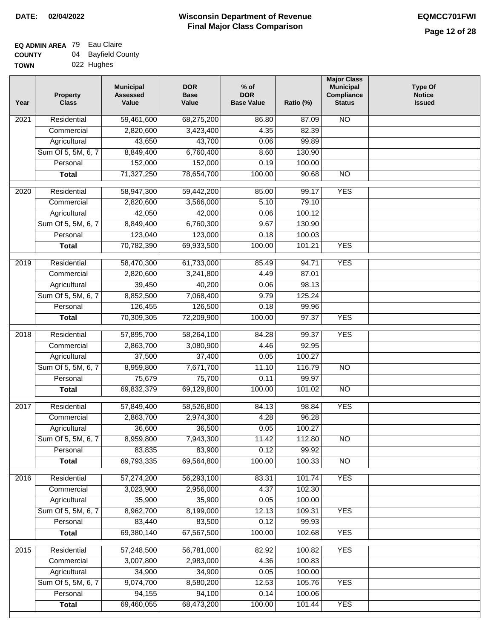# **Wisconsin Department of Revenue Final Major Class Comparison DATE: 02/04/2022 EQMCC701FWI**

# **EQ ADMIN AREA** 79 Eau Claire **COUNTY**

| <b>COUNTY</b> | 04 | Bayfield County |
|---------------|----|-----------------|
| <b>TOWN</b>   |    | 022 Hughes      |

| Year | <b>Property</b><br><b>Class</b> | <b>Municipal</b><br><b>Assessed</b><br>Value | <b>DOR</b><br><b>Base</b><br>Value | $%$ of<br><b>DOR</b><br><b>Base Value</b> | Ratio (%) | <b>Major Class</b><br><b>Municipal</b><br>Compliance<br><b>Status</b> | <b>Type Of</b><br><b>Notice</b><br><b>Issued</b> |
|------|---------------------------------|----------------------------------------------|------------------------------------|-------------------------------------------|-----------|-----------------------------------------------------------------------|--------------------------------------------------|
| 2021 | Residential                     | 59,461,600                                   | 68,275,200                         | 86.80                                     | 87.09     | <b>NO</b>                                                             |                                                  |
|      | Commercial                      | 2,820,600                                    | 3,423,400                          | 4.35                                      | 82.39     |                                                                       |                                                  |
|      | Agricultural                    | 43,650                                       | 43,700                             | 0.06                                      | 99.89     |                                                                       |                                                  |
|      | Sum Of 5, 5M, 6, 7              | 8,849,400                                    | 6,760,400                          | 8.60                                      | 130.90    |                                                                       |                                                  |
|      | Personal                        | 152,000                                      | 152,000                            | 0.19                                      | 100.00    |                                                                       |                                                  |
|      | <b>Total</b>                    | 71,327,250                                   | 78,654,700                         | 100.00                                    | 90.68     | $\overline{NO}$                                                       |                                                  |
| 2020 | Residential                     | 58,947,300                                   | 59,442,200                         | 85.00                                     | 99.17     | <b>YES</b>                                                            |                                                  |
|      | Commercial                      | 2,820,600                                    | 3,566,000                          | 5.10                                      | 79.10     |                                                                       |                                                  |
|      | Agricultural                    | 42,050                                       | 42,000                             | 0.06                                      | 100.12    |                                                                       |                                                  |
|      | Sum Of 5, 5M, 6, 7              | 8,849,400                                    | 6,760,300                          | 9.67                                      | 130.90    |                                                                       |                                                  |
|      | Personal                        | 123,040                                      | 123,000                            | 0.18                                      | 100.03    |                                                                       |                                                  |
|      | <b>Total</b>                    | 70,782,390                                   | 69,933,500                         | 100.00                                    | 101.21    | <b>YES</b>                                                            |                                                  |
|      |                                 |                                              |                                    |                                           |           |                                                                       |                                                  |
| 2019 | Residential                     | 58,470,300                                   | 61,733,000                         | 85.49                                     | 94.71     | <b>YES</b>                                                            |                                                  |
|      | Commercial                      | 2,820,600                                    | 3,241,800                          | 4.49                                      | 87.01     |                                                                       |                                                  |
|      | Agricultural                    | 39,450                                       | 40,200                             | 0.06                                      | 98.13     |                                                                       |                                                  |
|      | Sum Of 5, 5M, 6, 7              | 8,852,500                                    | 7,068,400                          | 9.79                                      | 125.24    |                                                                       |                                                  |
|      | Personal                        | 126,455                                      | 126,500                            | 0.18                                      | 99.96     |                                                                       |                                                  |
|      | <b>Total</b>                    | 70,309,305                                   | 72,209,900                         | 100.00                                    | 97.37     | <b>YES</b>                                                            |                                                  |
| 2018 | Residential                     | 57,895,700                                   | 58,264,100                         | 84.28                                     | 99.37     | <b>YES</b>                                                            |                                                  |
|      | Commercial                      | 2,863,700                                    | 3,080,900                          | 4.46                                      | 92.95     |                                                                       |                                                  |
|      | Agricultural                    | 37,500                                       | 37,400                             | 0.05                                      | 100.27    |                                                                       |                                                  |
|      | Sum Of 5, 5M, 6, 7              | 8,959,800                                    | 7,671,700                          | 11.10                                     | 116.79    | <b>NO</b>                                                             |                                                  |
|      | Personal                        | 75,679                                       | 75,700                             | 0.11                                      | 99.97     |                                                                       |                                                  |
|      | <b>Total</b>                    | 69,832,379                                   | 69,129,800                         | 100.00                                    | 101.02    | $\overline{10}$                                                       |                                                  |
| 2017 | Residential                     | 57,849,400                                   | 58,526,800                         | 84.13                                     | 98.84     | <b>YES</b>                                                            |                                                  |
|      | Commercial                      | 2,863,700                                    | 2,974,300                          | 4.28                                      | 96.28     |                                                                       |                                                  |
|      | Agricultural                    | 36,600                                       | 36,500                             | 0.05                                      | 100.27    |                                                                       |                                                  |
|      | Sum Of 5, 5M, 6, 7              | 8,959,800                                    | 7,943,300                          | 11.42                                     | 112.80    | $\overline{N}$                                                        |                                                  |
|      | Personal                        | 83,835                                       | 83,900                             | 0.12                                      | 99.92     |                                                                       |                                                  |
|      | <b>Total</b>                    | 69,793,335                                   | 69,564,800                         | 100.00                                    | 100.33    | $\overline{30}$                                                       |                                                  |
| 2016 | Residential                     | 57,274,200                                   | 56,293,100                         | 83.31                                     | 101.74    | <b>YES</b>                                                            |                                                  |
|      | Commercial                      | 3,023,900                                    | 2,956,000                          | 4.37                                      | 102.30    |                                                                       |                                                  |
|      | Agricultural                    | 35,900                                       | 35,900                             | 0.05                                      | 100.00    |                                                                       |                                                  |
|      | Sum Of 5, 5M, 6, 7              | 8,962,700                                    | 8,199,000                          | 12.13                                     | 109.31    | <b>YES</b>                                                            |                                                  |
|      | Personal                        | 83,440                                       | 83,500                             | 0.12                                      | 99.93     |                                                                       |                                                  |
|      | <b>Total</b>                    | 69,380,140                                   | 67,567,500                         | 100.00                                    | 102.68    | <b>YES</b>                                                            |                                                  |
| 2015 | Residential                     | 57,248,500                                   | 56,781,000                         | 82.92                                     | 100.82    | <b>YES</b>                                                            |                                                  |
|      | Commercial                      | 3,007,800                                    | 2,983,000                          | 4.36                                      | 100.83    |                                                                       |                                                  |
|      | Agricultural                    | 34,900                                       | 34,900                             | 0.05                                      | 100.00    |                                                                       |                                                  |
|      | Sum Of 5, 5M, 6, 7              | 9,074,700                                    | 8,580,200                          | 12.53                                     | 105.76    | <b>YES</b>                                                            |                                                  |
|      | Personal                        | 94,155                                       | 94,100                             | 0.14                                      | 100.06    |                                                                       |                                                  |
|      | <b>Total</b>                    | 69,460,055                                   | 68,473,200                         | 100.00                                    | 101.44    | <b>YES</b>                                                            |                                                  |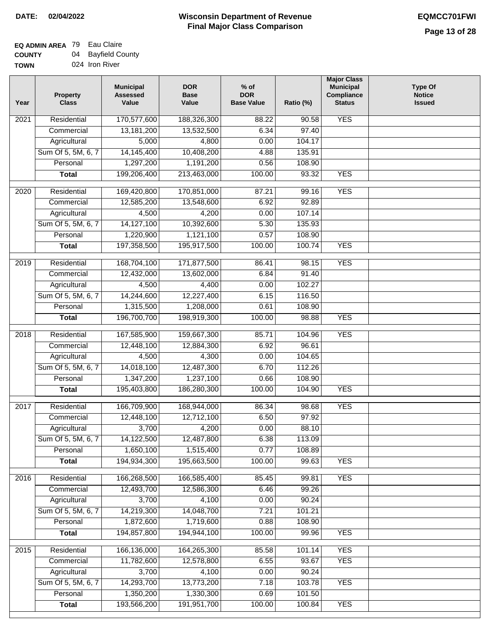| <b>0000000</b> | ິ | baynona oo a   |
|----------------|---|----------------|
| <b>TOWN</b>    |   | 024 Iron River |

| Year | <b>Property</b><br><b>Class</b> | <b>Municipal</b><br><b>Assessed</b><br>Value | <b>DOR</b><br><b>Base</b><br>Value | $%$ of<br><b>DOR</b><br><b>Base Value</b> | Ratio (%) | <b>Major Class</b><br><b>Municipal</b><br>Compliance<br><b>Status</b> | <b>Type Of</b><br><b>Notice</b><br><b>Issued</b> |
|------|---------------------------------|----------------------------------------------|------------------------------------|-------------------------------------------|-----------|-----------------------------------------------------------------------|--------------------------------------------------|
| 2021 | Residential                     | 170,577,600                                  | 188,326,300                        | 88.22                                     | 90.58     | <b>YES</b>                                                            |                                                  |
|      | Commercial                      | 13,181,200                                   | 13,532,500                         | 6.34                                      | 97.40     |                                                                       |                                                  |
|      | Agricultural                    | 5,000                                        | 4,800                              | 0.00                                      | 104.17    |                                                                       |                                                  |
|      | Sum Of 5, 5M, 6, 7              | 14,145,400                                   | 10,408,200                         | 4.88                                      | 135.91    |                                                                       |                                                  |
|      | Personal                        | 1,297,200                                    | 1,191,200                          | 0.56                                      | 108.90    |                                                                       |                                                  |
|      | <b>Total</b>                    | 199,206,400                                  | 213,463,000                        | 100.00                                    | 93.32     | <b>YES</b>                                                            |                                                  |
| 2020 | Residential                     | 169,420,800                                  | 170,851,000                        | 87.21                                     | 99.16     | <b>YES</b>                                                            |                                                  |
|      | Commercial                      | 12,585,200                                   | 13,548,600                         | 6.92                                      | 92.89     |                                                                       |                                                  |
|      | Agricultural                    | 4,500                                        | 4,200                              | 0.00                                      | 107.14    |                                                                       |                                                  |
|      | Sum Of 5, 5M, 6, 7              | 14,127,100                                   | 10,392,600                         | 5.30                                      | 135.93    |                                                                       |                                                  |
|      | Personal                        | 1,220,900                                    | 1,121,100                          | 0.57                                      | 108.90    |                                                                       |                                                  |
|      | <b>Total</b>                    | 197,358,500                                  | 195,917,500                        | 100.00                                    | 100.74    | <b>YES</b>                                                            |                                                  |
|      |                                 |                                              |                                    |                                           |           |                                                                       |                                                  |
| 2019 | Residential                     | 168,704,100                                  | 171,877,500                        | 86.41                                     | 98.15     | <b>YES</b>                                                            |                                                  |
|      | Commercial                      | 12,432,000                                   | 13,602,000                         | 6.84                                      | 91.40     |                                                                       |                                                  |
|      | Agricultural                    | 4,500                                        | 4,400                              | 0.00                                      | 102.27    |                                                                       |                                                  |
|      | Sum Of 5, 5M, 6, 7              | 14,244,600                                   | 12,227,400                         | 6.15                                      | 116.50    |                                                                       |                                                  |
|      | Personal                        | 1,315,500                                    | 1,208,000                          | 0.61                                      | 108.90    |                                                                       |                                                  |
|      | <b>Total</b>                    | 196,700,700                                  | 198,919,300                        | 100.00                                    | 98.88     | <b>YES</b>                                                            |                                                  |
| 2018 | Residential                     | 167,585,900                                  | 159,667,300                        | 85.71                                     | 104.96    | <b>YES</b>                                                            |                                                  |
|      | Commercial                      | 12,448,100                                   | 12,884,300                         | 6.92                                      | 96.61     |                                                                       |                                                  |
|      | Agricultural                    | 4,500                                        | 4,300                              | 0.00                                      | 104.65    |                                                                       |                                                  |
|      | Sum Of 5, 5M, 6, 7              | 14,018,100                                   | 12,487,300                         | 6.70                                      | 112.26    |                                                                       |                                                  |
|      | Personal                        | 1,347,200                                    | 1,237,100                          | 0.66                                      | 108.90    |                                                                       |                                                  |
|      | <b>Total</b>                    | 195,403,800                                  | 186,280,300                        | 100.00                                    | 104.90    | <b>YES</b>                                                            |                                                  |
| 2017 | Residential                     | 166,709,900                                  | 168,944,000                        | 86.34                                     | 98.68     | <b>YES</b>                                                            |                                                  |
|      | Commercial                      | 12,448,100                                   | 12,712,100                         | 6.50                                      | 97.92     |                                                                       |                                                  |
|      | Agricultural                    | 3,700                                        | 4,200                              | 0.00                                      | 88.10     |                                                                       |                                                  |
|      | Sum Of 5, 5M, 6, 7              | 14,122,500                                   | 12,487,800                         | 6.38                                      | 113.09    |                                                                       |                                                  |
|      | Personal                        | 1,650,100                                    | 1,515,400                          | 0.77                                      | 108.89    |                                                                       |                                                  |
|      | <b>Total</b>                    | 194,934,300                                  | 195,663,500                        | 100.00                                    | 99.63     | <b>YES</b>                                                            |                                                  |
| 2016 | Residential                     | 166,268,500                                  | 166,585,400                        | 85.45                                     | 99.81     | <b>YES</b>                                                            |                                                  |
|      | Commercial                      | 12,493,700                                   | 12,586,300                         | 6.46                                      | 99.26     |                                                                       |                                                  |
|      | Agricultural                    | 3,700                                        | 4,100                              | 0.00                                      | 90.24     |                                                                       |                                                  |
|      | Sum Of 5, 5M, 6, 7              | 14,219,300                                   | 14,048,700                         | 7.21                                      | 101.21    |                                                                       |                                                  |
|      | Personal                        | 1,872,600                                    | 1,719,600                          | 0.88                                      | 108.90    |                                                                       |                                                  |
|      | <b>Total</b>                    | 194,857,800                                  | 194,944,100                        | 100.00                                    | 99.96     | <b>YES</b>                                                            |                                                  |
|      |                                 |                                              |                                    |                                           |           |                                                                       |                                                  |
| 2015 | Residential                     | 166,136,000                                  | 164,265,300                        | 85.58                                     | 101.14    | <b>YES</b>                                                            |                                                  |
|      | Commercial                      | 11,782,600                                   | 12,578,800                         | 6.55                                      | 93.67     | <b>YES</b>                                                            |                                                  |
|      | Agricultural                    | 3,700                                        | 4,100                              | 0.00                                      | 90.24     |                                                                       |                                                  |
|      | Sum Of 5, 5M, 6, 7              | 14,293,700                                   | 13,773,200                         | 7.18                                      | 103.78    | <b>YES</b>                                                            |                                                  |
|      | Personal                        | 1,350,200                                    | 1,330,300                          | 0.69                                      | 101.50    |                                                                       |                                                  |
|      | <b>Total</b>                    | 193,566,200                                  | 191,951,700                        | 100.00                                    | 100.84    | <b>YES</b>                                                            |                                                  |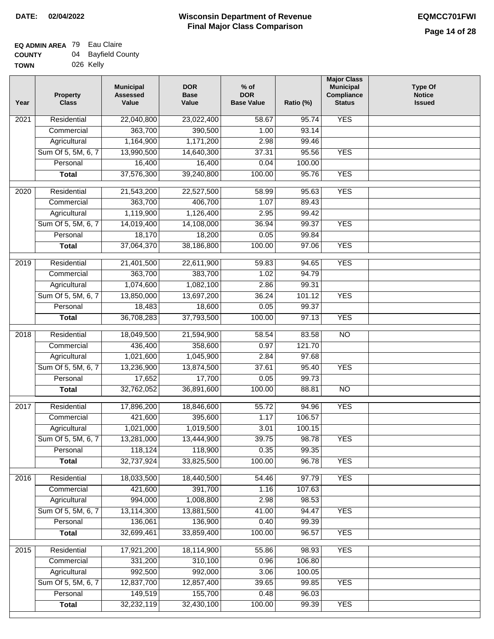| WN | 026 Kelly |  |
|----|-----------|--|
|    |           |  |

| Year              | <b>Property</b><br><b>Class</b> | <b>Municipal</b><br><b>Assessed</b><br>Value | <b>DOR</b><br><b>Base</b><br>Value | % of<br><b>DOR</b><br><b>Base Value</b> | Ratio (%) | <b>Major Class</b><br><b>Municipal</b><br>Compliance<br><b>Status</b> | <b>Type Of</b><br><b>Notice</b><br><b>Issued</b> |
|-------------------|---------------------------------|----------------------------------------------|------------------------------------|-----------------------------------------|-----------|-----------------------------------------------------------------------|--------------------------------------------------|
| 2021              | Residential                     | 22,040,800                                   | 23,022,400                         | 58.67                                   | 95.74     | <b>YES</b>                                                            |                                                  |
|                   | Commercial                      | 363,700                                      | 390,500                            | 1.00                                    | 93.14     |                                                                       |                                                  |
|                   | Agricultural                    | 1,164,900                                    | 1,171,200                          | 2.98                                    | 99.46     |                                                                       |                                                  |
|                   | Sum Of 5, 5M, 6, 7              | 13,990,500                                   | 14,640,300                         | 37.31                                   | 95.56     | <b>YES</b>                                                            |                                                  |
|                   | Personal                        | 16,400                                       | 16,400                             | 0.04                                    | 100.00    |                                                                       |                                                  |
|                   | <b>Total</b>                    | 37,576,300                                   | 39,240,800                         | 100.00                                  | 95.76     | <b>YES</b>                                                            |                                                  |
| 2020              | Residential                     | 21,543,200                                   | 22,527,500                         | 58.99                                   | 95.63     | <b>YES</b>                                                            |                                                  |
|                   | Commercial                      | 363,700                                      | 406,700                            | 1.07                                    | 89.43     |                                                                       |                                                  |
|                   | Agricultural                    | 1,119,900                                    | 1,126,400                          | 2.95                                    | 99.42     |                                                                       |                                                  |
|                   | Sum Of 5, 5M, 6, 7              | 14,019,400                                   | 14,108,000                         | 36.94                                   | 99.37     | <b>YES</b>                                                            |                                                  |
|                   | Personal                        | 18,170                                       | 18,200                             | 0.05                                    | 99.84     |                                                                       |                                                  |
|                   | <b>Total</b>                    | 37,064,370                                   | 38,186,800                         | 100.00                                  | 97.06     | <b>YES</b>                                                            |                                                  |
| 2019              | Residential                     | 21,401,500                                   | 22,611,900                         | 59.83                                   | 94.65     | <b>YES</b>                                                            |                                                  |
|                   | Commercial                      | 363,700                                      | 383,700                            | 1.02                                    | 94.79     |                                                                       |                                                  |
|                   | Agricultural                    | 1,074,600                                    | 1,082,100                          | 2.86                                    | 99.31     |                                                                       |                                                  |
|                   | Sum Of 5, 5M, 6, 7              | 13,850,000                                   | 13,697,200                         | 36.24                                   | 101.12    | <b>YES</b>                                                            |                                                  |
|                   | Personal                        | 18,483                                       | 18,600                             | 0.05                                    | 99.37     |                                                                       |                                                  |
|                   | <b>Total</b>                    | 36,708,283                                   | 37,793,500                         | 100.00                                  | 97.13     | <b>YES</b>                                                            |                                                  |
|                   |                                 |                                              |                                    |                                         |           |                                                                       |                                                  |
| $\overline{2018}$ | Residential                     | 18,049,500                                   | 21,594,900                         | 58.54                                   | 83.58     | $\overline{NO}$                                                       |                                                  |
|                   | Commercial                      | 436,400                                      | 358,600                            | 0.97                                    | 121.70    |                                                                       |                                                  |
|                   | Agricultural                    | 1,021,600                                    | 1,045,900                          | 2.84                                    | 97.68     |                                                                       |                                                  |
|                   | Sum Of 5, 5M, 6, 7              | 13,236,900                                   | 13,874,500                         | 37.61                                   | 95.40     | <b>YES</b>                                                            |                                                  |
|                   | Personal                        | 17,652                                       | 17,700                             | 0.05                                    | 99.73     |                                                                       |                                                  |
|                   | <b>Total</b>                    | 32,762,052                                   | 36,891,600                         | 100.00                                  | 88.81     | $\overline{10}$                                                       |                                                  |
| 2017              | Residential                     | 17,896,200                                   | 18,846,600                         | 55.72                                   | 94.96     | <b>YES</b>                                                            |                                                  |
|                   | Commercial                      | 421,600                                      | 395,600                            | 1.17                                    | 106.57    |                                                                       |                                                  |
|                   | Agricultural                    | 1,021,000                                    | 1,019,500                          | 3.01                                    | 100.15    |                                                                       |                                                  |
|                   | Sum Of 5, 5M, 6, 7              | 13,281,000                                   | 13,444,900                         | 39.75                                   | 98.78     | YES                                                                   |                                                  |
|                   | Personal                        | 118,124                                      | 118,900                            | 0.35                                    | 99.35     |                                                                       |                                                  |
|                   | <b>Total</b>                    | 32,737,924                                   | 33,825,500                         | 100.00                                  | 96.78     | <b>YES</b>                                                            |                                                  |
| 2016              | Residential                     | 18,033,500                                   | 18,440,500                         | 54.46                                   | 97.79     | <b>YES</b>                                                            |                                                  |
|                   | Commercial                      | 421,600                                      | 391,700                            | 1.16                                    | 107.63    |                                                                       |                                                  |
|                   | Agricultural                    | 994,000                                      | 1,008,800                          | 2.98                                    | 98.53     |                                                                       |                                                  |
|                   | Sum Of 5, 5M, 6, 7              | 13,114,300                                   | 13,881,500                         | 41.00                                   | 94.47     | <b>YES</b>                                                            |                                                  |
|                   | Personal                        | 136,061                                      | 136,900                            | 0.40                                    | 99.39     |                                                                       |                                                  |
|                   | <b>Total</b>                    | 32,699,461                                   | 33,859,400                         | 100.00                                  | 96.57     | <b>YES</b>                                                            |                                                  |
|                   |                                 |                                              |                                    |                                         |           |                                                                       |                                                  |
| $\overline{2015}$ | Residential                     | 17,921,200                                   | 18,114,900                         | 55.86                                   | 98.93     | <b>YES</b>                                                            |                                                  |
|                   | Commercial                      | 331,200                                      | 310,100                            | 0.96                                    | 106.80    |                                                                       |                                                  |
|                   | Agricultural                    | 992,500                                      | 992,000                            | 3.06                                    | 100.05    |                                                                       |                                                  |
|                   | Sum Of 5, 5M, 6, 7              | 12,837,700                                   | 12,857,400                         | 39.65                                   | 99.85     | <b>YES</b>                                                            |                                                  |
|                   | Personal                        | 149,519                                      | 155,700                            | 0.48                                    | 96.03     |                                                                       |                                                  |
|                   | <b>Total</b>                    | 32,232,119                                   | 32,430,100                         | 100.00                                  | 99.39     | <b>YES</b>                                                            |                                                  |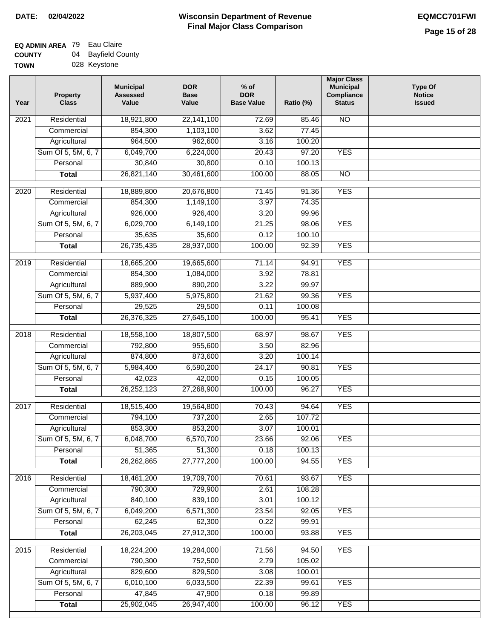# **EQ ADMIN AREA** 79 Eau Claire **COUNTY**

| <b>COUNTY</b> | 04 | Bayfield County |
|---------------|----|-----------------|
| <b>TOWN</b>   |    | 028 Keystone    |

| Year             | <b>Property</b><br><b>Class</b> | <b>Municipal</b><br><b>Assessed</b><br>Value | <b>DOR</b><br><b>Base</b><br>Value | $%$ of<br><b>DOR</b><br><b>Base Value</b> | Ratio (%) | <b>Major Class</b><br><b>Municipal</b><br>Compliance<br><b>Status</b> | <b>Type Of</b><br><b>Notice</b><br><b>Issued</b> |
|------------------|---------------------------------|----------------------------------------------|------------------------------------|-------------------------------------------|-----------|-----------------------------------------------------------------------|--------------------------------------------------|
| 2021             | Residential                     | 18,921,800                                   | 22,141,100                         | 72.69                                     | 85.46     | $\overline{NO}$                                                       |                                                  |
|                  | Commercial                      | 854,300                                      | 1,103,100                          | 3.62                                      | 77.45     |                                                                       |                                                  |
|                  | Agricultural                    | 964,500                                      | 962,600                            | 3.16                                      | 100.20    |                                                                       |                                                  |
|                  | Sum Of 5, 5M, 6, 7              | 6,049,700                                    | 6,224,000                          | 20.43                                     | 97.20     | <b>YES</b>                                                            |                                                  |
|                  | Personal                        | 30,840                                       | 30,800                             | 0.10                                      | 100.13    |                                                                       |                                                  |
|                  | <b>Total</b>                    | 26,821,140                                   | 30,461,600                         | 100.00                                    | 88.05     | $\overline{NO}$                                                       |                                                  |
| 2020             | Residential                     | 18,889,800                                   | 20,676,800                         | 71.45                                     | 91.36     | <b>YES</b>                                                            |                                                  |
|                  | Commercial                      | 854,300                                      | 1,149,100                          | 3.97                                      | 74.35     |                                                                       |                                                  |
|                  | Agricultural                    | 926,000                                      | 926,400                            | 3.20                                      | 99.96     |                                                                       |                                                  |
|                  | Sum Of 5, 5M, 6, 7              | 6,029,700                                    | 6,149,100                          | 21.25                                     | 98.06     | <b>YES</b>                                                            |                                                  |
|                  | Personal                        | 35,635                                       | 35,600                             | 0.12                                      | 100.10    |                                                                       |                                                  |
|                  | <b>Total</b>                    | 26,735,435                                   | 28,937,000                         | 100.00                                    | 92.39     | <b>YES</b>                                                            |                                                  |
|                  |                                 |                                              |                                    |                                           |           |                                                                       |                                                  |
| $\frac{1}{2019}$ | Residential                     | 18,665,200                                   | 19,665,600                         | 71.14                                     | 94.91     | <b>YES</b>                                                            |                                                  |
|                  | Commercial                      | 854,300                                      | 1,084,000                          | 3.92                                      | 78.81     |                                                                       |                                                  |
|                  | Agricultural                    | 889,900                                      | 890,200                            | 3.22                                      | 99.97     |                                                                       |                                                  |
|                  | Sum Of 5, 5M, 6, 7              | 5,937,400                                    | 5,975,800                          | 21.62                                     | 99.36     | <b>YES</b>                                                            |                                                  |
|                  | Personal                        | 29,525                                       | 29,500                             | 0.11                                      | 100.08    |                                                                       |                                                  |
|                  | <b>Total</b>                    | 26,376,325                                   | 27,645,100                         | 100.00                                    | 95.41     | <b>YES</b>                                                            |                                                  |
| 2018             | Residential                     | 18,558,100                                   | 18,807,500                         | 68.97                                     | 98.67     | <b>YES</b>                                                            |                                                  |
|                  | Commercial                      | 792,800                                      | 955,600                            | 3.50                                      | 82.96     |                                                                       |                                                  |
|                  | Agricultural                    | 874,800                                      | 873,600                            | 3.20                                      | 100.14    |                                                                       |                                                  |
|                  | Sum Of 5, 5M, 6, 7              | 5,984,400                                    | 6,590,200                          | 24.17                                     | 90.81     | <b>YES</b>                                                            |                                                  |
|                  | Personal                        | 42,023                                       | 42,000                             | 0.15                                      | 100.05    |                                                                       |                                                  |
|                  | <b>Total</b>                    | 26,252,123                                   | 27,268,900                         | 100.00                                    | 96.27     | <b>YES</b>                                                            |                                                  |
| 2017             | Residential                     | 18,515,400                                   | 19,564,800                         | 70.43                                     | 94.64     | <b>YES</b>                                                            |                                                  |
|                  | Commercial                      | 794,100                                      | 737,200                            | 2.65                                      | 107.72    |                                                                       |                                                  |
|                  | Agricultural                    | 853,300                                      | 853,200                            | 3.07                                      | 100.01    |                                                                       |                                                  |
|                  | Sum Of 5, 5M, 6, 7              | 6,048,700                                    | 6,570,700                          | 23.66                                     | 92.06     | <b>YES</b>                                                            |                                                  |
|                  | Personal                        | 51,365                                       | 51,300                             | 0.18                                      | 100.13    |                                                                       |                                                  |
|                  | <b>Total</b>                    | 26,262,865                                   | 27,777,200                         | 100.00                                    | 94.55     | <b>YES</b>                                                            |                                                  |
| 2016             | Residential                     | 18,461,200                                   | 19,709,700                         | 70.61                                     | 93.67     | <b>YES</b>                                                            |                                                  |
|                  | Commercial                      | 790,300                                      | 729,900                            | 2.61                                      | 108.28    |                                                                       |                                                  |
|                  | Agricultural                    | 840,100                                      | 839,100                            | 3.01                                      | 100.12    |                                                                       |                                                  |
|                  | Sum Of 5, 5M, 6, 7              | 6,049,200                                    | 6,571,300                          | 23.54                                     | 92.05     | <b>YES</b>                                                            |                                                  |
|                  | Personal                        | 62,245                                       | 62,300                             | 0.22                                      | 99.91     |                                                                       |                                                  |
|                  | <b>Total</b>                    | 26,203,045                                   | 27,912,300                         | 100.00                                    | 93.88     | <b>YES</b>                                                            |                                                  |
| 2015             | Residential                     | 18,224,200                                   | 19,284,000                         | 71.56                                     | 94.50     | <b>YES</b>                                                            |                                                  |
|                  | Commercial                      | 790,300                                      | 752,500                            | 2.79                                      | 105.02    |                                                                       |                                                  |
|                  | Agricultural                    | 829,600                                      | 829,500                            | 3.08                                      | 100.01    |                                                                       |                                                  |
|                  | Sum Of 5, 5M, 6, 7              | 6,010,100                                    | 6,033,500                          | 22.39                                     | 99.61     | <b>YES</b>                                                            |                                                  |
|                  | Personal                        | 47,845                                       | 47,900                             | 0.18                                      | 99.89     |                                                                       |                                                  |
|                  | <b>Total</b>                    | 25,902,045                                   | 26,947,400                         | 100.00                                    | 96.12     | <b>YES</b>                                                            |                                                  |
|                  |                                 |                                              |                                    |                                           |           |                                                                       |                                                  |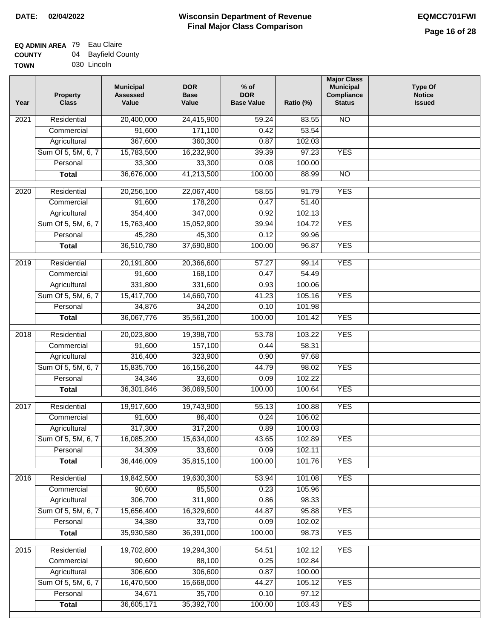# **Wisconsin Department of Revenue Final Major Class Comparison DATE: 02/04/2022 EQMCC701FWI**

# **EQ ADMIN AREA** 79 Eau Claire **COUNTY**

| <b>COUNTY</b> | 04 Bayfield County |
|---------------|--------------------|
| <b>TOWN</b>   | 030 Lincoln        |

| Year             | <b>Property</b><br><b>Class</b> | <b>Municipal</b><br><b>Assessed</b><br>Value | <b>DOR</b><br><b>Base</b><br>Value | $%$ of<br><b>DOR</b><br><b>Base Value</b> | Ratio (%) | <b>Major Class</b><br><b>Municipal</b><br>Compliance<br><b>Status</b> | <b>Type Of</b><br><b>Notice</b><br><b>Issued</b> |
|------------------|---------------------------------|----------------------------------------------|------------------------------------|-------------------------------------------|-----------|-----------------------------------------------------------------------|--------------------------------------------------|
| 2021             | Residential                     | 20,400,000                                   | 24,415,900                         | 59.24                                     | 83.55     | <b>NO</b>                                                             |                                                  |
|                  | Commercial                      | 91,600                                       | 171,100                            | 0.42                                      | 53.54     |                                                                       |                                                  |
|                  | Agricultural                    | 367,600                                      | 360,300                            | 0.87                                      | 102.03    |                                                                       |                                                  |
|                  | Sum Of 5, 5M, 6, 7              | 15,783,500                                   | 16,232,900                         | 39.39                                     | 97.23     | <b>YES</b>                                                            |                                                  |
|                  | Personal                        | 33,300                                       | 33,300                             | 0.08                                      | 100.00    |                                                                       |                                                  |
|                  | <b>Total</b>                    | 36,676,000                                   | 41,213,500                         | 100.00                                    | 88.99     | $\overline{NO}$                                                       |                                                  |
| $\frac{1}{2020}$ | Residential                     | 20,256,100                                   | 22,067,400                         | 58.55                                     | 91.79     | <b>YES</b>                                                            |                                                  |
|                  | Commercial                      | 91,600                                       | 178,200                            | 0.47                                      | 51.40     |                                                                       |                                                  |
|                  | Agricultural                    | 354,400                                      | 347,000                            | 0.92                                      | 102.13    |                                                                       |                                                  |
|                  | Sum Of 5, 5M, 6, 7              | 15,763,400                                   | 15,052,900                         | 39.94                                     | 104.72    | <b>YES</b>                                                            |                                                  |
|                  | Personal                        | 45,280                                       | 45,300                             | 0.12                                      | 99.96     |                                                                       |                                                  |
|                  | <b>Total</b>                    | 36,510,780                                   | 37,690,800                         | 100.00                                    | 96.87     | <b>YES</b>                                                            |                                                  |
|                  |                                 |                                              |                                    |                                           |           |                                                                       |                                                  |
| $\frac{1}{2019}$ | Residential                     | 20,191,800                                   | 20,366,600                         | 57.27                                     | 99.14     | <b>YES</b>                                                            |                                                  |
|                  | Commercial                      | 91,600                                       | 168,100                            | 0.47                                      | 54.49     |                                                                       |                                                  |
|                  | Agricultural                    | 331,800                                      | 331,600                            | 0.93                                      | 100.06    |                                                                       |                                                  |
|                  | Sum Of 5, 5M, 6, 7              | 15,417,700                                   | 14,660,700                         | 41.23                                     | 105.16    | <b>YES</b>                                                            |                                                  |
|                  | Personal                        | 34,876                                       | 34,200                             | 0.10                                      | 101.98    |                                                                       |                                                  |
|                  | <b>Total</b>                    | 36,067,776                                   | 35,561,200                         | 100.00                                    | 101.42    | <b>YES</b>                                                            |                                                  |
| 2018             | Residential                     | 20,023,800                                   | 19,398,700                         | 53.78                                     | 103.22    | <b>YES</b>                                                            |                                                  |
|                  | Commercial                      | 91,600                                       | 157,100                            | 0.44                                      | 58.31     |                                                                       |                                                  |
|                  | Agricultural                    | 316,400                                      | 323,900                            | 0.90                                      | 97.68     |                                                                       |                                                  |
|                  | Sum Of 5, 5M, 6, 7              | 15,835,700                                   | 16,156,200                         | 44.79                                     | 98.02     | <b>YES</b>                                                            |                                                  |
|                  | Personal                        | 34,346                                       | 33,600                             | 0.09                                      | 102.22    |                                                                       |                                                  |
|                  | <b>Total</b>                    | 36,301,846                                   | 36,069,500                         | 100.00                                    | 100.64    | <b>YES</b>                                                            |                                                  |
| 2017             | Residential                     | 19,917,600                                   | 19,743,900                         | 55.13                                     | 100.88    | <b>YES</b>                                                            |                                                  |
|                  | Commercial                      | 91,600                                       | 86,400                             | 0.24                                      | 106.02    |                                                                       |                                                  |
|                  | Agricultural                    | 317,300                                      | 317,200                            | 0.89                                      | 100.03    |                                                                       |                                                  |
|                  | Sum Of 5, 5M, 6, 7              | 16,085,200                                   | 15,634,000                         | 43.65                                     | 102.89    | <b>YES</b>                                                            |                                                  |
|                  | Personal                        | 34,309                                       | 33,600                             | 0.09                                      | 102.11    |                                                                       |                                                  |
|                  | <b>Total</b>                    | 36,446,009                                   | 35,815,100                         | 100.00                                    | 101.76    | <b>YES</b>                                                            |                                                  |
| 2016             | Residential                     | 19,842,500                                   | 19,630,300                         | 53.94                                     | 101.08    | <b>YES</b>                                                            |                                                  |
|                  | Commercial                      | 90,600                                       | 85,500                             | 0.23                                      | 105.96    |                                                                       |                                                  |
|                  | Agricultural                    | 306,700                                      | 311,900                            | 0.86                                      | 98.33     |                                                                       |                                                  |
|                  | Sum Of 5, 5M, 6, 7              | 15,656,400                                   | 16,329,600                         | 44.87                                     | 95.88     | <b>YES</b>                                                            |                                                  |
|                  | Personal                        | 34,380                                       | 33,700                             | 0.09                                      | 102.02    |                                                                       |                                                  |
|                  | <b>Total</b>                    | 35,930,580                                   | 36,391,000                         | 100.00                                    | 98.73     | <b>YES</b>                                                            |                                                  |
|                  |                                 |                                              |                                    |                                           |           |                                                                       |                                                  |
| 2015             | Residential                     | 19,702,800                                   | 19,294,300                         | 54.51                                     | 102.12    | <b>YES</b>                                                            |                                                  |
|                  | Commercial                      | 90,600                                       | 88,100                             | 0.25                                      | 102.84    |                                                                       |                                                  |
|                  | Agricultural                    | 306,600                                      | 306,600                            | 0.87                                      | 100.00    |                                                                       |                                                  |
|                  | Sum Of 5, 5M, 6, 7              | 16,470,500                                   | 15,668,000                         | 44.27                                     | 105.12    | <b>YES</b>                                                            |                                                  |
|                  | Personal                        | 34,671                                       | 35,700                             | 0.10                                      | 97.12     |                                                                       |                                                  |
|                  | <b>Total</b>                    | 36,605,171                                   | 35,392,700                         | 100.00                                    | 103.43    | <b>YES</b>                                                            |                                                  |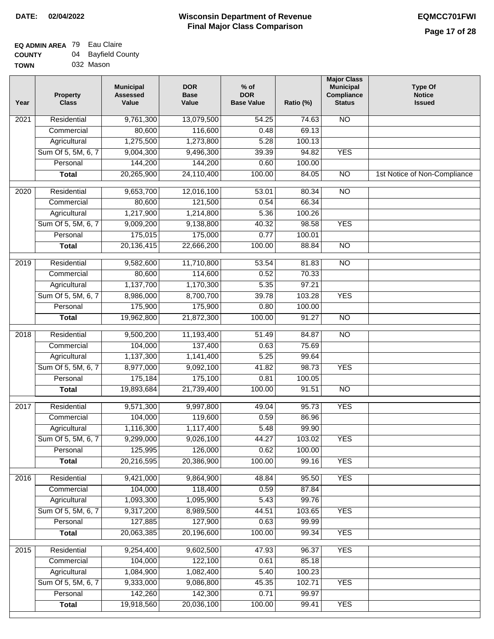| <b>TOWN</b> | 032 Mason |
|-------------|-----------|
|             |           |

| Year              | <b>Property</b><br><b>Class</b> | <b>Municipal</b><br><b>Assessed</b><br>Value | <b>DOR</b><br><b>Base</b><br>Value | % of<br><b>DOR</b><br><b>Base Value</b> | Ratio (%) | <b>Major Class</b><br><b>Municipal</b><br>Compliance<br><b>Status</b> | <b>Type Of</b><br><b>Notice</b><br><b>Issued</b> |
|-------------------|---------------------------------|----------------------------------------------|------------------------------------|-----------------------------------------|-----------|-----------------------------------------------------------------------|--------------------------------------------------|
| 2021              | Residential                     | 9,761,300                                    | 13,079,500                         | 54.25                                   | 74.63     | N <sub>O</sub>                                                        |                                                  |
|                   | Commercial                      | 80,600                                       | 116,600                            | 0.48                                    | 69.13     |                                                                       |                                                  |
|                   | Agricultural                    | 1,275,500                                    | 1,273,800                          | 5.28                                    | 100.13    |                                                                       |                                                  |
|                   | Sum Of 5, 5M, 6, 7              | 9,004,300                                    | 9,496,300                          | 39.39                                   | 94.82     | <b>YES</b>                                                            |                                                  |
|                   | Personal                        | 144,200                                      | 144,200                            | 0.60                                    | 100.00    |                                                                       |                                                  |
|                   | <b>Total</b>                    | 20,265,900                                   | 24,110,400                         | 100.00                                  | 84.05     | $\overline{NO}$                                                       | 1st Notice of Non-Compliance                     |
| 2020              | Residential                     | 9,653,700                                    | 12,016,100                         | 53.01                                   | 80.34     | $\overline{NO}$                                                       |                                                  |
|                   | Commercial                      | 80,600                                       | 121,500                            | 0.54                                    | 66.34     |                                                                       |                                                  |
|                   | Agricultural                    | 1,217,900                                    | 1,214,800                          | 5.36                                    | 100.26    |                                                                       |                                                  |
|                   | Sum Of 5, 5M, 6, 7              | 9,009,200                                    | 9,138,800                          | 40.32                                   | 98.58     | <b>YES</b>                                                            |                                                  |
|                   | Personal                        | 175,015                                      | 175,000                            | 0.77                                    | 100.01    |                                                                       |                                                  |
|                   | <b>Total</b>                    | 20,136,415                                   | 22,666,200                         | 100.00                                  | 88.84     | <b>NO</b>                                                             |                                                  |
| 2019              | Residential                     | 9,582,600                                    | 11,710,800                         | 53.54                                   | 81.83     | $\overline{NO}$                                                       |                                                  |
|                   | Commercial                      | 80,600                                       | 114,600                            | 0.52                                    | 70.33     |                                                                       |                                                  |
|                   | Agricultural                    | 1,137,700                                    | 1,170,300                          | 5.35                                    | 97.21     |                                                                       |                                                  |
|                   | Sum Of 5, 5M, 6, 7              | 8,986,000                                    | 8,700,700                          | 39.78                                   | 103.28    | <b>YES</b>                                                            |                                                  |
|                   | Personal                        | 175,900                                      | 175,900                            | 0.80                                    | 100.00    |                                                                       |                                                  |
|                   | <b>Total</b>                    | 19,962,800                                   | 21,872,300                         | 100.00                                  | 91.27     | $\overline{N}$                                                        |                                                  |
| 2018              | Residential                     | 9,500,200                                    | 11,193,400                         | 51.49                                   | 84.87     | $\overline{NO}$                                                       |                                                  |
|                   | Commercial                      | 104,000                                      | 137,400                            | 0.63                                    | 75.69     |                                                                       |                                                  |
|                   | Agricultural                    | 1,137,300                                    | 1,141,400                          | 5.25                                    | 99.64     |                                                                       |                                                  |
|                   | Sum Of 5, 5M, 6, 7              | 8,977,000                                    | 9,092,100                          | 41.82                                   | 98.73     | <b>YES</b>                                                            |                                                  |
|                   | Personal                        | 175,184                                      | 175,100                            | 0.81                                    | 100.05    |                                                                       |                                                  |
|                   | <b>Total</b>                    | 19,893,684                                   | 21,739,400                         | 100.00                                  | 91.51     | <b>NO</b>                                                             |                                                  |
| 2017              | Residential                     | 9,571,300                                    | 9,997,800                          | 49.04                                   | 95.73     | <b>YES</b>                                                            |                                                  |
|                   | Commercial                      | 104,000                                      | 119,600                            | 0.59                                    | 86.96     |                                                                       |                                                  |
|                   | Agricultural                    | 1,116,300                                    | 1,117,400                          | 5.48                                    | 99.90     |                                                                       |                                                  |
|                   | Sum Of 5, 5M, 6, 7              | 9,299,000                                    | 9,026,100                          | 44.27                                   | 103.02    | YES                                                                   |                                                  |
|                   | Personal                        | 125,995                                      | 126,000                            | 0.62                                    | 100.00    |                                                                       |                                                  |
|                   | <b>Total</b>                    | 20,216,595                                   | 20,386,900                         | 100.00                                  | 99.16     | <b>YES</b>                                                            |                                                  |
| 2016              | Residential                     | 9,421,000                                    | 9,864,900                          | 48.84                                   | 95.50     | <b>YES</b>                                                            |                                                  |
|                   | Commercial                      | 104,000                                      | 118,400                            | 0.59                                    | 87.84     |                                                                       |                                                  |
|                   | Agricultural                    | 1,093,300                                    | 1,095,900                          | 5.43                                    | 99.76     |                                                                       |                                                  |
|                   | Sum Of 5, 5M, 6, 7              | 9,317,200                                    | 8,989,500                          | 44.51                                   | 103.65    | <b>YES</b>                                                            |                                                  |
|                   | Personal                        | 127,885                                      | 127,900                            | 0.63                                    | 99.99     |                                                                       |                                                  |
|                   | <b>Total</b>                    | 20,063,385                                   | 20,196,600                         | 100.00                                  | 99.34     | <b>YES</b>                                                            |                                                  |
|                   |                                 |                                              |                                    |                                         |           |                                                                       |                                                  |
| $\overline{2015}$ | Residential                     | 9,254,400                                    | 9,602,500                          | 47.93                                   | 96.37     | <b>YES</b>                                                            |                                                  |
|                   | Commercial                      | 104,000                                      | 122,100                            | 0.61                                    | 85.18     |                                                                       |                                                  |
|                   | Agricultural                    | 1,084,900                                    | 1,082,400                          | 5.40                                    | 100.23    |                                                                       |                                                  |
|                   | Sum Of 5, 5M, 6, 7              | 9,333,000                                    | 9,086,800                          | 45.35                                   | 102.71    | <b>YES</b>                                                            |                                                  |
|                   | Personal                        | 142,260                                      | 142,300                            | 0.71                                    | 99.97     |                                                                       |                                                  |
|                   | <b>Total</b>                    | 19,918,560                                   | 20,036,100                         | 100.00                                  | 99.41     | <b>YES</b>                                                            |                                                  |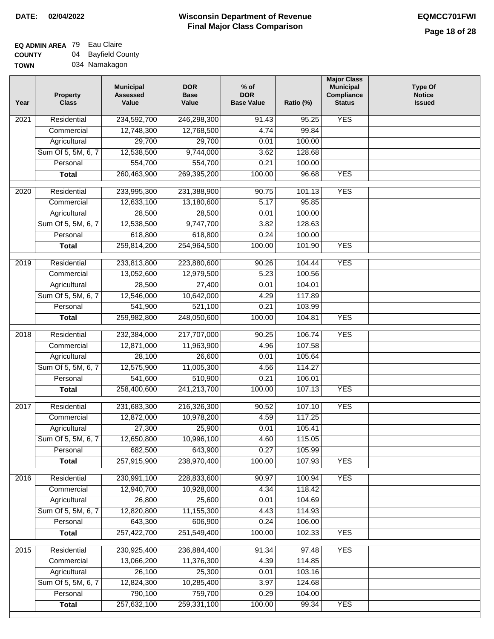#### **EQ ADMIN AREA** 79 Eau Claire **COUNTY** 04 Bayfield County

**TOWN** 034 Namakagon

| Year             | <b>Property</b><br><b>Class</b> | <b>Municipal</b><br><b>Assessed</b><br>Value | <b>DOR</b><br><b>Base</b><br>Value | $%$ of<br><b>DOR</b><br><b>Base Value</b> | Ratio (%) | <b>Major Class</b><br><b>Municipal</b><br>Compliance<br><b>Status</b> | <b>Type Of</b><br><b>Notice</b><br><b>Issued</b> |
|------------------|---------------------------------|----------------------------------------------|------------------------------------|-------------------------------------------|-----------|-----------------------------------------------------------------------|--------------------------------------------------|
| 2021             | Residential                     | 234,592,700                                  | 246,298,300                        | $\frac{1}{91.43}$                         | 95.25     | <b>YES</b>                                                            |                                                  |
|                  | Commercial                      | 12,748,300                                   | 12,768,500                         | 4.74                                      | 99.84     |                                                                       |                                                  |
|                  | Agricultural                    | 29,700                                       | 29,700                             | 0.01                                      | 100.00    |                                                                       |                                                  |
|                  | Sum Of 5, 5M, 6, 7              | 12,538,500                                   | 9,744,000                          | 3.62                                      | 128.68    |                                                                       |                                                  |
|                  | Personal                        | 554,700                                      | 554,700                            | 0.21                                      | 100.00    |                                                                       |                                                  |
|                  | <b>Total</b>                    | 260,463,900                                  | 269,395,200                        | 100.00                                    | 96.68     | <b>YES</b>                                                            |                                                  |
| $\frac{1}{2020}$ | Residential                     | 233,995,300                                  | 231,388,900                        | 90.75                                     | 101.13    | <b>YES</b>                                                            |                                                  |
|                  | Commercial                      | 12,633,100                                   | 13,180,600                         | 5.17                                      | 95.85     |                                                                       |                                                  |
|                  | Agricultural                    | 28,500                                       | 28,500                             | 0.01                                      | 100.00    |                                                                       |                                                  |
|                  | Sum Of 5, 5M, 6, 7              | 12,538,500                                   | 9,747,700                          | 3.82                                      | 128.63    |                                                                       |                                                  |
|                  | Personal                        | 618,800                                      | 618,800                            | 0.24                                      | 100.00    |                                                                       |                                                  |
|                  | <b>Total</b>                    | 259,814,200                                  | 254,964,500                        | 100.00                                    | 101.90    | <b>YES</b>                                                            |                                                  |
| $\frac{1}{2019}$ | Residential                     | 233,813,800                                  | 223,880,600                        | 90.26                                     | 104.44    | <b>YES</b>                                                            |                                                  |
|                  | Commercial                      | 13,052,600                                   | 12,979,500                         | 5.23                                      | 100.56    |                                                                       |                                                  |
|                  | Agricultural                    | 28,500                                       | 27,400                             | 0.01                                      | 104.01    |                                                                       |                                                  |
|                  | Sum Of 5, 5M, 6, 7              | 12,546,000                                   | 10,642,000                         | 4.29                                      | 117.89    |                                                                       |                                                  |
|                  | Personal                        | 541,900                                      | 521,100                            | 0.21                                      | 103.99    |                                                                       |                                                  |
|                  | <b>Total</b>                    | 259,982,800                                  | 248,050,600                        | 100.00                                    | 104.81    | <b>YES</b>                                                            |                                                  |
| 2018             | Residential                     | 232,384,000                                  | 217,707,000                        | 90.25                                     | 106.74    | <b>YES</b>                                                            |                                                  |
|                  | Commercial                      | 12,871,000                                   | 11,963,900                         | 4.96                                      | 107.58    |                                                                       |                                                  |
|                  | Agricultural                    | 28,100                                       | 26,600                             | 0.01                                      | 105.64    |                                                                       |                                                  |
|                  | Sum Of 5, 5M, 6, 7              | 12,575,900                                   | 11,005,300                         | 4.56                                      | 114.27    |                                                                       |                                                  |
|                  | Personal                        | 541,600                                      | 510,900                            | 0.21                                      | 106.01    |                                                                       |                                                  |
|                  | <b>Total</b>                    | 258,400,600                                  | 241,213,700                        | 100.00                                    | 107.13    | <b>YES</b>                                                            |                                                  |
| 2017             | Residential                     | 231,683,300                                  | 216,326,300                        | 90.52                                     | 107.10    | <b>YES</b>                                                            |                                                  |
|                  | Commercial                      | 12,872,000                                   | 10,978,200                         | 4.59                                      | 117.25    |                                                                       |                                                  |
|                  | Agricultural                    | 27,300                                       | 25,900                             | 0.01                                      | 105.41    |                                                                       |                                                  |
|                  | Sum Of 5, 5M, 6, 7              | 12,650,800                                   | 10,996,100                         | 4.60                                      | 115.05    |                                                                       |                                                  |
|                  | Personal                        | 682,500                                      | 643,900                            | 0.27                                      | 105.99    |                                                                       |                                                  |
|                  | <b>Total</b>                    | 257,915,900                                  | 238,970,400                        | 100.00                                    | 107.93    | <b>YES</b>                                                            |                                                  |
|                  |                                 |                                              |                                    |                                           |           |                                                                       |                                                  |
| 2016             | Residential                     | 230,991,100                                  | 228,833,600                        | 90.97                                     | 100.94    | <b>YES</b>                                                            |                                                  |
|                  | Commercial                      | 12,940,700                                   | 10,928,000                         | 4.34                                      | 118.42    |                                                                       |                                                  |
|                  | Agricultural                    | 26,800                                       | 25,600                             | 0.01                                      | 104.69    |                                                                       |                                                  |
|                  | Sum Of 5, 5M, 6, 7              | 12,820,800                                   | 11,155,300                         | 4.43                                      | 114.93    |                                                                       |                                                  |
|                  | Personal                        | 643,300                                      | 606,900                            | 0.24                                      | 106.00    |                                                                       |                                                  |
|                  | <b>Total</b>                    | 257,422,700                                  | 251,549,400                        | 100.00                                    | 102.33    | <b>YES</b>                                                            |                                                  |
| 2015             | Residential                     | 230,925,400                                  | 236,884,400                        | 91.34                                     | 97.48     | <b>YES</b>                                                            |                                                  |
|                  | Commercial                      | 13,066,200                                   | 11,376,300                         | 4.39                                      | 114.85    |                                                                       |                                                  |
|                  | Agricultural                    | 26,100                                       | 25,300                             | 0.01                                      | 103.16    |                                                                       |                                                  |
|                  | Sum Of 5, 5M, 6, 7              | 12,824,300                                   | 10,285,400                         | 3.97                                      | 124.68    |                                                                       |                                                  |
|                  | Personal                        | 790,100                                      | 759,700                            | 0.29                                      | 104.00    |                                                                       |                                                  |
|                  | <b>Total</b>                    | 257,632,100                                  | 259,331,100                        | 100.00                                    | 99.34     | <b>YES</b>                                                            |                                                  |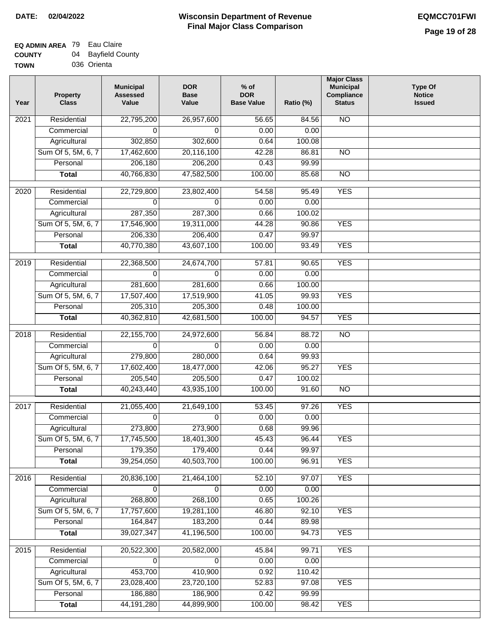| <b>UUUNII</b> | ◡᠇ | <b>Daynoid Ood</b> |
|---------------|----|--------------------|
| <b>TOWN</b>   |    | 036 Orienta        |

| N <sub>O</sub><br>Residential<br>22,795,200<br>26,957,600<br>56.65<br>84.56<br>2021<br>0.00<br>Commercial<br>0.00<br>0<br>0<br>Agricultural<br>302,850<br>302,600<br>0.64<br>100.08<br>Sum Of 5, 5M, 6, 7<br>17,462,600<br>20,116,100<br>42.28<br>86.81<br><b>NO</b><br>206,180<br>206,200<br>99.99<br>Personal<br>0.43<br>40,766,830<br>47,582,500<br>100.00<br>85.68<br>N <sub>O</sub><br><b>Total</b><br><b>YES</b><br>Residential<br>22,729,800<br>23,802,400<br>54.58<br>95.49<br>2020<br>Commercial<br>$\Omega$<br>0.00<br>0.00<br>$\Omega$<br>287,350<br>287,300<br>0.66<br>100.02<br>Agricultural<br><b>YES</b><br>Sum Of 5, 5M, 6, 7<br>17,546,900<br>44.28<br>19,311,000<br>90.86<br>206,330<br>Personal<br>206,400<br>0.47<br>99.97<br>40,770,380<br>100.00<br><b>YES</b><br>43,607,100<br>93.49<br><b>Total</b><br>Residential<br>22,368,500<br><b>YES</b><br>2019<br>24,674,700<br>57.81<br>90.65<br>Commercial<br>0.00<br>0.00<br>$\Omega$<br>$\Omega$<br>Agricultural<br>281,600<br>281,600<br>0.66<br>100.00<br>Sum Of 5, 5M, 6, 7<br>17,507,400<br>17,519,900<br>41.05<br>99.93<br><b>YES</b><br>Personal<br>205,310<br>205,300<br>0.48<br>100.00<br>40,362,810<br>42,681,500<br>100.00<br>94.57<br><b>YES</b><br><b>Total</b><br>2018<br>Residential<br>88.72<br>$\overline{NO}$<br>22,155,700<br>24,972,600<br>56.84<br>Commercial<br>0.00<br>$\Omega$<br>0.00<br>0<br>279,800<br>280,000<br>0.64<br>99.93<br>Agricultural<br>Sum Of 5, 5M, 6, 7<br>17,602,400<br>95.27<br><b>YES</b><br>18,477,000<br>42.06<br>Personal<br>205,540<br>205,500<br>0.47<br>100.02<br>40,243,440<br>43,935,100<br>100.00<br>$\overline{NO}$<br><b>Total</b><br>91.60<br><b>YES</b><br>Residential<br>97.26<br>2017<br>21,055,400<br>21,649,100<br>53.45<br>0.00<br>0.00<br>Commercial<br>$\Omega$<br>$\Omega$<br>273,800<br>273,900<br>0.68<br>99.96<br>Agricultural<br>Sum Of 5, 5M, 6, 7<br>17,745,500<br>18,401,300<br>45.43<br><b>YES</b><br>96.44<br>179,350<br>179,400<br>0.44<br>99.97<br>Personal<br>40,503,700<br>100.00<br><b>YES</b><br>39,254,050<br>96.91<br><b>Total</b><br>Residential<br><b>YES</b><br>20,836,100<br>21,464,100<br>52.10<br>97.07<br>2016<br>0.00<br>Commercial<br>0.00<br>0<br>0<br>268,800<br>Agricultural<br>268,100<br>0.65<br>100.26<br>Sum Of 5, 5M, 6, 7<br>17,757,600<br>46.80<br>92.10<br><b>YES</b><br>19,281,100<br>164,847<br>183,200<br>0.44<br>Personal<br>89.98<br>39,027,347<br>41,196,500<br>100.00<br>94.73<br><b>YES</b><br><b>Total</b><br>Residential<br>20,522,300<br>20,582,000<br><b>YES</b><br>2015<br>45.84<br>99.71<br>Commercial<br>0.00<br>$\Omega$<br>0.00<br>0<br>453,700<br>410,900<br>Agricultural<br>0.92<br>110.42<br>Sum Of 5, 5M, 6, 7<br><b>YES</b><br>23,028,400<br>23,720,100<br>52.83<br>97.08<br>Personal<br>186,880<br>186,900<br>0.42<br>99.99<br>44, 191, 280<br><b>YES</b><br>44,899,900<br>100.00<br>98.42<br><b>Total</b> | Year | <b>Property</b><br><b>Class</b> | <b>Municipal</b><br><b>Assessed</b><br>Value | <b>DOR</b><br><b>Base</b><br>Value | $%$ of<br><b>DOR</b><br><b>Base Value</b> | Ratio (%) | <b>Major Class</b><br><b>Municipal</b><br>Compliance<br><b>Status</b> | <b>Type Of</b><br><b>Notice</b><br><b>Issued</b> |
|------------------------------------------------------------------------------------------------------------------------------------------------------------------------------------------------------------------------------------------------------------------------------------------------------------------------------------------------------------------------------------------------------------------------------------------------------------------------------------------------------------------------------------------------------------------------------------------------------------------------------------------------------------------------------------------------------------------------------------------------------------------------------------------------------------------------------------------------------------------------------------------------------------------------------------------------------------------------------------------------------------------------------------------------------------------------------------------------------------------------------------------------------------------------------------------------------------------------------------------------------------------------------------------------------------------------------------------------------------------------------------------------------------------------------------------------------------------------------------------------------------------------------------------------------------------------------------------------------------------------------------------------------------------------------------------------------------------------------------------------------------------------------------------------------------------------------------------------------------------------------------------------------------------------------------------------------------------------------------------------------------------------------------------------------------------------------------------------------------------------------------------------------------------------------------------------------------------------------------------------------------------------------------------------------------------------------------------------------------------------------------------------------------------------------------------------------------------------------------------------------------------------------------------------------------------------------------------------------------------------------------------------------------------------------------------------------------------------------------------------------------------------------------------------------------------------------------------------------------------------------------------------------------|------|---------------------------------|----------------------------------------------|------------------------------------|-------------------------------------------|-----------|-----------------------------------------------------------------------|--------------------------------------------------|
|                                                                                                                                                                                                                                                                                                                                                                                                                                                                                                                                                                                                                                                                                                                                                                                                                                                                                                                                                                                                                                                                                                                                                                                                                                                                                                                                                                                                                                                                                                                                                                                                                                                                                                                                                                                                                                                                                                                                                                                                                                                                                                                                                                                                                                                                                                                                                                                                                                                                                                                                                                                                                                                                                                                                                                                                                                                                                                            |      |                                 |                                              |                                    |                                           |           |                                                                       |                                                  |
|                                                                                                                                                                                                                                                                                                                                                                                                                                                                                                                                                                                                                                                                                                                                                                                                                                                                                                                                                                                                                                                                                                                                                                                                                                                                                                                                                                                                                                                                                                                                                                                                                                                                                                                                                                                                                                                                                                                                                                                                                                                                                                                                                                                                                                                                                                                                                                                                                                                                                                                                                                                                                                                                                                                                                                                                                                                                                                            |      |                                 |                                              |                                    |                                           |           |                                                                       |                                                  |
|                                                                                                                                                                                                                                                                                                                                                                                                                                                                                                                                                                                                                                                                                                                                                                                                                                                                                                                                                                                                                                                                                                                                                                                                                                                                                                                                                                                                                                                                                                                                                                                                                                                                                                                                                                                                                                                                                                                                                                                                                                                                                                                                                                                                                                                                                                                                                                                                                                                                                                                                                                                                                                                                                                                                                                                                                                                                                                            |      |                                 |                                              |                                    |                                           |           |                                                                       |                                                  |
|                                                                                                                                                                                                                                                                                                                                                                                                                                                                                                                                                                                                                                                                                                                                                                                                                                                                                                                                                                                                                                                                                                                                                                                                                                                                                                                                                                                                                                                                                                                                                                                                                                                                                                                                                                                                                                                                                                                                                                                                                                                                                                                                                                                                                                                                                                                                                                                                                                                                                                                                                                                                                                                                                                                                                                                                                                                                                                            |      |                                 |                                              |                                    |                                           |           |                                                                       |                                                  |
|                                                                                                                                                                                                                                                                                                                                                                                                                                                                                                                                                                                                                                                                                                                                                                                                                                                                                                                                                                                                                                                                                                                                                                                                                                                                                                                                                                                                                                                                                                                                                                                                                                                                                                                                                                                                                                                                                                                                                                                                                                                                                                                                                                                                                                                                                                                                                                                                                                                                                                                                                                                                                                                                                                                                                                                                                                                                                                            |      |                                 |                                              |                                    |                                           |           |                                                                       |                                                  |
|                                                                                                                                                                                                                                                                                                                                                                                                                                                                                                                                                                                                                                                                                                                                                                                                                                                                                                                                                                                                                                                                                                                                                                                                                                                                                                                                                                                                                                                                                                                                                                                                                                                                                                                                                                                                                                                                                                                                                                                                                                                                                                                                                                                                                                                                                                                                                                                                                                                                                                                                                                                                                                                                                                                                                                                                                                                                                                            |      |                                 |                                              |                                    |                                           |           |                                                                       |                                                  |
|                                                                                                                                                                                                                                                                                                                                                                                                                                                                                                                                                                                                                                                                                                                                                                                                                                                                                                                                                                                                                                                                                                                                                                                                                                                                                                                                                                                                                                                                                                                                                                                                                                                                                                                                                                                                                                                                                                                                                                                                                                                                                                                                                                                                                                                                                                                                                                                                                                                                                                                                                                                                                                                                                                                                                                                                                                                                                                            |      |                                 |                                              |                                    |                                           |           |                                                                       |                                                  |
|                                                                                                                                                                                                                                                                                                                                                                                                                                                                                                                                                                                                                                                                                                                                                                                                                                                                                                                                                                                                                                                                                                                                                                                                                                                                                                                                                                                                                                                                                                                                                                                                                                                                                                                                                                                                                                                                                                                                                                                                                                                                                                                                                                                                                                                                                                                                                                                                                                                                                                                                                                                                                                                                                                                                                                                                                                                                                                            |      |                                 |                                              |                                    |                                           |           |                                                                       |                                                  |
|                                                                                                                                                                                                                                                                                                                                                                                                                                                                                                                                                                                                                                                                                                                                                                                                                                                                                                                                                                                                                                                                                                                                                                                                                                                                                                                                                                                                                                                                                                                                                                                                                                                                                                                                                                                                                                                                                                                                                                                                                                                                                                                                                                                                                                                                                                                                                                                                                                                                                                                                                                                                                                                                                                                                                                                                                                                                                                            |      |                                 |                                              |                                    |                                           |           |                                                                       |                                                  |
|                                                                                                                                                                                                                                                                                                                                                                                                                                                                                                                                                                                                                                                                                                                                                                                                                                                                                                                                                                                                                                                                                                                                                                                                                                                                                                                                                                                                                                                                                                                                                                                                                                                                                                                                                                                                                                                                                                                                                                                                                                                                                                                                                                                                                                                                                                                                                                                                                                                                                                                                                                                                                                                                                                                                                                                                                                                                                                            |      |                                 |                                              |                                    |                                           |           |                                                                       |                                                  |
|                                                                                                                                                                                                                                                                                                                                                                                                                                                                                                                                                                                                                                                                                                                                                                                                                                                                                                                                                                                                                                                                                                                                                                                                                                                                                                                                                                                                                                                                                                                                                                                                                                                                                                                                                                                                                                                                                                                                                                                                                                                                                                                                                                                                                                                                                                                                                                                                                                                                                                                                                                                                                                                                                                                                                                                                                                                                                                            |      |                                 |                                              |                                    |                                           |           |                                                                       |                                                  |
|                                                                                                                                                                                                                                                                                                                                                                                                                                                                                                                                                                                                                                                                                                                                                                                                                                                                                                                                                                                                                                                                                                                                                                                                                                                                                                                                                                                                                                                                                                                                                                                                                                                                                                                                                                                                                                                                                                                                                                                                                                                                                                                                                                                                                                                                                                                                                                                                                                                                                                                                                                                                                                                                                                                                                                                                                                                                                                            |      |                                 |                                              |                                    |                                           |           |                                                                       |                                                  |
|                                                                                                                                                                                                                                                                                                                                                                                                                                                                                                                                                                                                                                                                                                                                                                                                                                                                                                                                                                                                                                                                                                                                                                                                                                                                                                                                                                                                                                                                                                                                                                                                                                                                                                                                                                                                                                                                                                                                                                                                                                                                                                                                                                                                                                                                                                                                                                                                                                                                                                                                                                                                                                                                                                                                                                                                                                                                                                            |      |                                 |                                              |                                    |                                           |           |                                                                       |                                                  |
|                                                                                                                                                                                                                                                                                                                                                                                                                                                                                                                                                                                                                                                                                                                                                                                                                                                                                                                                                                                                                                                                                                                                                                                                                                                                                                                                                                                                                                                                                                                                                                                                                                                                                                                                                                                                                                                                                                                                                                                                                                                                                                                                                                                                                                                                                                                                                                                                                                                                                                                                                                                                                                                                                                                                                                                                                                                                                                            |      |                                 |                                              |                                    |                                           |           |                                                                       |                                                  |
|                                                                                                                                                                                                                                                                                                                                                                                                                                                                                                                                                                                                                                                                                                                                                                                                                                                                                                                                                                                                                                                                                                                                                                                                                                                                                                                                                                                                                                                                                                                                                                                                                                                                                                                                                                                                                                                                                                                                                                                                                                                                                                                                                                                                                                                                                                                                                                                                                                                                                                                                                                                                                                                                                                                                                                                                                                                                                                            |      |                                 |                                              |                                    |                                           |           |                                                                       |                                                  |
|                                                                                                                                                                                                                                                                                                                                                                                                                                                                                                                                                                                                                                                                                                                                                                                                                                                                                                                                                                                                                                                                                                                                                                                                                                                                                                                                                                                                                                                                                                                                                                                                                                                                                                                                                                                                                                                                                                                                                                                                                                                                                                                                                                                                                                                                                                                                                                                                                                                                                                                                                                                                                                                                                                                                                                                                                                                                                                            |      |                                 |                                              |                                    |                                           |           |                                                                       |                                                  |
|                                                                                                                                                                                                                                                                                                                                                                                                                                                                                                                                                                                                                                                                                                                                                                                                                                                                                                                                                                                                                                                                                                                                                                                                                                                                                                                                                                                                                                                                                                                                                                                                                                                                                                                                                                                                                                                                                                                                                                                                                                                                                                                                                                                                                                                                                                                                                                                                                                                                                                                                                                                                                                                                                                                                                                                                                                                                                                            |      |                                 |                                              |                                    |                                           |           |                                                                       |                                                  |
|                                                                                                                                                                                                                                                                                                                                                                                                                                                                                                                                                                                                                                                                                                                                                                                                                                                                                                                                                                                                                                                                                                                                                                                                                                                                                                                                                                                                                                                                                                                                                                                                                                                                                                                                                                                                                                                                                                                                                                                                                                                                                                                                                                                                                                                                                                                                                                                                                                                                                                                                                                                                                                                                                                                                                                                                                                                                                                            |      |                                 |                                              |                                    |                                           |           |                                                                       |                                                  |
|                                                                                                                                                                                                                                                                                                                                                                                                                                                                                                                                                                                                                                                                                                                                                                                                                                                                                                                                                                                                                                                                                                                                                                                                                                                                                                                                                                                                                                                                                                                                                                                                                                                                                                                                                                                                                                                                                                                                                                                                                                                                                                                                                                                                                                                                                                                                                                                                                                                                                                                                                                                                                                                                                                                                                                                                                                                                                                            |      |                                 |                                              |                                    |                                           |           |                                                                       |                                                  |
|                                                                                                                                                                                                                                                                                                                                                                                                                                                                                                                                                                                                                                                                                                                                                                                                                                                                                                                                                                                                                                                                                                                                                                                                                                                                                                                                                                                                                                                                                                                                                                                                                                                                                                                                                                                                                                                                                                                                                                                                                                                                                                                                                                                                                                                                                                                                                                                                                                                                                                                                                                                                                                                                                                                                                                                                                                                                                                            |      |                                 |                                              |                                    |                                           |           |                                                                       |                                                  |
|                                                                                                                                                                                                                                                                                                                                                                                                                                                                                                                                                                                                                                                                                                                                                                                                                                                                                                                                                                                                                                                                                                                                                                                                                                                                                                                                                                                                                                                                                                                                                                                                                                                                                                                                                                                                                                                                                                                                                                                                                                                                                                                                                                                                                                                                                                                                                                                                                                                                                                                                                                                                                                                                                                                                                                                                                                                                                                            |      |                                 |                                              |                                    |                                           |           |                                                                       |                                                  |
|                                                                                                                                                                                                                                                                                                                                                                                                                                                                                                                                                                                                                                                                                                                                                                                                                                                                                                                                                                                                                                                                                                                                                                                                                                                                                                                                                                                                                                                                                                                                                                                                                                                                                                                                                                                                                                                                                                                                                                                                                                                                                                                                                                                                                                                                                                                                                                                                                                                                                                                                                                                                                                                                                                                                                                                                                                                                                                            |      |                                 |                                              |                                    |                                           |           |                                                                       |                                                  |
|                                                                                                                                                                                                                                                                                                                                                                                                                                                                                                                                                                                                                                                                                                                                                                                                                                                                                                                                                                                                                                                                                                                                                                                                                                                                                                                                                                                                                                                                                                                                                                                                                                                                                                                                                                                                                                                                                                                                                                                                                                                                                                                                                                                                                                                                                                                                                                                                                                                                                                                                                                                                                                                                                                                                                                                                                                                                                                            |      |                                 |                                              |                                    |                                           |           |                                                                       |                                                  |
|                                                                                                                                                                                                                                                                                                                                                                                                                                                                                                                                                                                                                                                                                                                                                                                                                                                                                                                                                                                                                                                                                                                                                                                                                                                                                                                                                                                                                                                                                                                                                                                                                                                                                                                                                                                                                                                                                                                                                                                                                                                                                                                                                                                                                                                                                                                                                                                                                                                                                                                                                                                                                                                                                                                                                                                                                                                                                                            |      |                                 |                                              |                                    |                                           |           |                                                                       |                                                  |
|                                                                                                                                                                                                                                                                                                                                                                                                                                                                                                                                                                                                                                                                                                                                                                                                                                                                                                                                                                                                                                                                                                                                                                                                                                                                                                                                                                                                                                                                                                                                                                                                                                                                                                                                                                                                                                                                                                                                                                                                                                                                                                                                                                                                                                                                                                                                                                                                                                                                                                                                                                                                                                                                                                                                                                                                                                                                                                            |      |                                 |                                              |                                    |                                           |           |                                                                       |                                                  |
|                                                                                                                                                                                                                                                                                                                                                                                                                                                                                                                                                                                                                                                                                                                                                                                                                                                                                                                                                                                                                                                                                                                                                                                                                                                                                                                                                                                                                                                                                                                                                                                                                                                                                                                                                                                                                                                                                                                                                                                                                                                                                                                                                                                                                                                                                                                                                                                                                                                                                                                                                                                                                                                                                                                                                                                                                                                                                                            |      |                                 |                                              |                                    |                                           |           |                                                                       |                                                  |
|                                                                                                                                                                                                                                                                                                                                                                                                                                                                                                                                                                                                                                                                                                                                                                                                                                                                                                                                                                                                                                                                                                                                                                                                                                                                                                                                                                                                                                                                                                                                                                                                                                                                                                                                                                                                                                                                                                                                                                                                                                                                                                                                                                                                                                                                                                                                                                                                                                                                                                                                                                                                                                                                                                                                                                                                                                                                                                            |      |                                 |                                              |                                    |                                           |           |                                                                       |                                                  |
|                                                                                                                                                                                                                                                                                                                                                                                                                                                                                                                                                                                                                                                                                                                                                                                                                                                                                                                                                                                                                                                                                                                                                                                                                                                                                                                                                                                                                                                                                                                                                                                                                                                                                                                                                                                                                                                                                                                                                                                                                                                                                                                                                                                                                                                                                                                                                                                                                                                                                                                                                                                                                                                                                                                                                                                                                                                                                                            |      |                                 |                                              |                                    |                                           |           |                                                                       |                                                  |
|                                                                                                                                                                                                                                                                                                                                                                                                                                                                                                                                                                                                                                                                                                                                                                                                                                                                                                                                                                                                                                                                                                                                                                                                                                                                                                                                                                                                                                                                                                                                                                                                                                                                                                                                                                                                                                                                                                                                                                                                                                                                                                                                                                                                                                                                                                                                                                                                                                                                                                                                                                                                                                                                                                                                                                                                                                                                                                            |      |                                 |                                              |                                    |                                           |           |                                                                       |                                                  |
|                                                                                                                                                                                                                                                                                                                                                                                                                                                                                                                                                                                                                                                                                                                                                                                                                                                                                                                                                                                                                                                                                                                                                                                                                                                                                                                                                                                                                                                                                                                                                                                                                                                                                                                                                                                                                                                                                                                                                                                                                                                                                                                                                                                                                                                                                                                                                                                                                                                                                                                                                                                                                                                                                                                                                                                                                                                                                                            |      |                                 |                                              |                                    |                                           |           |                                                                       |                                                  |
|                                                                                                                                                                                                                                                                                                                                                                                                                                                                                                                                                                                                                                                                                                                                                                                                                                                                                                                                                                                                                                                                                                                                                                                                                                                                                                                                                                                                                                                                                                                                                                                                                                                                                                                                                                                                                                                                                                                                                                                                                                                                                                                                                                                                                                                                                                                                                                                                                                                                                                                                                                                                                                                                                                                                                                                                                                                                                                            |      |                                 |                                              |                                    |                                           |           |                                                                       |                                                  |
|                                                                                                                                                                                                                                                                                                                                                                                                                                                                                                                                                                                                                                                                                                                                                                                                                                                                                                                                                                                                                                                                                                                                                                                                                                                                                                                                                                                                                                                                                                                                                                                                                                                                                                                                                                                                                                                                                                                                                                                                                                                                                                                                                                                                                                                                                                                                                                                                                                                                                                                                                                                                                                                                                                                                                                                                                                                                                                            |      |                                 |                                              |                                    |                                           |           |                                                                       |                                                  |
|                                                                                                                                                                                                                                                                                                                                                                                                                                                                                                                                                                                                                                                                                                                                                                                                                                                                                                                                                                                                                                                                                                                                                                                                                                                                                                                                                                                                                                                                                                                                                                                                                                                                                                                                                                                                                                                                                                                                                                                                                                                                                                                                                                                                                                                                                                                                                                                                                                                                                                                                                                                                                                                                                                                                                                                                                                                                                                            |      |                                 |                                              |                                    |                                           |           |                                                                       |                                                  |
|                                                                                                                                                                                                                                                                                                                                                                                                                                                                                                                                                                                                                                                                                                                                                                                                                                                                                                                                                                                                                                                                                                                                                                                                                                                                                                                                                                                                                                                                                                                                                                                                                                                                                                                                                                                                                                                                                                                                                                                                                                                                                                                                                                                                                                                                                                                                                                                                                                                                                                                                                                                                                                                                                                                                                                                                                                                                                                            |      |                                 |                                              |                                    |                                           |           |                                                                       |                                                  |
|                                                                                                                                                                                                                                                                                                                                                                                                                                                                                                                                                                                                                                                                                                                                                                                                                                                                                                                                                                                                                                                                                                                                                                                                                                                                                                                                                                                                                                                                                                                                                                                                                                                                                                                                                                                                                                                                                                                                                                                                                                                                                                                                                                                                                                                                                                                                                                                                                                                                                                                                                                                                                                                                                                                                                                                                                                                                                                            |      |                                 |                                              |                                    |                                           |           |                                                                       |                                                  |
|                                                                                                                                                                                                                                                                                                                                                                                                                                                                                                                                                                                                                                                                                                                                                                                                                                                                                                                                                                                                                                                                                                                                                                                                                                                                                                                                                                                                                                                                                                                                                                                                                                                                                                                                                                                                                                                                                                                                                                                                                                                                                                                                                                                                                                                                                                                                                                                                                                                                                                                                                                                                                                                                                                                                                                                                                                                                                                            |      |                                 |                                              |                                    |                                           |           |                                                                       |                                                  |
|                                                                                                                                                                                                                                                                                                                                                                                                                                                                                                                                                                                                                                                                                                                                                                                                                                                                                                                                                                                                                                                                                                                                                                                                                                                                                                                                                                                                                                                                                                                                                                                                                                                                                                                                                                                                                                                                                                                                                                                                                                                                                                                                                                                                                                                                                                                                                                                                                                                                                                                                                                                                                                                                                                                                                                                                                                                                                                            |      |                                 |                                              |                                    |                                           |           |                                                                       |                                                  |
|                                                                                                                                                                                                                                                                                                                                                                                                                                                                                                                                                                                                                                                                                                                                                                                                                                                                                                                                                                                                                                                                                                                                                                                                                                                                                                                                                                                                                                                                                                                                                                                                                                                                                                                                                                                                                                                                                                                                                                                                                                                                                                                                                                                                                                                                                                                                                                                                                                                                                                                                                                                                                                                                                                                                                                                                                                                                                                            |      |                                 |                                              |                                    |                                           |           |                                                                       |                                                  |
|                                                                                                                                                                                                                                                                                                                                                                                                                                                                                                                                                                                                                                                                                                                                                                                                                                                                                                                                                                                                                                                                                                                                                                                                                                                                                                                                                                                                                                                                                                                                                                                                                                                                                                                                                                                                                                                                                                                                                                                                                                                                                                                                                                                                                                                                                                                                                                                                                                                                                                                                                                                                                                                                                                                                                                                                                                                                                                            |      |                                 |                                              |                                    |                                           |           |                                                                       |                                                  |
|                                                                                                                                                                                                                                                                                                                                                                                                                                                                                                                                                                                                                                                                                                                                                                                                                                                                                                                                                                                                                                                                                                                                                                                                                                                                                                                                                                                                                                                                                                                                                                                                                                                                                                                                                                                                                                                                                                                                                                                                                                                                                                                                                                                                                                                                                                                                                                                                                                                                                                                                                                                                                                                                                                                                                                                                                                                                                                            |      |                                 |                                              |                                    |                                           |           |                                                                       |                                                  |
|                                                                                                                                                                                                                                                                                                                                                                                                                                                                                                                                                                                                                                                                                                                                                                                                                                                                                                                                                                                                                                                                                                                                                                                                                                                                                                                                                                                                                                                                                                                                                                                                                                                                                                                                                                                                                                                                                                                                                                                                                                                                                                                                                                                                                                                                                                                                                                                                                                                                                                                                                                                                                                                                                                                                                                                                                                                                                                            |      |                                 |                                              |                                    |                                           |           |                                                                       |                                                  |
|                                                                                                                                                                                                                                                                                                                                                                                                                                                                                                                                                                                                                                                                                                                                                                                                                                                                                                                                                                                                                                                                                                                                                                                                                                                                                                                                                                                                                                                                                                                                                                                                                                                                                                                                                                                                                                                                                                                                                                                                                                                                                                                                                                                                                                                                                                                                                                                                                                                                                                                                                                                                                                                                                                                                                                                                                                                                                                            |      |                                 |                                              |                                    |                                           |           |                                                                       |                                                  |
|                                                                                                                                                                                                                                                                                                                                                                                                                                                                                                                                                                                                                                                                                                                                                                                                                                                                                                                                                                                                                                                                                                                                                                                                                                                                                                                                                                                                                                                                                                                                                                                                                                                                                                                                                                                                                                                                                                                                                                                                                                                                                                                                                                                                                                                                                                                                                                                                                                                                                                                                                                                                                                                                                                                                                                                                                                                                                                            |      |                                 |                                              |                                    |                                           |           |                                                                       |                                                  |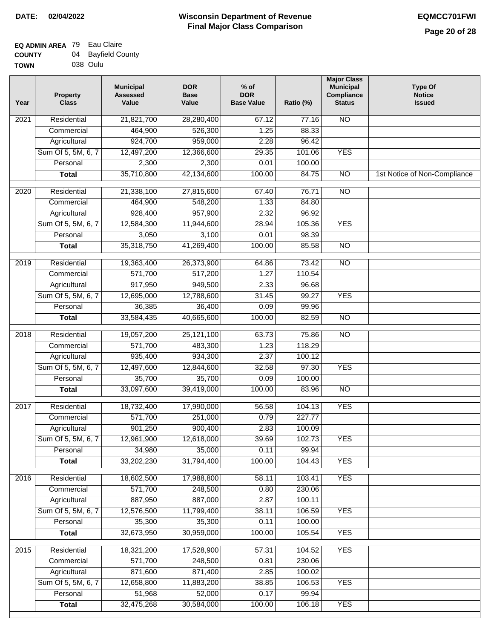| ------      | __.,     |
|-------------|----------|
| <b>TOWN</b> | 038 Oulu |

| Residential<br><b>NO</b><br>$\overline{202}1$<br>21,821,700<br>28,280,400<br>67.12<br>77.16<br>464,900<br>526,300<br>1.25<br>88.33<br>Commercial<br>Agricultural<br>924,700<br>959,000<br>2.28<br>96.42<br>Sum Of 5, 5M, 6, 7<br>12,497,200<br>12,366,600<br>29.35<br>101.06<br><b>YES</b><br>2,300<br>2,300<br>0.01<br>100.00<br>Personal<br>35,710,800<br>42,134,600<br>84.75<br>$\overline{NO}$<br><b>Total</b><br>100.00<br>1st Notice of Non-Compliance<br>$\overline{2020}$<br>Residential<br>21,338,100<br>27,815,600<br>67.40<br>76.71<br>$\overline{10}$<br>Commercial<br>464,900<br>548,200<br>1.33<br>84.80<br>96.92<br>928,400<br>957,900<br>2.32<br>Agricultural<br>Sum Of 5, 5M, 6, 7<br>12,584,300<br>11,944,600<br>28.94<br>105.36<br><b>YES</b><br>Personal<br>3,050<br>3,100<br>0.01<br>98.39<br>35,318,750<br>41,269,400<br>100.00<br>85.58<br>$\overline{NO}$<br><b>Total</b><br>Residential<br>19,363,400<br>26,373,900<br>64.86<br>73.42<br>$\overline{10}$<br>2019<br>571,700<br>517,200<br>1.27<br>110.54<br>Commercial<br>917,950<br>949,500<br>2.33<br>96.68<br>Agricultural<br><b>YES</b><br>Sum Of 5, 5M, 6, 7<br>12,695,000<br>12,788,600<br>31.45<br>99.27<br>Personal<br>36,385<br>36,400<br>0.09<br>99.96<br>100.00<br>82.59<br>$\overline{NO}$<br><b>Total</b><br>33,584,435<br>40,665,600<br>Residential<br>19,057,200<br>25,121,100<br>63.73<br>75.86<br><b>NO</b><br>2018<br>571,700<br>Commercial<br>483,300<br>1.23<br>118.29<br>935,400<br>934,300<br>2.37<br>100.12<br>Agricultural<br>Sum Of 5, 5M, 6, 7<br>12,497,600<br>12,844,600<br>32.58<br>97.30<br><b>YES</b><br>Personal<br>35,700<br>35,700<br>0.09<br>100.00<br>33,097,600<br>39,419,000<br>100.00<br>$\overline{10}$<br><b>Total</b><br>83.96<br>2017<br>Residential<br>18,732,400<br>17,990,000<br><b>YES</b><br>56.58<br>104.13<br>Commercial<br>571,700<br>251,000<br>0.79<br>227.77<br>901,250<br>900,400<br>2.83<br>100.09<br>Agricultural<br>39.69<br>102.73<br>Sum Of 5, 5M, 6, 7<br>12,961,900<br>12,618,000<br><b>YES</b><br>Personal<br>34,980<br>35,000<br>0.11<br>99.94<br>33,202,230<br>31,794,400<br>100.00<br>104.43<br><b>YES</b><br><b>Total</b><br><b>YES</b><br>Residential<br>18,602,500<br>17,988,800<br>103.41<br>2016<br>58.11<br>571,700<br>248,500<br>0.80<br>Commercial<br>230.06<br>887,950<br>887,000<br>2.87<br>100.11<br>Agricultural<br>Sum Of 5, 5M, 6, 7<br>12,576,500<br>38.11<br><b>YES</b><br>11,799,400<br>106.59<br>35,300<br>35,300<br>100.00<br>Personal<br>0.11<br>32,673,950<br>30,959,000<br>100.00<br>105.54<br><b>YES</b><br><b>Total</b><br>Residential<br><b>YES</b><br>18,321,200<br>17,528,900<br>57.31<br>104.52<br>2015<br>571,700<br>248,500<br>0.81<br>230.06<br>Commercial<br>871,600<br>871,400<br>2.85<br>100.02<br>Agricultural<br>Sum Of 5, 5M, 6, 7<br>12,658,800<br>38.85<br>106.53<br><b>YES</b><br>11,883,200<br>51,968<br>52,000<br>0.17<br>Personal<br>99.94<br>32,475,268<br>30,584,000<br>100.00<br><b>YES</b><br><b>Total</b><br>106.18 | Year | <b>Property</b><br><b>Class</b> | <b>Municipal</b><br><b>Assessed</b><br>Value | <b>DOR</b><br><b>Base</b><br>Value | $%$ of<br><b>DOR</b><br><b>Base Value</b> | Ratio (%) | <b>Major Class</b><br><b>Municipal</b><br>Compliance<br><b>Status</b> | <b>Type Of</b><br><b>Notice</b><br><b>Issued</b> |
|----------------------------------------------------------------------------------------------------------------------------------------------------------------------------------------------------------------------------------------------------------------------------------------------------------------------------------------------------------------------------------------------------------------------------------------------------------------------------------------------------------------------------------------------------------------------------------------------------------------------------------------------------------------------------------------------------------------------------------------------------------------------------------------------------------------------------------------------------------------------------------------------------------------------------------------------------------------------------------------------------------------------------------------------------------------------------------------------------------------------------------------------------------------------------------------------------------------------------------------------------------------------------------------------------------------------------------------------------------------------------------------------------------------------------------------------------------------------------------------------------------------------------------------------------------------------------------------------------------------------------------------------------------------------------------------------------------------------------------------------------------------------------------------------------------------------------------------------------------------------------------------------------------------------------------------------------------------------------------------------------------------------------------------------------------------------------------------------------------------------------------------------------------------------------------------------------------------------------------------------------------------------------------------------------------------------------------------------------------------------------------------------------------------------------------------------------------------------------------------------------------------------------------------------------------------------------------------------------------------------------------------------------------------------------------------------------------------------------------------------------------------------------------------------------------------------------------------------------------------------------------------------------------------------------------------------------------------------------------------------------------------|------|---------------------------------|----------------------------------------------|------------------------------------|-------------------------------------------|-----------|-----------------------------------------------------------------------|--------------------------------------------------|
|                                                                                                                                                                                                                                                                                                                                                                                                                                                                                                                                                                                                                                                                                                                                                                                                                                                                                                                                                                                                                                                                                                                                                                                                                                                                                                                                                                                                                                                                                                                                                                                                                                                                                                                                                                                                                                                                                                                                                                                                                                                                                                                                                                                                                                                                                                                                                                                                                                                                                                                                                                                                                                                                                                                                                                                                                                                                                                                                                                                                                |      |                                 |                                              |                                    |                                           |           |                                                                       |                                                  |
|                                                                                                                                                                                                                                                                                                                                                                                                                                                                                                                                                                                                                                                                                                                                                                                                                                                                                                                                                                                                                                                                                                                                                                                                                                                                                                                                                                                                                                                                                                                                                                                                                                                                                                                                                                                                                                                                                                                                                                                                                                                                                                                                                                                                                                                                                                                                                                                                                                                                                                                                                                                                                                                                                                                                                                                                                                                                                                                                                                                                                |      |                                 |                                              |                                    |                                           |           |                                                                       |                                                  |
|                                                                                                                                                                                                                                                                                                                                                                                                                                                                                                                                                                                                                                                                                                                                                                                                                                                                                                                                                                                                                                                                                                                                                                                                                                                                                                                                                                                                                                                                                                                                                                                                                                                                                                                                                                                                                                                                                                                                                                                                                                                                                                                                                                                                                                                                                                                                                                                                                                                                                                                                                                                                                                                                                                                                                                                                                                                                                                                                                                                                                |      |                                 |                                              |                                    |                                           |           |                                                                       |                                                  |
|                                                                                                                                                                                                                                                                                                                                                                                                                                                                                                                                                                                                                                                                                                                                                                                                                                                                                                                                                                                                                                                                                                                                                                                                                                                                                                                                                                                                                                                                                                                                                                                                                                                                                                                                                                                                                                                                                                                                                                                                                                                                                                                                                                                                                                                                                                                                                                                                                                                                                                                                                                                                                                                                                                                                                                                                                                                                                                                                                                                                                |      |                                 |                                              |                                    |                                           |           |                                                                       |                                                  |
|                                                                                                                                                                                                                                                                                                                                                                                                                                                                                                                                                                                                                                                                                                                                                                                                                                                                                                                                                                                                                                                                                                                                                                                                                                                                                                                                                                                                                                                                                                                                                                                                                                                                                                                                                                                                                                                                                                                                                                                                                                                                                                                                                                                                                                                                                                                                                                                                                                                                                                                                                                                                                                                                                                                                                                                                                                                                                                                                                                                                                |      |                                 |                                              |                                    |                                           |           |                                                                       |                                                  |
|                                                                                                                                                                                                                                                                                                                                                                                                                                                                                                                                                                                                                                                                                                                                                                                                                                                                                                                                                                                                                                                                                                                                                                                                                                                                                                                                                                                                                                                                                                                                                                                                                                                                                                                                                                                                                                                                                                                                                                                                                                                                                                                                                                                                                                                                                                                                                                                                                                                                                                                                                                                                                                                                                                                                                                                                                                                                                                                                                                                                                |      |                                 |                                              |                                    |                                           |           |                                                                       |                                                  |
|                                                                                                                                                                                                                                                                                                                                                                                                                                                                                                                                                                                                                                                                                                                                                                                                                                                                                                                                                                                                                                                                                                                                                                                                                                                                                                                                                                                                                                                                                                                                                                                                                                                                                                                                                                                                                                                                                                                                                                                                                                                                                                                                                                                                                                                                                                                                                                                                                                                                                                                                                                                                                                                                                                                                                                                                                                                                                                                                                                                                                |      |                                 |                                              |                                    |                                           |           |                                                                       |                                                  |
|                                                                                                                                                                                                                                                                                                                                                                                                                                                                                                                                                                                                                                                                                                                                                                                                                                                                                                                                                                                                                                                                                                                                                                                                                                                                                                                                                                                                                                                                                                                                                                                                                                                                                                                                                                                                                                                                                                                                                                                                                                                                                                                                                                                                                                                                                                                                                                                                                                                                                                                                                                                                                                                                                                                                                                                                                                                                                                                                                                                                                |      |                                 |                                              |                                    |                                           |           |                                                                       |                                                  |
|                                                                                                                                                                                                                                                                                                                                                                                                                                                                                                                                                                                                                                                                                                                                                                                                                                                                                                                                                                                                                                                                                                                                                                                                                                                                                                                                                                                                                                                                                                                                                                                                                                                                                                                                                                                                                                                                                                                                                                                                                                                                                                                                                                                                                                                                                                                                                                                                                                                                                                                                                                                                                                                                                                                                                                                                                                                                                                                                                                                                                |      |                                 |                                              |                                    |                                           |           |                                                                       |                                                  |
|                                                                                                                                                                                                                                                                                                                                                                                                                                                                                                                                                                                                                                                                                                                                                                                                                                                                                                                                                                                                                                                                                                                                                                                                                                                                                                                                                                                                                                                                                                                                                                                                                                                                                                                                                                                                                                                                                                                                                                                                                                                                                                                                                                                                                                                                                                                                                                                                                                                                                                                                                                                                                                                                                                                                                                                                                                                                                                                                                                                                                |      |                                 |                                              |                                    |                                           |           |                                                                       |                                                  |
|                                                                                                                                                                                                                                                                                                                                                                                                                                                                                                                                                                                                                                                                                                                                                                                                                                                                                                                                                                                                                                                                                                                                                                                                                                                                                                                                                                                                                                                                                                                                                                                                                                                                                                                                                                                                                                                                                                                                                                                                                                                                                                                                                                                                                                                                                                                                                                                                                                                                                                                                                                                                                                                                                                                                                                                                                                                                                                                                                                                                                |      |                                 |                                              |                                    |                                           |           |                                                                       |                                                  |
|                                                                                                                                                                                                                                                                                                                                                                                                                                                                                                                                                                                                                                                                                                                                                                                                                                                                                                                                                                                                                                                                                                                                                                                                                                                                                                                                                                                                                                                                                                                                                                                                                                                                                                                                                                                                                                                                                                                                                                                                                                                                                                                                                                                                                                                                                                                                                                                                                                                                                                                                                                                                                                                                                                                                                                                                                                                                                                                                                                                                                |      |                                 |                                              |                                    |                                           |           |                                                                       |                                                  |
|                                                                                                                                                                                                                                                                                                                                                                                                                                                                                                                                                                                                                                                                                                                                                                                                                                                                                                                                                                                                                                                                                                                                                                                                                                                                                                                                                                                                                                                                                                                                                                                                                                                                                                                                                                                                                                                                                                                                                                                                                                                                                                                                                                                                                                                                                                                                                                                                                                                                                                                                                                                                                                                                                                                                                                                                                                                                                                                                                                                                                |      |                                 |                                              |                                    |                                           |           |                                                                       |                                                  |
|                                                                                                                                                                                                                                                                                                                                                                                                                                                                                                                                                                                                                                                                                                                                                                                                                                                                                                                                                                                                                                                                                                                                                                                                                                                                                                                                                                                                                                                                                                                                                                                                                                                                                                                                                                                                                                                                                                                                                                                                                                                                                                                                                                                                                                                                                                                                                                                                                                                                                                                                                                                                                                                                                                                                                                                                                                                                                                                                                                                                                |      |                                 |                                              |                                    |                                           |           |                                                                       |                                                  |
|                                                                                                                                                                                                                                                                                                                                                                                                                                                                                                                                                                                                                                                                                                                                                                                                                                                                                                                                                                                                                                                                                                                                                                                                                                                                                                                                                                                                                                                                                                                                                                                                                                                                                                                                                                                                                                                                                                                                                                                                                                                                                                                                                                                                                                                                                                                                                                                                                                                                                                                                                                                                                                                                                                                                                                                                                                                                                                                                                                                                                |      |                                 |                                              |                                    |                                           |           |                                                                       |                                                  |
|                                                                                                                                                                                                                                                                                                                                                                                                                                                                                                                                                                                                                                                                                                                                                                                                                                                                                                                                                                                                                                                                                                                                                                                                                                                                                                                                                                                                                                                                                                                                                                                                                                                                                                                                                                                                                                                                                                                                                                                                                                                                                                                                                                                                                                                                                                                                                                                                                                                                                                                                                                                                                                                                                                                                                                                                                                                                                                                                                                                                                |      |                                 |                                              |                                    |                                           |           |                                                                       |                                                  |
|                                                                                                                                                                                                                                                                                                                                                                                                                                                                                                                                                                                                                                                                                                                                                                                                                                                                                                                                                                                                                                                                                                                                                                                                                                                                                                                                                                                                                                                                                                                                                                                                                                                                                                                                                                                                                                                                                                                                                                                                                                                                                                                                                                                                                                                                                                                                                                                                                                                                                                                                                                                                                                                                                                                                                                                                                                                                                                                                                                                                                |      |                                 |                                              |                                    |                                           |           |                                                                       |                                                  |
|                                                                                                                                                                                                                                                                                                                                                                                                                                                                                                                                                                                                                                                                                                                                                                                                                                                                                                                                                                                                                                                                                                                                                                                                                                                                                                                                                                                                                                                                                                                                                                                                                                                                                                                                                                                                                                                                                                                                                                                                                                                                                                                                                                                                                                                                                                                                                                                                                                                                                                                                                                                                                                                                                                                                                                                                                                                                                                                                                                                                                |      |                                 |                                              |                                    |                                           |           |                                                                       |                                                  |
|                                                                                                                                                                                                                                                                                                                                                                                                                                                                                                                                                                                                                                                                                                                                                                                                                                                                                                                                                                                                                                                                                                                                                                                                                                                                                                                                                                                                                                                                                                                                                                                                                                                                                                                                                                                                                                                                                                                                                                                                                                                                                                                                                                                                                                                                                                                                                                                                                                                                                                                                                                                                                                                                                                                                                                                                                                                                                                                                                                                                                |      |                                 |                                              |                                    |                                           |           |                                                                       |                                                  |
|                                                                                                                                                                                                                                                                                                                                                                                                                                                                                                                                                                                                                                                                                                                                                                                                                                                                                                                                                                                                                                                                                                                                                                                                                                                                                                                                                                                                                                                                                                                                                                                                                                                                                                                                                                                                                                                                                                                                                                                                                                                                                                                                                                                                                                                                                                                                                                                                                                                                                                                                                                                                                                                                                                                                                                                                                                                                                                                                                                                                                |      |                                 |                                              |                                    |                                           |           |                                                                       |                                                  |
|                                                                                                                                                                                                                                                                                                                                                                                                                                                                                                                                                                                                                                                                                                                                                                                                                                                                                                                                                                                                                                                                                                                                                                                                                                                                                                                                                                                                                                                                                                                                                                                                                                                                                                                                                                                                                                                                                                                                                                                                                                                                                                                                                                                                                                                                                                                                                                                                                                                                                                                                                                                                                                                                                                                                                                                                                                                                                                                                                                                                                |      |                                 |                                              |                                    |                                           |           |                                                                       |                                                  |
|                                                                                                                                                                                                                                                                                                                                                                                                                                                                                                                                                                                                                                                                                                                                                                                                                                                                                                                                                                                                                                                                                                                                                                                                                                                                                                                                                                                                                                                                                                                                                                                                                                                                                                                                                                                                                                                                                                                                                                                                                                                                                                                                                                                                                                                                                                                                                                                                                                                                                                                                                                                                                                                                                                                                                                                                                                                                                                                                                                                                                |      |                                 |                                              |                                    |                                           |           |                                                                       |                                                  |
|                                                                                                                                                                                                                                                                                                                                                                                                                                                                                                                                                                                                                                                                                                                                                                                                                                                                                                                                                                                                                                                                                                                                                                                                                                                                                                                                                                                                                                                                                                                                                                                                                                                                                                                                                                                                                                                                                                                                                                                                                                                                                                                                                                                                                                                                                                                                                                                                                                                                                                                                                                                                                                                                                                                                                                                                                                                                                                                                                                                                                |      |                                 |                                              |                                    |                                           |           |                                                                       |                                                  |
|                                                                                                                                                                                                                                                                                                                                                                                                                                                                                                                                                                                                                                                                                                                                                                                                                                                                                                                                                                                                                                                                                                                                                                                                                                                                                                                                                                                                                                                                                                                                                                                                                                                                                                                                                                                                                                                                                                                                                                                                                                                                                                                                                                                                                                                                                                                                                                                                                                                                                                                                                                                                                                                                                                                                                                                                                                                                                                                                                                                                                |      |                                 |                                              |                                    |                                           |           |                                                                       |                                                  |
|                                                                                                                                                                                                                                                                                                                                                                                                                                                                                                                                                                                                                                                                                                                                                                                                                                                                                                                                                                                                                                                                                                                                                                                                                                                                                                                                                                                                                                                                                                                                                                                                                                                                                                                                                                                                                                                                                                                                                                                                                                                                                                                                                                                                                                                                                                                                                                                                                                                                                                                                                                                                                                                                                                                                                                                                                                                                                                                                                                                                                |      |                                 |                                              |                                    |                                           |           |                                                                       |                                                  |
|                                                                                                                                                                                                                                                                                                                                                                                                                                                                                                                                                                                                                                                                                                                                                                                                                                                                                                                                                                                                                                                                                                                                                                                                                                                                                                                                                                                                                                                                                                                                                                                                                                                                                                                                                                                                                                                                                                                                                                                                                                                                                                                                                                                                                                                                                                                                                                                                                                                                                                                                                                                                                                                                                                                                                                                                                                                                                                                                                                                                                |      |                                 |                                              |                                    |                                           |           |                                                                       |                                                  |
|                                                                                                                                                                                                                                                                                                                                                                                                                                                                                                                                                                                                                                                                                                                                                                                                                                                                                                                                                                                                                                                                                                                                                                                                                                                                                                                                                                                                                                                                                                                                                                                                                                                                                                                                                                                                                                                                                                                                                                                                                                                                                                                                                                                                                                                                                                                                                                                                                                                                                                                                                                                                                                                                                                                                                                                                                                                                                                                                                                                                                |      |                                 |                                              |                                    |                                           |           |                                                                       |                                                  |
|                                                                                                                                                                                                                                                                                                                                                                                                                                                                                                                                                                                                                                                                                                                                                                                                                                                                                                                                                                                                                                                                                                                                                                                                                                                                                                                                                                                                                                                                                                                                                                                                                                                                                                                                                                                                                                                                                                                                                                                                                                                                                                                                                                                                                                                                                                                                                                                                                                                                                                                                                                                                                                                                                                                                                                                                                                                                                                                                                                                                                |      |                                 |                                              |                                    |                                           |           |                                                                       |                                                  |
|                                                                                                                                                                                                                                                                                                                                                                                                                                                                                                                                                                                                                                                                                                                                                                                                                                                                                                                                                                                                                                                                                                                                                                                                                                                                                                                                                                                                                                                                                                                                                                                                                                                                                                                                                                                                                                                                                                                                                                                                                                                                                                                                                                                                                                                                                                                                                                                                                                                                                                                                                                                                                                                                                                                                                                                                                                                                                                                                                                                                                |      |                                 |                                              |                                    |                                           |           |                                                                       |                                                  |
|                                                                                                                                                                                                                                                                                                                                                                                                                                                                                                                                                                                                                                                                                                                                                                                                                                                                                                                                                                                                                                                                                                                                                                                                                                                                                                                                                                                                                                                                                                                                                                                                                                                                                                                                                                                                                                                                                                                                                                                                                                                                                                                                                                                                                                                                                                                                                                                                                                                                                                                                                                                                                                                                                                                                                                                                                                                                                                                                                                                                                |      |                                 |                                              |                                    |                                           |           |                                                                       |                                                  |
|                                                                                                                                                                                                                                                                                                                                                                                                                                                                                                                                                                                                                                                                                                                                                                                                                                                                                                                                                                                                                                                                                                                                                                                                                                                                                                                                                                                                                                                                                                                                                                                                                                                                                                                                                                                                                                                                                                                                                                                                                                                                                                                                                                                                                                                                                                                                                                                                                                                                                                                                                                                                                                                                                                                                                                                                                                                                                                                                                                                                                |      |                                 |                                              |                                    |                                           |           |                                                                       |                                                  |
|                                                                                                                                                                                                                                                                                                                                                                                                                                                                                                                                                                                                                                                                                                                                                                                                                                                                                                                                                                                                                                                                                                                                                                                                                                                                                                                                                                                                                                                                                                                                                                                                                                                                                                                                                                                                                                                                                                                                                                                                                                                                                                                                                                                                                                                                                                                                                                                                                                                                                                                                                                                                                                                                                                                                                                                                                                                                                                                                                                                                                |      |                                 |                                              |                                    |                                           |           |                                                                       |                                                  |
|                                                                                                                                                                                                                                                                                                                                                                                                                                                                                                                                                                                                                                                                                                                                                                                                                                                                                                                                                                                                                                                                                                                                                                                                                                                                                                                                                                                                                                                                                                                                                                                                                                                                                                                                                                                                                                                                                                                                                                                                                                                                                                                                                                                                                                                                                                                                                                                                                                                                                                                                                                                                                                                                                                                                                                                                                                                                                                                                                                                                                |      |                                 |                                              |                                    |                                           |           |                                                                       |                                                  |
|                                                                                                                                                                                                                                                                                                                                                                                                                                                                                                                                                                                                                                                                                                                                                                                                                                                                                                                                                                                                                                                                                                                                                                                                                                                                                                                                                                                                                                                                                                                                                                                                                                                                                                                                                                                                                                                                                                                                                                                                                                                                                                                                                                                                                                                                                                                                                                                                                                                                                                                                                                                                                                                                                                                                                                                                                                                                                                                                                                                                                |      |                                 |                                              |                                    |                                           |           |                                                                       |                                                  |
|                                                                                                                                                                                                                                                                                                                                                                                                                                                                                                                                                                                                                                                                                                                                                                                                                                                                                                                                                                                                                                                                                                                                                                                                                                                                                                                                                                                                                                                                                                                                                                                                                                                                                                                                                                                                                                                                                                                                                                                                                                                                                                                                                                                                                                                                                                                                                                                                                                                                                                                                                                                                                                                                                                                                                                                                                                                                                                                                                                                                                |      |                                 |                                              |                                    |                                           |           |                                                                       |                                                  |
|                                                                                                                                                                                                                                                                                                                                                                                                                                                                                                                                                                                                                                                                                                                                                                                                                                                                                                                                                                                                                                                                                                                                                                                                                                                                                                                                                                                                                                                                                                                                                                                                                                                                                                                                                                                                                                                                                                                                                                                                                                                                                                                                                                                                                                                                                                                                                                                                                                                                                                                                                                                                                                                                                                                                                                                                                                                                                                                                                                                                                |      |                                 |                                              |                                    |                                           |           |                                                                       |                                                  |
|                                                                                                                                                                                                                                                                                                                                                                                                                                                                                                                                                                                                                                                                                                                                                                                                                                                                                                                                                                                                                                                                                                                                                                                                                                                                                                                                                                                                                                                                                                                                                                                                                                                                                                                                                                                                                                                                                                                                                                                                                                                                                                                                                                                                                                                                                                                                                                                                                                                                                                                                                                                                                                                                                                                                                                                                                                                                                                                                                                                                                |      |                                 |                                              |                                    |                                           |           |                                                                       |                                                  |
|                                                                                                                                                                                                                                                                                                                                                                                                                                                                                                                                                                                                                                                                                                                                                                                                                                                                                                                                                                                                                                                                                                                                                                                                                                                                                                                                                                                                                                                                                                                                                                                                                                                                                                                                                                                                                                                                                                                                                                                                                                                                                                                                                                                                                                                                                                                                                                                                                                                                                                                                                                                                                                                                                                                                                                                                                                                                                                                                                                                                                |      |                                 |                                              |                                    |                                           |           |                                                                       |                                                  |
|                                                                                                                                                                                                                                                                                                                                                                                                                                                                                                                                                                                                                                                                                                                                                                                                                                                                                                                                                                                                                                                                                                                                                                                                                                                                                                                                                                                                                                                                                                                                                                                                                                                                                                                                                                                                                                                                                                                                                                                                                                                                                                                                                                                                                                                                                                                                                                                                                                                                                                                                                                                                                                                                                                                                                                                                                                                                                                                                                                                                                |      |                                 |                                              |                                    |                                           |           |                                                                       |                                                  |
|                                                                                                                                                                                                                                                                                                                                                                                                                                                                                                                                                                                                                                                                                                                                                                                                                                                                                                                                                                                                                                                                                                                                                                                                                                                                                                                                                                                                                                                                                                                                                                                                                                                                                                                                                                                                                                                                                                                                                                                                                                                                                                                                                                                                                                                                                                                                                                                                                                                                                                                                                                                                                                                                                                                                                                                                                                                                                                                                                                                                                |      |                                 |                                              |                                    |                                           |           |                                                                       |                                                  |
|                                                                                                                                                                                                                                                                                                                                                                                                                                                                                                                                                                                                                                                                                                                                                                                                                                                                                                                                                                                                                                                                                                                                                                                                                                                                                                                                                                                                                                                                                                                                                                                                                                                                                                                                                                                                                                                                                                                                                                                                                                                                                                                                                                                                                                                                                                                                                                                                                                                                                                                                                                                                                                                                                                                                                                                                                                                                                                                                                                                                                |      |                                 |                                              |                                    |                                           |           |                                                                       |                                                  |
|                                                                                                                                                                                                                                                                                                                                                                                                                                                                                                                                                                                                                                                                                                                                                                                                                                                                                                                                                                                                                                                                                                                                                                                                                                                                                                                                                                                                                                                                                                                                                                                                                                                                                                                                                                                                                                                                                                                                                                                                                                                                                                                                                                                                                                                                                                                                                                                                                                                                                                                                                                                                                                                                                                                                                                                                                                                                                                                                                                                                                |      |                                 |                                              |                                    |                                           |           |                                                                       |                                                  |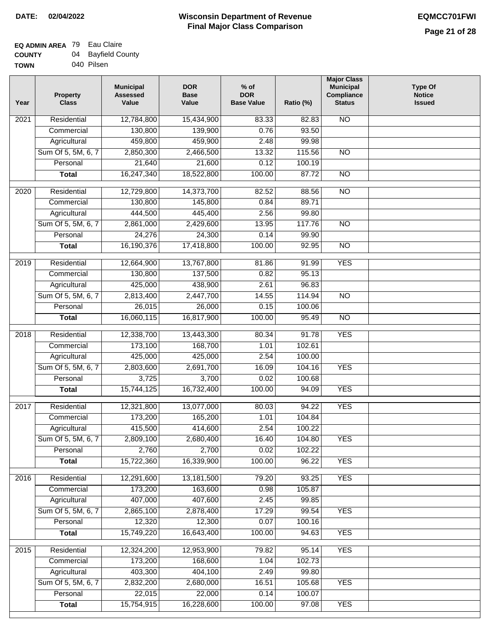| - - - - - - - |            |
|---------------|------------|
| TOWN          | 040 Pilsen |

| Year              | <b>Property</b><br><b>Class</b> | <b>Municipal</b><br><b>Assessed</b><br>Value | <b>DOR</b><br>Base<br>Value | $%$ of<br><b>DOR</b><br><b>Base Value</b> | Ratio (%) | <b>Major Class</b><br><b>Municipal</b><br>Compliance<br><b>Status</b> | <b>Type Of</b><br><b>Notice</b><br><b>Issued</b> |
|-------------------|---------------------------------|----------------------------------------------|-----------------------------|-------------------------------------------|-----------|-----------------------------------------------------------------------|--------------------------------------------------|
| $\overline{202}1$ | Residential                     | 12,784,800                                   | 15,434,900                  | 83.33                                     | 82.83     | N <sub>O</sub>                                                        |                                                  |
|                   | Commercial                      | 130,800                                      | 139,900                     | 0.76                                      | 93.50     |                                                                       |                                                  |
|                   | Agricultural                    | 459,800                                      | 459,900                     | 2.48                                      | 99.98     |                                                                       |                                                  |
|                   | Sum Of 5, 5M, 6, 7              | 2,850,300                                    | 2,466,500                   | 13.32                                     | 115.56    | $\overline{NO}$                                                       |                                                  |
|                   | Personal                        | 21,640                                       | 21,600                      | 0.12                                      | 100.19    |                                                                       |                                                  |
|                   | <b>Total</b>                    | 16,247,340                                   | 18,522,800                  | 100.00                                    | 87.72     | $\overline{NO}$                                                       |                                                  |
| $\overline{2020}$ | Residential                     | 12,729,800                                   | 14,373,700                  | 82.52                                     | 88.56     | $\overline{NO}$                                                       |                                                  |
|                   | Commercial                      | 130,800                                      | 145,800                     | 0.84                                      | 89.71     |                                                                       |                                                  |
|                   | Agricultural                    | 444,500                                      | 445,400                     | 2.56                                      | 99.80     |                                                                       |                                                  |
|                   | Sum Of 5, 5M, 6, 7              | 2,861,000                                    | 2,429,600                   | 13.95                                     | 117.76    | $\overline{NO}$                                                       |                                                  |
|                   | Personal                        | 24,276                                       | 24,300                      | 0.14                                      | 99.90     |                                                                       |                                                  |
|                   | <b>Total</b>                    | 16,190,376                                   | 17,418,800                  | 100.00                                    | 92.95     | $\overline{NO}$                                                       |                                                  |
| 2019              | Residential                     | 12,664,900                                   | 13,767,800                  | 81.86                                     | 91.99     | <b>YES</b>                                                            |                                                  |
|                   | Commercial                      | 130,800                                      | 137,500                     | 0.82                                      | 95.13     |                                                                       |                                                  |
|                   | Agricultural                    | 425,000                                      | 438,900                     | 2.61                                      | 96.83     |                                                                       |                                                  |
|                   | Sum Of 5, 5M, 6, 7              | 2,813,400                                    | 2,447,700                   | 14.55                                     | 114.94    | $\overline{NO}$                                                       |                                                  |
|                   | Personal                        | 26,015                                       | 26,000                      | 0.15                                      | 100.06    |                                                                       |                                                  |
|                   | <b>Total</b>                    | 16,060,115                                   | 16,817,900                  | 100.00                                    | 95.49     | $\overline{NO}$                                                       |                                                  |
| 2018              | Residential                     | 12,338,700                                   | 13,443,300                  | 80.34                                     | 91.78     | <b>YES</b>                                                            |                                                  |
|                   | Commercial                      | 173,100                                      | 168,700                     | 1.01                                      | 102.61    |                                                                       |                                                  |
|                   | Agricultural                    | 425,000                                      | 425,000                     | 2.54                                      | 100.00    |                                                                       |                                                  |
|                   | Sum Of 5, 5M, 6, 7              | 2,803,600                                    | 2,691,700                   | 16.09                                     | 104.16    | <b>YES</b>                                                            |                                                  |
|                   | Personal                        | 3,725                                        | 3,700                       | 0.02                                      | 100.68    |                                                                       |                                                  |
|                   | <b>Total</b>                    | 15,744,125                                   | 16,732,400                  | 100.00                                    | 94.09     | <b>YES</b>                                                            |                                                  |
| 2017              | Residential                     | 12,321,800                                   | 13,077,000                  | 80.03                                     | 94.22     | <b>YES</b>                                                            |                                                  |
|                   | Commercial                      | 173,200                                      | 165,200                     | 1.01                                      | 104.84    |                                                                       |                                                  |
|                   | Agricultural                    | 415,500                                      | 414,600                     | 2.54                                      | 100.22    |                                                                       |                                                  |
|                   | Sum Of 5, 5M, 6, 7              | 2,809,100                                    | 2,680,400                   | 16.40                                     | 104.80    | <b>YES</b>                                                            |                                                  |
|                   | Personal                        | 2,760                                        | 2,700                       | 0.02                                      | 102.22    |                                                                       |                                                  |
|                   | <b>Total</b>                    | 15,722,360                                   | 16,339,900                  | 100.00                                    | 96.22     | <b>YES</b>                                                            |                                                  |
| 2016              | Residential                     | 12,291,600                                   | 13,181,500                  | 79.20                                     | 93.25     | <b>YES</b>                                                            |                                                  |
|                   | Commercial                      | 173,200                                      | 163,600                     | 0.98                                      | 105.87    |                                                                       |                                                  |
|                   | Agricultural                    | 407,000                                      | 407,600                     | 2.45                                      | 99.85     |                                                                       |                                                  |
|                   | Sum Of 5, 5M, 6, 7              | 2,865,100                                    | 2,878,400                   | 17.29                                     | 99.54     | <b>YES</b>                                                            |                                                  |
|                   | Personal                        | 12,320                                       | 12,300                      | 0.07                                      | 100.16    |                                                                       |                                                  |
|                   | <b>Total</b>                    | 15,749,220                                   | 16,643,400                  | 100.00                                    | 94.63     | <b>YES</b>                                                            |                                                  |
| 2015              | Residential                     | 12,324,200                                   | 12,953,900                  | 79.82                                     | 95.14     | <b>YES</b>                                                            |                                                  |
|                   | Commercial                      | 173,200                                      | 168,600                     | 1.04                                      | 102.73    |                                                                       |                                                  |
|                   | Agricultural                    | 403,300                                      | 404,100                     | 2.49                                      | 99.80     |                                                                       |                                                  |
|                   | Sum Of 5, 5M, 6, 7              | 2,832,200                                    | 2,680,000                   | 16.51                                     | 105.68    | <b>YES</b>                                                            |                                                  |
|                   | Personal                        | 22,015                                       | 22,000                      | 0.14                                      | 100.07    |                                                                       |                                                  |
|                   | <b>Total</b>                    | 15,754,915                                   | 16,228,600                  | 100.00                                    | 97.08     | <b>YES</b>                                                            |                                                  |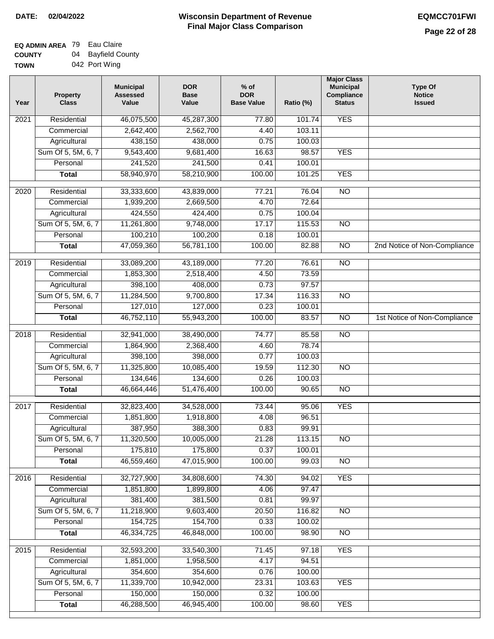| <b>TOWN</b> | 042 Port Wing |
|-------------|---------------|
|             |               |

| Year | <b>Property</b><br><b>Class</b> | <b>Municipal</b><br><b>Assessed</b><br>Value | <b>DOR</b><br><b>Base</b><br>Value | $%$ of<br><b>DOR</b><br><b>Base Value</b> | Ratio (%) | <b>Major Class</b><br><b>Municipal</b><br>Compliance<br><b>Status</b> | <b>Type Of</b><br><b>Notice</b><br><b>Issued</b> |
|------|---------------------------------|----------------------------------------------|------------------------------------|-------------------------------------------|-----------|-----------------------------------------------------------------------|--------------------------------------------------|
| 2021 | Residential                     | 46,075,500                                   | 45,287,300                         | 77.80                                     | 101.74    | <b>YES</b>                                                            |                                                  |
|      | Commercial                      | 2,642,400                                    | 2,562,700                          | 4.40                                      | 103.11    |                                                                       |                                                  |
|      | Agricultural                    | 438,150                                      | 438,000                            | 0.75                                      | 100.03    |                                                                       |                                                  |
|      | Sum Of 5, 5M, 6, 7              | 9,543,400                                    | 9,681,400                          | 16.63                                     | 98.57     | <b>YES</b>                                                            |                                                  |
|      | Personal                        | 241,520                                      | 241,500                            | 0.41                                      | 100.01    |                                                                       |                                                  |
|      | <b>Total</b>                    | 58,940,970                                   | 58,210,900                         | 100.00                                    | 101.25    | <b>YES</b>                                                            |                                                  |
| 2020 | Residential                     | 33,333,600                                   | 43,839,000                         | 77.21                                     | 76.04     | $\overline{10}$                                                       |                                                  |
|      | Commercial                      | 1,939,200                                    | 2,669,500                          | 4.70                                      | 72.64     |                                                                       |                                                  |
|      | Agricultural                    | 424,550                                      | 424,400                            | 0.75                                      | 100.04    |                                                                       |                                                  |
|      | Sum Of 5, 5M, 6, 7              | 11,261,800                                   | 9,748,000                          | 17.17                                     | 115.53    | <b>NO</b>                                                             |                                                  |
|      | Personal                        | 100,210                                      | 100,200                            | 0.18                                      | 100.01    |                                                                       |                                                  |
|      | <b>Total</b>                    | 47,059,360                                   | 56,781,100                         | 100.00                                    | 82.88     | $\overline{NO}$                                                       | 2nd Notice of Non-Compliance                     |
|      |                                 |                                              |                                    |                                           |           |                                                                       |                                                  |
| 2019 | Residential                     | 33,089,200                                   | 43,189,000                         | 77.20                                     | 76.61     | $\overline{NO}$                                                       |                                                  |
|      | Commercial                      | 1,853,300                                    | 2,518,400                          | 4.50                                      | 73.59     |                                                                       |                                                  |
|      | Agricultural                    | 398,100                                      | 408,000                            | 0.73                                      | 97.57     |                                                                       |                                                  |
|      | Sum Of 5, 5M, 6, 7              | 11,284,500                                   | 9,700,800                          | 17.34                                     | 116.33    | $\overline{NO}$                                                       |                                                  |
|      | Personal                        | 127,010                                      | 127,000                            | 0.23                                      | 100.01    |                                                                       |                                                  |
|      | <b>Total</b>                    | 46,752,110                                   | 55,943,200                         | 100.00                                    | 83.57     | $\overline{NO}$                                                       | 1st Notice of Non-Compliance                     |
| 2018 | Residential                     | 32,941,000                                   | 38,490,000                         | 74.77                                     | 85.58     | $\overline{NO}$                                                       |                                                  |
|      | Commercial                      | 1,864,900                                    | 2,368,400                          | 4.60                                      | 78.74     |                                                                       |                                                  |
|      | Agricultural                    | 398,100                                      | 398,000                            | 0.77                                      | 100.03    |                                                                       |                                                  |
|      | Sum Of 5, 5M, 6, 7              | 11,325,800                                   | 10,085,400                         | 19.59                                     | 112.30    | <b>NO</b>                                                             |                                                  |
|      | Personal                        | 134,646                                      | 134,600                            | 0.26                                      | 100.03    |                                                                       |                                                  |
|      | <b>Total</b>                    | 46,664,446                                   | 51,476,400                         | 100.00                                    | 90.65     | $\overline{10}$                                                       |                                                  |
| 2017 | Residential                     | 32,823,400                                   | 34,528,000                         | 73.44                                     | 95.06     | <b>YES</b>                                                            |                                                  |
|      | Commercial                      | 1,851,800                                    | 1,918,800                          | 4.08                                      | 96.51     |                                                                       |                                                  |
|      | Agricultural                    | 387,950                                      | 388,300                            | 0.83                                      | 99.91     |                                                                       |                                                  |
|      | Sum Of 5, 5M, 6, 7              | 11,320,500                                   | 10,005,000                         | 21.28                                     | 113.15    | $\overline{N}$                                                        |                                                  |
|      | Personal                        | 175,810                                      | 175,800                            | 0.37                                      | 100.01    |                                                                       |                                                  |
|      | <b>Total</b>                    | 46,559,460                                   | 47,015,900                         | 100.00                                    | 99.03     | $\overline{N}$                                                        |                                                  |
| 2016 | Residential                     | 32,727,900                                   | 34,808,600                         | 74.30                                     | 94.02     | <b>YES</b>                                                            |                                                  |
|      | Commercial                      | 1,851,800                                    | 1,899,800                          | 4.06                                      | 97.47     |                                                                       |                                                  |
|      | Agricultural                    | 381,400                                      | 381,500                            | 0.81                                      | 99.97     |                                                                       |                                                  |
|      | Sum Of 5, 5M, 6, 7              | 11,218,900                                   | 9,603,400                          | 20.50                                     | 116.82    | <b>NO</b>                                                             |                                                  |
|      | Personal                        | 154,725                                      | 154,700                            | 0.33                                      | 100.02    |                                                                       |                                                  |
|      | <b>Total</b>                    | 46,334,725                                   | 46,848,000                         | 100.00                                    | 98.90     | N <sub>O</sub>                                                        |                                                  |
|      |                                 |                                              |                                    |                                           |           |                                                                       |                                                  |
| 2015 | Residential                     | 32,593,200                                   | 33,540,300                         | 71.45                                     | 97.18     | <b>YES</b>                                                            |                                                  |
|      | Commercial                      | 1,851,000                                    | 1,958,500                          | 4.17                                      | 94.51     |                                                                       |                                                  |
|      | Agricultural                    | 354,600                                      | 354,600                            | 0.76                                      | 100.00    |                                                                       |                                                  |
|      | Sum Of 5, 5M, 6, 7              | 11,339,700                                   | 10,942,000                         | 23.31                                     | 103.63    | <b>YES</b>                                                            |                                                  |
|      | Personal                        | 150,000                                      | 150,000                            | 0.32                                      | 100.00    |                                                                       |                                                  |
|      | <b>Total</b>                    | 46,288,500                                   | 46,945,400                         | 100.00                                    | 98.60     | <b>YES</b>                                                            |                                                  |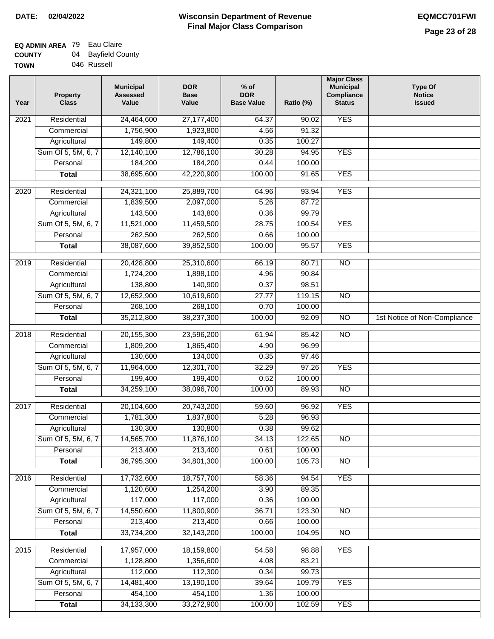$\overline{1}$ 

| <b>TOWN</b> | 046 Russell |
|-------------|-------------|

| Year | <b>Property</b><br><b>Class</b> | <b>Municipal</b><br><b>Assessed</b><br>Value | <b>DOR</b><br><b>Base</b><br>Value | $%$ of<br><b>DOR</b><br><b>Base Value</b> | Ratio (%) | <b>Major Class</b><br><b>Municipal</b><br>Compliance<br><b>Status</b> | <b>Type Of</b><br><b>Notice</b><br><b>Issued</b> |
|------|---------------------------------|----------------------------------------------|------------------------------------|-------------------------------------------|-----------|-----------------------------------------------------------------------|--------------------------------------------------|
| 2021 | Residential                     | 24,464,600                                   | 27, 177, 400                       | 64.37                                     | 90.02     | <b>YES</b>                                                            |                                                  |
|      | Commercial                      | 1,756,900                                    | 1,923,800                          | 4.56                                      | 91.32     |                                                                       |                                                  |
|      | Agricultural                    | 149,800                                      | 149,400                            | 0.35                                      | 100.27    |                                                                       |                                                  |
|      | Sum Of 5, 5M, 6, 7              | 12,140,100                                   | 12,786,100                         | 30.28                                     | 94.95     | <b>YES</b>                                                            |                                                  |
|      | Personal                        | 184,200                                      | 184,200                            | 0.44                                      | 100.00    |                                                                       |                                                  |
|      | <b>Total</b>                    | 38,695,600                                   | 42,220,900                         | 100.00                                    | 91.65     | <b>YES</b>                                                            |                                                  |
| 2020 | Residential                     | 24,321,100                                   | 25,889,700                         | 64.96                                     | 93.94     | <b>YES</b>                                                            |                                                  |
|      | Commercial                      | 1,839,500                                    | 2,097,000                          | 5.26                                      | 87.72     |                                                                       |                                                  |
|      | Agricultural                    | 143,500                                      | 143,800                            | 0.36                                      | 99.79     |                                                                       |                                                  |
|      | Sum Of 5, 5M, 6, 7              | 11,521,000                                   | 11,459,500                         | 28.75                                     | 100.54    | <b>YES</b>                                                            |                                                  |
|      | Personal                        | 262,500                                      | 262,500                            | 0.66                                      | 100.00    |                                                                       |                                                  |
|      | <b>Total</b>                    | 38,087,600                                   | 39,852,500                         | 100.00                                    | 95.57     | <b>YES</b>                                                            |                                                  |
|      |                                 |                                              |                                    |                                           |           |                                                                       |                                                  |
| 2019 | Residential                     | 20,428,800                                   | 25,310,600                         | 66.19                                     | 80.71     | $\overline{10}$                                                       |                                                  |
|      | Commercial                      | 1,724,200                                    | 1,898,100                          | 4.96                                      | 90.84     |                                                                       |                                                  |
|      | Agricultural                    | 138,800                                      | 140,900                            | 0.37                                      | 98.51     |                                                                       |                                                  |
|      | Sum Of 5, 5M, 6, 7              | 12,652,900                                   | 10,619,600                         | 27.77                                     | 119.15    | $\overline{NO}$                                                       |                                                  |
|      | Personal                        | 268,100                                      | 268,100                            | 0.70                                      | 100.00    |                                                                       |                                                  |
|      | <b>Total</b>                    | 35,212,800                                   | 38,237,300                         | 100.00                                    | 92.09     | $\overline{NO}$                                                       | 1st Notice of Non-Compliance                     |
| 2018 | Residential                     | 20,155,300                                   | 23,596,200                         | 61.94                                     | 85.42     | $\overline{NO}$                                                       |                                                  |
|      | Commercial                      | 1,809,200                                    | 1,865,400                          | 4.90                                      | 96.99     |                                                                       |                                                  |
|      | Agricultural                    | 130,600                                      | 134,000                            | 0.35                                      | 97.46     |                                                                       |                                                  |
|      | Sum Of 5, 5M, 6, 7              | 11,964,600                                   | 12,301,700                         | 32.29                                     | 97.26     | <b>YES</b>                                                            |                                                  |
|      | Personal                        | 199,400                                      | 199,400                            | 0.52                                      | 100.00    |                                                                       |                                                  |
|      | <b>Total</b>                    | 34,259,100                                   | 38,096,700                         | 100.00                                    | 89.93     | $\overline{10}$                                                       |                                                  |
| 2017 | Residential                     | 20,104,600                                   | 20,743,200                         | 59.60                                     | 96.92     | <b>YES</b>                                                            |                                                  |
|      | Commercial                      | 1,781,300                                    | 1,837,800                          | 5.28                                      | 96.93     |                                                                       |                                                  |
|      | Agricultural                    | 130,300                                      | 130,800                            | 0.38                                      | 99.62     |                                                                       |                                                  |
|      | Sum Of 5, 5M, 6, 7              | 14,565,700                                   | 11,876,100                         | 34.13                                     | 122.65    | <b>NO</b>                                                             |                                                  |
|      | Personal                        | 213,400                                      | 213,400                            | 0.61                                      | 100.00    |                                                                       |                                                  |
|      | <b>Total</b>                    | 36,795,300                                   | 34,801,300                         | 100.00                                    | 105.73    | $\overline{NO}$                                                       |                                                  |
| 2016 | Residential                     | 17,732,600                                   | 18,757,700                         | 58.36                                     | 94.54     | <b>YES</b>                                                            |                                                  |
|      | Commercial                      | 1,120,600                                    | 1,254,200                          | 3.90                                      | 89.35     |                                                                       |                                                  |
|      | Agricultural                    | 117,000                                      | 117,000                            | 0.36                                      | 100.00    |                                                                       |                                                  |
|      | Sum Of 5, 5M, 6, 7              | 14,550,600                                   | 11,800,900                         | 36.71                                     | 123.30    | <b>NO</b>                                                             |                                                  |
|      | Personal                        | 213,400                                      | 213,400                            | 0.66                                      | 100.00    |                                                                       |                                                  |
|      | <b>Total</b>                    | 33,734,200                                   | 32,143,200                         | 100.00                                    | 104.95    | <b>NO</b>                                                             |                                                  |
|      |                                 |                                              |                                    |                                           |           |                                                                       |                                                  |
| 2015 | Residential                     | 17,957,000                                   | 18,159,800                         | 54.58                                     | 98.88     | <b>YES</b>                                                            |                                                  |
|      | Commercial                      | 1,128,800                                    | 1,356,600                          | 4.08                                      | 83.21     |                                                                       |                                                  |
|      | Agricultural                    | 112,000                                      | 112,300                            | 0.34                                      | 99.73     |                                                                       |                                                  |
|      | Sum Of 5, 5M, 6, 7              | 14,481,400                                   | 13,190,100                         | 39.64                                     | 109.79    | <b>YES</b>                                                            |                                                  |
|      | Personal                        | 454,100                                      | 454,100                            | 1.36                                      | 100.00    |                                                                       |                                                  |
|      | <b>Total</b>                    | 34, 133, 300                                 | 33,272,900                         | 100.00                                    | 102.59    | <b>YES</b>                                                            |                                                  |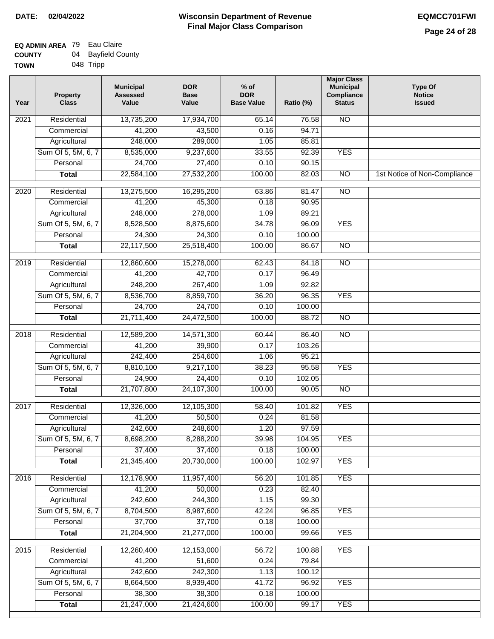| <b>TOWN</b> |  | 048 Tripp |
|-------------|--|-----------|
|-------------|--|-----------|

| Year              | <b>Property</b><br><b>Class</b> | <b>Municipal</b><br><b>Assessed</b><br>Value | <b>DOR</b><br><b>Base</b><br>Value | % of<br><b>DOR</b><br><b>Base Value</b> | Ratio (%) | <b>Major Class</b><br><b>Municipal</b><br>Compliance<br><b>Status</b> | <b>Type Of</b><br><b>Notice</b><br><b>Issued</b> |
|-------------------|---------------------------------|----------------------------------------------|------------------------------------|-----------------------------------------|-----------|-----------------------------------------------------------------------|--------------------------------------------------|
| 2021              | Residential                     | 13,735,200                                   | 17,934,700                         | 65.14                                   | 76.58     | N <sub>O</sub>                                                        |                                                  |
|                   | Commercial                      | 41,200                                       | 43,500                             | 0.16                                    | 94.71     |                                                                       |                                                  |
|                   | Agricultural                    | 248,000                                      | 289,000                            | 1.05                                    | 85.81     |                                                                       |                                                  |
|                   | Sum Of 5, 5M, 6, 7              | 8,535,000                                    | 9,237,600                          | 33.55                                   | 92.39     | <b>YES</b>                                                            |                                                  |
|                   | Personal                        | 24,700                                       | 27,400                             | 0.10                                    | 90.15     |                                                                       |                                                  |
|                   | <b>Total</b>                    | 22,584,100                                   | 27,532,200                         | 100.00                                  | 82.03     | $\overline{NO}$                                                       | 1st Notice of Non-Compliance                     |
| $\overline{2020}$ | Residential                     | 13,275,500                                   | 16,295,200                         | 63.86                                   | 81.47     | $\overline{N}$                                                        |                                                  |
|                   | Commercial                      | 41,200                                       | 45,300                             | 0.18                                    | 90.95     |                                                                       |                                                  |
|                   | Agricultural                    | 248,000                                      | 278,000                            | 1.09                                    | 89.21     |                                                                       |                                                  |
|                   | Sum Of 5, 5M, 6, 7              | 8,528,500                                    | 8,875,600                          | 34.78                                   | 96.09     | <b>YES</b>                                                            |                                                  |
|                   | Personal                        | 24,300                                       | 24,300                             | 0.10                                    | 100.00    |                                                                       |                                                  |
|                   | <b>Total</b>                    | 22,117,500                                   | 25,518,400                         | 100.00                                  | 86.67     | $\overline{NO}$                                                       |                                                  |
| $\frac{1}{2019}$  | Residential                     | 12,860,600                                   | 15,278,000                         | 62.43                                   | 84.18     | $\overline{NO}$                                                       |                                                  |
|                   | Commercial                      | 41,200                                       | 42,700                             | 0.17                                    | 96.49     |                                                                       |                                                  |
|                   | Agricultural                    | 248,200                                      | 267,400                            | 1.09                                    | 92.82     |                                                                       |                                                  |
|                   | Sum Of 5, 5M, 6, 7              | 8,536,700                                    | 8,859,700                          | 36.20                                   | 96.35     | <b>YES</b>                                                            |                                                  |
|                   | Personal                        | 24,700                                       | 24,700                             | 0.10                                    | 100.00    |                                                                       |                                                  |
|                   | <b>Total</b>                    | 21,711,400                                   | 24,472,500                         | 100.00                                  | 88.72     | $\overline{N}$                                                        |                                                  |
| 2018              | Residential                     | 12,589,200                                   | 14,571,300                         | 60.44                                   | 86.40     | $\overline{10}$                                                       |                                                  |
|                   | Commercial                      | 41,200                                       | 39,900                             | 0.17                                    | 103.26    |                                                                       |                                                  |
|                   | Agricultural                    | 242,400                                      | 254,600                            | 1.06                                    | 95.21     |                                                                       |                                                  |
|                   | Sum Of 5, 5M, 6, 7              | 8,810,100                                    | 9,217,100                          | 38.23                                   | 95.58     | <b>YES</b>                                                            |                                                  |
|                   | Personal                        | 24,900                                       | 24,400                             | 0.10                                    | 102.05    |                                                                       |                                                  |
|                   | <b>Total</b>                    | 21,707,800                                   | 24,107,300                         | 100.00                                  | 90.05     | <b>NO</b>                                                             |                                                  |
| 2017              | Residential                     | 12,326,000                                   | 12,105,300                         | 58.40                                   | 101.82    | <b>YES</b>                                                            |                                                  |
|                   | Commercial                      | 41,200                                       | 50,500                             | 0.24                                    | 81.58     |                                                                       |                                                  |
|                   | Agricultural                    | 242,600                                      | 248,600                            | 1.20                                    | 97.59     |                                                                       |                                                  |
|                   | Sum Of 5, 5M, 6, 7              | 8,698,200                                    | 8,288,200                          | 39.98                                   | 104.95    | <b>YES</b>                                                            |                                                  |
|                   | Personal                        | 37,400                                       | 37,400                             | 0.18                                    | 100.00    |                                                                       |                                                  |
|                   | <b>Total</b>                    | 21,345,400                                   | 20,730,000                         | 100.00                                  | 102.97    | <b>YES</b>                                                            |                                                  |
| 2016              | Residential                     | 12,178,900                                   | 11,957,400                         | 56.20                                   | 101.85    | <b>YES</b>                                                            |                                                  |
|                   | Commercial                      | 41,200                                       | 50,000                             | 0.23                                    | 82.40     |                                                                       |                                                  |
|                   | Agricultural                    | 242,600                                      | 244,300                            | 1.15                                    | 99.30     |                                                                       |                                                  |
|                   | Sum Of 5, 5M, 6, 7              | 8,704,500                                    | 8,987,600                          | 42.24                                   | 96.85     | <b>YES</b>                                                            |                                                  |
|                   | Personal                        | 37,700                                       | 37,700                             | 0.18                                    | 100.00    |                                                                       |                                                  |
|                   | <b>Total</b>                    | 21,204,900                                   | 21,277,000                         | 100.00                                  | 99.66     | <b>YES</b>                                                            |                                                  |
| 2015              | Residential                     | 12,260,400                                   | 12,153,000                         | 56.72                                   | 100.88    | <b>YES</b>                                                            |                                                  |
|                   | Commercial                      | 41,200                                       | 51,600                             | 0.24                                    | 79.84     |                                                                       |                                                  |
|                   | Agricultural                    | 242,600                                      | 242,300                            | 1.13                                    | 100.12    |                                                                       |                                                  |
|                   | Sum Of 5, 5M, 6, 7              | 8,664,500                                    | 8,939,400                          | 41.72                                   | 96.92     | <b>YES</b>                                                            |                                                  |
|                   | Personal                        | 38,300                                       | 38,300                             | 0.18                                    | 100.00    |                                                                       |                                                  |
|                   | <b>Total</b>                    | 21,247,000                                   | 21,424,600                         | 100.00                                  | 99.17     | <b>YES</b>                                                            |                                                  |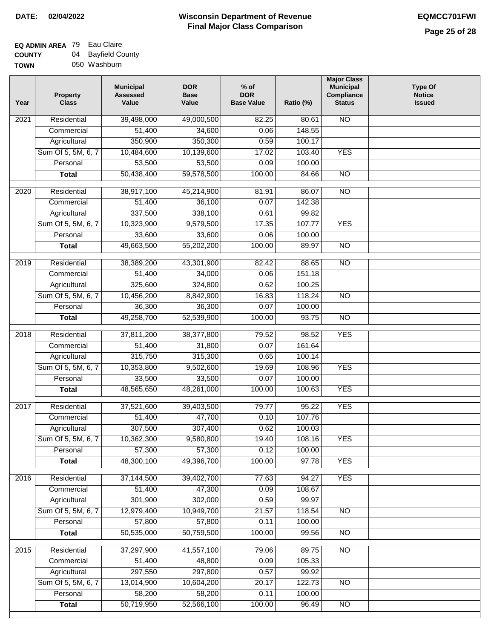#### **EQ ADMIN AREA** 79 Eau Claire **COUNTY** 04 Bayfield County

**TOWN** 050 Washburn

| Year | <b>Property</b><br><b>Class</b> | <b>Municipal</b><br><b>Assessed</b><br>Value | <b>DOR</b><br><b>Base</b><br>Value | $%$ of<br><b>DOR</b><br><b>Base Value</b> | Ratio (%) | <b>Major Class</b><br><b>Municipal</b><br>Compliance<br><b>Status</b> | <b>Type Of</b><br><b>Notice</b><br><b>Issued</b> |
|------|---------------------------------|----------------------------------------------|------------------------------------|-------------------------------------------|-----------|-----------------------------------------------------------------------|--------------------------------------------------|
| 2021 | Residential                     | 39,498,000                                   | 49,000,500                         | 82.25                                     | 80.61     | <b>NO</b>                                                             |                                                  |
|      | Commercial                      | 51,400                                       | 34,600                             | 0.06                                      | 148.55    |                                                                       |                                                  |
|      | Agricultural                    | 350,900                                      | 350,300                            | 0.59                                      | 100.17    |                                                                       |                                                  |
|      | Sum Of 5, 5M, 6, 7              | 10,484,600                                   | 10,139,600                         | 17.02                                     | 103.40    | <b>YES</b>                                                            |                                                  |
|      | Personal                        | 53,500                                       | 53,500                             | 0.09                                      | 100.00    |                                                                       |                                                  |
|      | <b>Total</b>                    | 50,438,400                                   | 59,578,500                         | 100.00                                    | 84.66     | $\overline{NO}$                                                       |                                                  |
| 2020 | Residential                     | 38,917,100                                   | 45,214,900                         | 81.91                                     | 86.07     | $\overline{NO}$                                                       |                                                  |
|      | Commercial                      | 51,400                                       | 36,100                             | 0.07                                      | 142.38    |                                                                       |                                                  |
|      | Agricultural                    | 337,500                                      | 338,100                            | 0.61                                      | 99.82     |                                                                       |                                                  |
|      | Sum Of 5, 5M, 6, 7              | 10,323,900                                   | 9,579,500                          | 17.35                                     | 107.77    | <b>YES</b>                                                            |                                                  |
|      | Personal                        | 33,600                                       | 33,600                             | 0.06                                      | 100.00    |                                                                       |                                                  |
|      | <b>Total</b>                    | 49,663,500                                   | 55,202,200                         | 100.00                                    | 89.97     | $\overline{NO}$                                                       |                                                  |
| 2019 | Residential                     | 38,389,200                                   | 43,301,900                         | 82.42                                     | 88.65     | $\overline{NO}$                                                       |                                                  |
|      | Commercial                      | 51,400                                       | 34,000                             | 0.06                                      | 151.18    |                                                                       |                                                  |
|      | Agricultural                    | 325,600                                      | 324,800                            | 0.62                                      | 100.25    |                                                                       |                                                  |
|      | Sum Of 5, 5M, 6, 7              | 10,456,200                                   | 8,842,900                          | 16.83                                     | 118.24    | $\overline{NO}$                                                       |                                                  |
|      | Personal                        | 36,300                                       | 36,300                             | 0.07                                      | 100.00    |                                                                       |                                                  |
|      | <b>Total</b>                    | 49,258,700                                   | 52,539,900                         | 100.00                                    | 93.75     | $\overline{NO}$                                                       |                                                  |
|      |                                 |                                              |                                    |                                           |           |                                                                       |                                                  |
| 2018 | Residential                     | 37,811,200                                   | 38,377,800                         | 79.52                                     | 98.52     | <b>YES</b>                                                            |                                                  |
|      | Commercial                      | 51,400                                       | 31,800                             | 0.07                                      | 161.64    |                                                                       |                                                  |
|      | Agricultural                    | 315,750                                      | 315,300                            | 0.65                                      | 100.14    |                                                                       |                                                  |
|      | Sum Of 5, 5M, 6, 7              | 10,353,800                                   | 9,502,600                          | 19.69                                     | 108.96    | <b>YES</b>                                                            |                                                  |
|      | Personal                        | 33,500                                       | 33,500                             | 0.07                                      | 100.00    |                                                                       |                                                  |
|      | <b>Total</b>                    | 48,565,650                                   | 48,261,000                         | 100.00                                    | 100.63    | <b>YES</b>                                                            |                                                  |
| 2017 | Residential                     | 37,521,600                                   | 39,403,500                         | 79.77                                     | 95.22     | <b>YES</b>                                                            |                                                  |
|      | Commercial                      | $\overline{51,400}$                          | 47,700                             | 0.10                                      | 107.76    |                                                                       |                                                  |
|      | Agricultural                    | 307,500                                      | 307,400                            | 0.62                                      | 100.03    |                                                                       |                                                  |
|      | Sum Of 5, 5M, 6, 7              | 10,362,300                                   | 9,580,800                          | 19.40                                     | 108.16    | <b>YES</b>                                                            |                                                  |
|      | Personal                        | 57,300                                       | 57,300                             | 0.12                                      | 100.00    |                                                                       |                                                  |
|      | <b>Total</b>                    | 48,300,100                                   | 49,396,700                         | 100.00                                    | 97.78     | <b>YES</b>                                                            |                                                  |
| 2016 | Residential                     | 37,144,500                                   | 39,402,700                         | 77.63                                     | 94.27     | <b>YES</b>                                                            |                                                  |
|      | Commercial                      | 51,400                                       | 47,300                             | 0.09                                      | 108.67    |                                                                       |                                                  |
|      | Agricultural                    | 301,900                                      | 302,000                            | 0.59                                      | 99.97     |                                                                       |                                                  |
|      | Sum Of 5, 5M, 6, 7              | 12,979,400                                   | 10,949,700                         | 21.57                                     | 118.54    | N <sub>O</sub>                                                        |                                                  |
|      | Personal                        | 57,800                                       | 57,800                             | 0.11                                      | 100.00    |                                                                       |                                                  |
|      | <b>Total</b>                    | 50,535,000                                   | 50,759,500                         | 100.00                                    | 99.56     | N <sub>O</sub>                                                        |                                                  |
|      |                                 |                                              |                                    |                                           |           |                                                                       |                                                  |
| 2015 | Residential                     | 37,297,900                                   | 41,557,100                         | 79.06                                     | 89.75     | $\overline{NO}$                                                       |                                                  |
|      | Commercial                      | 51,400                                       | 48,800                             | 0.09                                      | 105.33    |                                                                       |                                                  |
|      | Agricultural                    | 297,550                                      | 297,800                            | 0.57                                      | 99.92     |                                                                       |                                                  |
|      | Sum Of 5, 5M, 6, 7              | 13,014,900                                   | 10,604,200                         | 20.17                                     | 122.73    | <b>NO</b>                                                             |                                                  |
|      | Personal                        | 58,200<br>50,719,950                         | 58,200                             | 0.11<br>100.00                            | 100.00    |                                                                       |                                                  |
|      | <b>Total</b>                    |                                              | 52,566,100                         |                                           | 96.49     | NO                                                                    |                                                  |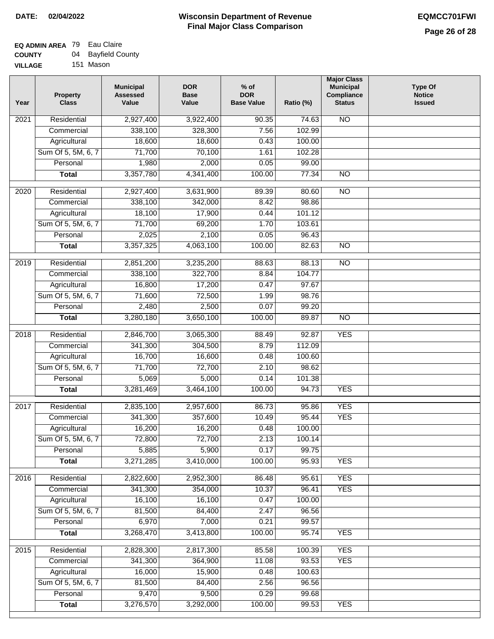| <b>UUUNII</b>  | ◡᠇ | Duynolu Ooc |
|----------------|----|-------------|
| <b>VILLAGE</b> |    | 151 Mason   |

| Year             | <b>Property</b><br><b>Class</b> | <b>Municipal</b><br><b>Assessed</b><br>Value | <b>DOR</b><br><b>Base</b><br>Value | $%$ of<br><b>DOR</b><br><b>Base Value</b> | Ratio (%) | <b>Major Class</b><br><b>Municipal</b><br>Compliance<br><b>Status</b> | <b>Type Of</b><br><b>Notice</b><br><b>Issued</b> |
|------------------|---------------------------------|----------------------------------------------|------------------------------------|-------------------------------------------|-----------|-----------------------------------------------------------------------|--------------------------------------------------|
| 2021             | Residential                     | 2,927,400                                    | 3,922,400                          | 90.35                                     | 74.63     | <b>NO</b>                                                             |                                                  |
|                  | Commercial                      | 338,100                                      | 328,300                            | 7.56                                      | 102.99    |                                                                       |                                                  |
|                  | Agricultural                    | 18,600                                       | 18,600                             | 0.43                                      | 100.00    |                                                                       |                                                  |
|                  | Sum Of 5, 5M, 6, 7              | 71,700                                       | 70,100                             | 1.61                                      | 102.28    |                                                                       |                                                  |
|                  | Personal                        | 1,980                                        | 2,000                              | 0.05                                      | 99.00     |                                                                       |                                                  |
|                  | <b>Total</b>                    | 3,357,780                                    | 4,341,400                          | 100.00                                    | 77.34     | $\overline{NO}$                                                       |                                                  |
| $\frac{1}{2020}$ | Residential                     | 2,927,400                                    | 3,631,900                          | 89.39                                     | 80.60     | NO                                                                    |                                                  |
|                  | Commercial                      | 338,100                                      | 342,000                            | 8.42                                      | 98.86     |                                                                       |                                                  |
|                  | Agricultural                    | 18,100                                       | 17,900                             | 0.44                                      | 101.12    |                                                                       |                                                  |
|                  | Sum Of 5, 5M, 6, 7              | 71,700                                       | 69,200                             | 1.70                                      | 103.61    |                                                                       |                                                  |
|                  | Personal                        | 2,025                                        | 2,100                              | 0.05                                      | 96.43     |                                                                       |                                                  |
|                  | <b>Total</b>                    | 3,357,325                                    | 4,063,100                          | 100.00                                    | 82.63     | <b>NO</b>                                                             |                                                  |
| $\frac{1}{2019}$ | Residential                     | 2,851,200                                    |                                    | 88.63                                     | 88.13     | $\overline{NO}$                                                       |                                                  |
|                  | Commercial                      | 338,100                                      | 3,235,200<br>322,700               | 8.84                                      | 104.77    |                                                                       |                                                  |
|                  | Agricultural                    | 16,800                                       | 17,200                             | 0.47                                      | 97.67     |                                                                       |                                                  |
|                  | Sum Of 5, 5M, 6, 7              | 71,600                                       | 72,500                             | 1.99                                      | 98.76     |                                                                       |                                                  |
|                  | Personal                        | 2,480                                        | 2,500                              | 0.07                                      | 99.20     |                                                                       |                                                  |
|                  |                                 | 3,280,180                                    | 3,650,100                          | 100.00                                    | 89.87     | $\overline{NO}$                                                       |                                                  |
|                  | <b>Total</b>                    |                                              |                                    |                                           |           |                                                                       |                                                  |
| 2018             | Residential                     | 2,846,700                                    | 3,065,300                          | 88.49                                     | 92.87     | <b>YES</b>                                                            |                                                  |
|                  | Commercial                      | 341,300                                      | 304,500                            | 8.79                                      | 112.09    |                                                                       |                                                  |
|                  | Agricultural                    | 16,700                                       | 16,600                             | 0.48                                      | 100.60    |                                                                       |                                                  |
|                  | Sum Of 5, 5M, 6, 7              | 71,700                                       | 72,700                             | 2.10                                      | 98.62     |                                                                       |                                                  |
|                  | Personal                        | 5,069                                        | 5,000                              | 0.14                                      | 101.38    |                                                                       |                                                  |
|                  | <b>Total</b>                    | 3,281,469                                    | 3,464,100                          | 100.00                                    | 94.73     | <b>YES</b>                                                            |                                                  |
| 2017             | Residential                     | 2,835,100                                    | 2,957,600                          | 86.73                                     | 95.86     | <b>YES</b>                                                            |                                                  |
|                  | Commercial                      | 341,300                                      | 357,600                            | 10.49                                     | 95.44     | <b>YES</b>                                                            |                                                  |
|                  | Agricultural                    | 16,200                                       | 16,200                             | 0.48                                      | 100.00    |                                                                       |                                                  |
|                  | Sum Of 5, 5M, 6, 7              | 72,800                                       | 72,700                             | 2.13                                      | 100.14    |                                                                       |                                                  |
|                  | Personal                        | 5,885                                        | 5,900                              | 0.17                                      | 99.75     |                                                                       |                                                  |
|                  | <b>Total</b>                    | 3,271,285                                    | 3,410,000                          | 100.00                                    | 95.93     | <b>YES</b>                                                            |                                                  |
| 2016             | Residential                     | 2,822,600                                    | 2,952,300                          | 86.48                                     | 95.61     | <b>YES</b>                                                            |                                                  |
|                  | Commercial                      | 341,300                                      | 354,000                            | 10.37                                     | 96.41     | <b>YES</b>                                                            |                                                  |
|                  | Agricultural                    | 16,100                                       | 16,100                             | 0.47                                      | 100.00    |                                                                       |                                                  |
|                  | Sum Of 5, 5M, 6, 7              | 81,500                                       | 84,400                             | 2.47                                      | 96.56     |                                                                       |                                                  |
|                  | Personal                        | 6,970                                        | 7,000                              | 0.21                                      | 99.57     |                                                                       |                                                  |
|                  | <b>Total</b>                    | 3,268,470                                    | 3,413,800                          | 100.00                                    | 95.74     | <b>YES</b>                                                            |                                                  |
| 2015             | Residential                     | 2,828,300                                    | 2,817,300                          | 85.58                                     | 100.39    | <b>YES</b>                                                            |                                                  |
|                  | Commercial                      | 341,300                                      | 364,900                            | 11.08                                     | 93.53     | <b>YES</b>                                                            |                                                  |
|                  | Agricultural                    | 16,000                                       | 15,900                             | 0.48                                      | 100.63    |                                                                       |                                                  |
|                  | Sum Of 5, 5M, 6, 7              | 81,500                                       | 84,400                             | 2.56                                      | 96.56     |                                                                       |                                                  |
|                  | Personal                        | 9,470                                        | 9,500                              | 0.29                                      | 99.68     |                                                                       |                                                  |
|                  | <b>Total</b>                    | 3,276,570                                    | 3,292,000                          | 100.00                                    | 99.53     | <b>YES</b>                                                            |                                                  |
|                  |                                 |                                              |                                    |                                           |           |                                                                       |                                                  |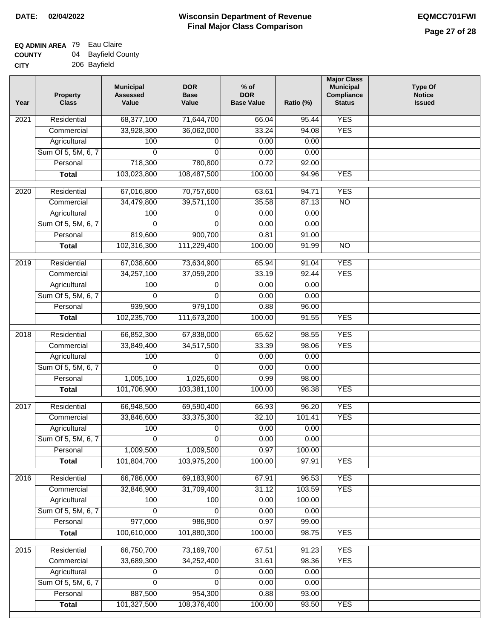| <b>UUUNII</b> | ◡᠇<br><b>Dayliging</b> Ool |
|---------------|----------------------------|
| <b>CITY</b>   | 206 Bayfield               |

| <b>YES</b><br>Residential<br>68,377,100<br>2021<br>71,644,700<br>66.04<br>95.44<br>33.24<br><b>YES</b><br>33,928,300<br>36,062,000<br>94.08<br>Commercial<br>Agricultural<br>0.00<br>0.00<br>100<br>0<br>Sum Of 5, 5M, 6, 7<br>0<br>0.00<br>0.00<br>0<br>Personal<br>718,300<br>780,800<br>0.72<br>92.00<br>103,023,800<br>108,487,500<br>100.00<br><b>YES</b><br><b>Total</b><br>94.96<br><b>YES</b><br>Residential<br>67,016,800<br>70,757,600<br>94.71<br>2020<br>63.61<br>35.58<br>$\overline{NO}$<br>Commercial<br>34,479,800<br>39,571,100<br>87.13<br>Agricultural<br>100<br>0.00<br>0.00<br>0<br>Sum Of 5, 5M, 6, 7<br>0.00<br>0.00<br>0<br>$\Omega$<br>Personal<br>819,600<br>900,700<br>0.81<br>91.00<br>102,316,300<br><b>Total</b><br>111,229,400<br>100.00<br>91.99<br>$\overline{NO}$<br><b>YES</b><br>$\frac{1}{2019}$<br>Residential<br>67,038,600<br>73,634,900<br>65.94<br>91.04<br>37,059,200<br><b>YES</b><br>34,257,100<br>33.19<br>92.44<br>Commercial<br>Agricultural<br>100<br>0.00<br>0.00<br>0<br>Sum Of 5, 5M, 6, 7<br>0<br>$\Omega$<br>0.00<br>0.00<br>939,900<br>979,100<br>0.88<br>96.00<br>Personal<br><b>YES</b><br>102,235,700<br>111,673,200<br>100.00<br>91.55<br><b>Total</b><br><b>YES</b><br>2018<br>Residential<br>66,852,300<br>67,838,000<br>65.62<br>98.55<br>33,849,400<br>33.39<br><b>YES</b><br>34,517,500<br>98.06<br>Commercial<br>0.00<br>100<br>0.00<br>Agricultural<br>0<br>Sum Of 5, 5M, 6, 7<br>0<br>0.00<br>$\Omega$<br>0.00<br>1,005,100<br>1,025,600<br>0.99<br>Personal<br>98.00<br>101,706,900<br><b>YES</b><br>103,381,100<br>100.00<br>98.38<br><b>Total</b><br>Residential<br>69,590,400<br>66.93<br>96.20<br><b>YES</b><br>2017<br>66,948,500<br><b>YES</b><br>33,846,600<br>33,375,300<br>32.10<br>101.41<br>Commercial<br>100<br>0.00<br>Agricultural<br>0.00<br>0<br>Sum Of 5, 5M, 6, 7<br>0<br>0<br>0.00<br>0.00<br>1,009,500<br>0.97<br>1,009,500<br>100.00<br>Personal<br>101,804,700<br>103,975,200<br>100.00<br><b>YES</b><br>97.91<br><b>Total</b><br><b>YES</b><br>Residential<br>66,786,000<br>69,183,900<br>67.91<br>96.53<br>2016<br>32,846,900<br>31,709,400<br><b>YES</b><br>Commercial<br>31.12<br>103.59<br>Agricultural<br>0.00<br>100.00<br>100<br>100<br>Sum Of 5, 5M, 6, 7<br>0.00<br>0.00<br>0<br>0<br>Personal<br>977,000<br>986,900<br>0.97<br>99.00<br>100,610,000<br><b>Total</b><br>101,880,300<br>100.00<br>98.75<br><b>YES</b><br>Residential<br>66,750,700<br>73,169,700<br><b>YES</b><br>2015<br>67.51<br>91.23<br><b>YES</b><br>33,689,300<br>34,252,400<br>31.61<br>98.36<br>Commercial<br>0.00<br>Agricultural<br>0.00<br>0<br>0<br>Sum Of 5, 5M, 6, 7<br>0.00<br>0<br>0<br>0.00<br>887,500<br>954,300<br>0.88<br>93.00<br>Personal<br>101,327,500<br>108,376,400<br>100.00<br><b>YES</b><br><b>Total</b><br>93.50 | Year | <b>Property</b><br><b>Class</b> | <b>Municipal</b><br><b>Assessed</b><br>Value | <b>DOR</b><br><b>Base</b><br>Value | $%$ of<br><b>DOR</b><br><b>Base Value</b> | Ratio (%) | <b>Major Class</b><br><b>Municipal</b><br>Compliance<br><b>Status</b> | <b>Type Of</b><br><b>Notice</b><br><b>Issued</b> |
|-------------------------------------------------------------------------------------------------------------------------------------------------------------------------------------------------------------------------------------------------------------------------------------------------------------------------------------------------------------------------------------------------------------------------------------------------------------------------------------------------------------------------------------------------------------------------------------------------------------------------------------------------------------------------------------------------------------------------------------------------------------------------------------------------------------------------------------------------------------------------------------------------------------------------------------------------------------------------------------------------------------------------------------------------------------------------------------------------------------------------------------------------------------------------------------------------------------------------------------------------------------------------------------------------------------------------------------------------------------------------------------------------------------------------------------------------------------------------------------------------------------------------------------------------------------------------------------------------------------------------------------------------------------------------------------------------------------------------------------------------------------------------------------------------------------------------------------------------------------------------------------------------------------------------------------------------------------------------------------------------------------------------------------------------------------------------------------------------------------------------------------------------------------------------------------------------------------------------------------------------------------------------------------------------------------------------------------------------------------------------------------------------------------------------------------------------------------------------------------------------------------------------------------------------------------------------------------------------------------------------------------------------------------------------------------------------------------------------------------------------------------------------------------------------------------------|------|---------------------------------|----------------------------------------------|------------------------------------|-------------------------------------------|-----------|-----------------------------------------------------------------------|--------------------------------------------------|
|                                                                                                                                                                                                                                                                                                                                                                                                                                                                                                                                                                                                                                                                                                                                                                                                                                                                                                                                                                                                                                                                                                                                                                                                                                                                                                                                                                                                                                                                                                                                                                                                                                                                                                                                                                                                                                                                                                                                                                                                                                                                                                                                                                                                                                                                                                                                                                                                                                                                                                                                                                                                                                                                                                                                                                                                                   |      |                                 |                                              |                                    |                                           |           |                                                                       |                                                  |
|                                                                                                                                                                                                                                                                                                                                                                                                                                                                                                                                                                                                                                                                                                                                                                                                                                                                                                                                                                                                                                                                                                                                                                                                                                                                                                                                                                                                                                                                                                                                                                                                                                                                                                                                                                                                                                                                                                                                                                                                                                                                                                                                                                                                                                                                                                                                                                                                                                                                                                                                                                                                                                                                                                                                                                                                                   |      |                                 |                                              |                                    |                                           |           |                                                                       |                                                  |
|                                                                                                                                                                                                                                                                                                                                                                                                                                                                                                                                                                                                                                                                                                                                                                                                                                                                                                                                                                                                                                                                                                                                                                                                                                                                                                                                                                                                                                                                                                                                                                                                                                                                                                                                                                                                                                                                                                                                                                                                                                                                                                                                                                                                                                                                                                                                                                                                                                                                                                                                                                                                                                                                                                                                                                                                                   |      |                                 |                                              |                                    |                                           |           |                                                                       |                                                  |
|                                                                                                                                                                                                                                                                                                                                                                                                                                                                                                                                                                                                                                                                                                                                                                                                                                                                                                                                                                                                                                                                                                                                                                                                                                                                                                                                                                                                                                                                                                                                                                                                                                                                                                                                                                                                                                                                                                                                                                                                                                                                                                                                                                                                                                                                                                                                                                                                                                                                                                                                                                                                                                                                                                                                                                                                                   |      |                                 |                                              |                                    |                                           |           |                                                                       |                                                  |
|                                                                                                                                                                                                                                                                                                                                                                                                                                                                                                                                                                                                                                                                                                                                                                                                                                                                                                                                                                                                                                                                                                                                                                                                                                                                                                                                                                                                                                                                                                                                                                                                                                                                                                                                                                                                                                                                                                                                                                                                                                                                                                                                                                                                                                                                                                                                                                                                                                                                                                                                                                                                                                                                                                                                                                                                                   |      |                                 |                                              |                                    |                                           |           |                                                                       |                                                  |
|                                                                                                                                                                                                                                                                                                                                                                                                                                                                                                                                                                                                                                                                                                                                                                                                                                                                                                                                                                                                                                                                                                                                                                                                                                                                                                                                                                                                                                                                                                                                                                                                                                                                                                                                                                                                                                                                                                                                                                                                                                                                                                                                                                                                                                                                                                                                                                                                                                                                                                                                                                                                                                                                                                                                                                                                                   |      |                                 |                                              |                                    |                                           |           |                                                                       |                                                  |
|                                                                                                                                                                                                                                                                                                                                                                                                                                                                                                                                                                                                                                                                                                                                                                                                                                                                                                                                                                                                                                                                                                                                                                                                                                                                                                                                                                                                                                                                                                                                                                                                                                                                                                                                                                                                                                                                                                                                                                                                                                                                                                                                                                                                                                                                                                                                                                                                                                                                                                                                                                                                                                                                                                                                                                                                                   |      |                                 |                                              |                                    |                                           |           |                                                                       |                                                  |
|                                                                                                                                                                                                                                                                                                                                                                                                                                                                                                                                                                                                                                                                                                                                                                                                                                                                                                                                                                                                                                                                                                                                                                                                                                                                                                                                                                                                                                                                                                                                                                                                                                                                                                                                                                                                                                                                                                                                                                                                                                                                                                                                                                                                                                                                                                                                                                                                                                                                                                                                                                                                                                                                                                                                                                                                                   |      |                                 |                                              |                                    |                                           |           |                                                                       |                                                  |
|                                                                                                                                                                                                                                                                                                                                                                                                                                                                                                                                                                                                                                                                                                                                                                                                                                                                                                                                                                                                                                                                                                                                                                                                                                                                                                                                                                                                                                                                                                                                                                                                                                                                                                                                                                                                                                                                                                                                                                                                                                                                                                                                                                                                                                                                                                                                                                                                                                                                                                                                                                                                                                                                                                                                                                                                                   |      |                                 |                                              |                                    |                                           |           |                                                                       |                                                  |
|                                                                                                                                                                                                                                                                                                                                                                                                                                                                                                                                                                                                                                                                                                                                                                                                                                                                                                                                                                                                                                                                                                                                                                                                                                                                                                                                                                                                                                                                                                                                                                                                                                                                                                                                                                                                                                                                                                                                                                                                                                                                                                                                                                                                                                                                                                                                                                                                                                                                                                                                                                                                                                                                                                                                                                                                                   |      |                                 |                                              |                                    |                                           |           |                                                                       |                                                  |
|                                                                                                                                                                                                                                                                                                                                                                                                                                                                                                                                                                                                                                                                                                                                                                                                                                                                                                                                                                                                                                                                                                                                                                                                                                                                                                                                                                                                                                                                                                                                                                                                                                                                                                                                                                                                                                                                                                                                                                                                                                                                                                                                                                                                                                                                                                                                                                                                                                                                                                                                                                                                                                                                                                                                                                                                                   |      |                                 |                                              |                                    |                                           |           |                                                                       |                                                  |
|                                                                                                                                                                                                                                                                                                                                                                                                                                                                                                                                                                                                                                                                                                                                                                                                                                                                                                                                                                                                                                                                                                                                                                                                                                                                                                                                                                                                                                                                                                                                                                                                                                                                                                                                                                                                                                                                                                                                                                                                                                                                                                                                                                                                                                                                                                                                                                                                                                                                                                                                                                                                                                                                                                                                                                                                                   |      |                                 |                                              |                                    |                                           |           |                                                                       |                                                  |
|                                                                                                                                                                                                                                                                                                                                                                                                                                                                                                                                                                                                                                                                                                                                                                                                                                                                                                                                                                                                                                                                                                                                                                                                                                                                                                                                                                                                                                                                                                                                                                                                                                                                                                                                                                                                                                                                                                                                                                                                                                                                                                                                                                                                                                                                                                                                                                                                                                                                                                                                                                                                                                                                                                                                                                                                                   |      |                                 |                                              |                                    |                                           |           |                                                                       |                                                  |
|                                                                                                                                                                                                                                                                                                                                                                                                                                                                                                                                                                                                                                                                                                                                                                                                                                                                                                                                                                                                                                                                                                                                                                                                                                                                                                                                                                                                                                                                                                                                                                                                                                                                                                                                                                                                                                                                                                                                                                                                                                                                                                                                                                                                                                                                                                                                                                                                                                                                                                                                                                                                                                                                                                                                                                                                                   |      |                                 |                                              |                                    |                                           |           |                                                                       |                                                  |
|                                                                                                                                                                                                                                                                                                                                                                                                                                                                                                                                                                                                                                                                                                                                                                                                                                                                                                                                                                                                                                                                                                                                                                                                                                                                                                                                                                                                                                                                                                                                                                                                                                                                                                                                                                                                                                                                                                                                                                                                                                                                                                                                                                                                                                                                                                                                                                                                                                                                                                                                                                                                                                                                                                                                                                                                                   |      |                                 |                                              |                                    |                                           |           |                                                                       |                                                  |
|                                                                                                                                                                                                                                                                                                                                                                                                                                                                                                                                                                                                                                                                                                                                                                                                                                                                                                                                                                                                                                                                                                                                                                                                                                                                                                                                                                                                                                                                                                                                                                                                                                                                                                                                                                                                                                                                                                                                                                                                                                                                                                                                                                                                                                                                                                                                                                                                                                                                                                                                                                                                                                                                                                                                                                                                                   |      |                                 |                                              |                                    |                                           |           |                                                                       |                                                  |
|                                                                                                                                                                                                                                                                                                                                                                                                                                                                                                                                                                                                                                                                                                                                                                                                                                                                                                                                                                                                                                                                                                                                                                                                                                                                                                                                                                                                                                                                                                                                                                                                                                                                                                                                                                                                                                                                                                                                                                                                                                                                                                                                                                                                                                                                                                                                                                                                                                                                                                                                                                                                                                                                                                                                                                                                                   |      |                                 |                                              |                                    |                                           |           |                                                                       |                                                  |
|                                                                                                                                                                                                                                                                                                                                                                                                                                                                                                                                                                                                                                                                                                                                                                                                                                                                                                                                                                                                                                                                                                                                                                                                                                                                                                                                                                                                                                                                                                                                                                                                                                                                                                                                                                                                                                                                                                                                                                                                                                                                                                                                                                                                                                                                                                                                                                                                                                                                                                                                                                                                                                                                                                                                                                                                                   |      |                                 |                                              |                                    |                                           |           |                                                                       |                                                  |
|                                                                                                                                                                                                                                                                                                                                                                                                                                                                                                                                                                                                                                                                                                                                                                                                                                                                                                                                                                                                                                                                                                                                                                                                                                                                                                                                                                                                                                                                                                                                                                                                                                                                                                                                                                                                                                                                                                                                                                                                                                                                                                                                                                                                                                                                                                                                                                                                                                                                                                                                                                                                                                                                                                                                                                                                                   |      |                                 |                                              |                                    |                                           |           |                                                                       |                                                  |
|                                                                                                                                                                                                                                                                                                                                                                                                                                                                                                                                                                                                                                                                                                                                                                                                                                                                                                                                                                                                                                                                                                                                                                                                                                                                                                                                                                                                                                                                                                                                                                                                                                                                                                                                                                                                                                                                                                                                                                                                                                                                                                                                                                                                                                                                                                                                                                                                                                                                                                                                                                                                                                                                                                                                                                                                                   |      |                                 |                                              |                                    |                                           |           |                                                                       |                                                  |
|                                                                                                                                                                                                                                                                                                                                                                                                                                                                                                                                                                                                                                                                                                                                                                                                                                                                                                                                                                                                                                                                                                                                                                                                                                                                                                                                                                                                                                                                                                                                                                                                                                                                                                                                                                                                                                                                                                                                                                                                                                                                                                                                                                                                                                                                                                                                                                                                                                                                                                                                                                                                                                                                                                                                                                                                                   |      |                                 |                                              |                                    |                                           |           |                                                                       |                                                  |
|                                                                                                                                                                                                                                                                                                                                                                                                                                                                                                                                                                                                                                                                                                                                                                                                                                                                                                                                                                                                                                                                                                                                                                                                                                                                                                                                                                                                                                                                                                                                                                                                                                                                                                                                                                                                                                                                                                                                                                                                                                                                                                                                                                                                                                                                                                                                                                                                                                                                                                                                                                                                                                                                                                                                                                                                                   |      |                                 |                                              |                                    |                                           |           |                                                                       |                                                  |
|                                                                                                                                                                                                                                                                                                                                                                                                                                                                                                                                                                                                                                                                                                                                                                                                                                                                                                                                                                                                                                                                                                                                                                                                                                                                                                                                                                                                                                                                                                                                                                                                                                                                                                                                                                                                                                                                                                                                                                                                                                                                                                                                                                                                                                                                                                                                                                                                                                                                                                                                                                                                                                                                                                                                                                                                                   |      |                                 |                                              |                                    |                                           |           |                                                                       |                                                  |
|                                                                                                                                                                                                                                                                                                                                                                                                                                                                                                                                                                                                                                                                                                                                                                                                                                                                                                                                                                                                                                                                                                                                                                                                                                                                                                                                                                                                                                                                                                                                                                                                                                                                                                                                                                                                                                                                                                                                                                                                                                                                                                                                                                                                                                                                                                                                                                                                                                                                                                                                                                                                                                                                                                                                                                                                                   |      |                                 |                                              |                                    |                                           |           |                                                                       |                                                  |
|                                                                                                                                                                                                                                                                                                                                                                                                                                                                                                                                                                                                                                                                                                                                                                                                                                                                                                                                                                                                                                                                                                                                                                                                                                                                                                                                                                                                                                                                                                                                                                                                                                                                                                                                                                                                                                                                                                                                                                                                                                                                                                                                                                                                                                                                                                                                                                                                                                                                                                                                                                                                                                                                                                                                                                                                                   |      |                                 |                                              |                                    |                                           |           |                                                                       |                                                  |
|                                                                                                                                                                                                                                                                                                                                                                                                                                                                                                                                                                                                                                                                                                                                                                                                                                                                                                                                                                                                                                                                                                                                                                                                                                                                                                                                                                                                                                                                                                                                                                                                                                                                                                                                                                                                                                                                                                                                                                                                                                                                                                                                                                                                                                                                                                                                                                                                                                                                                                                                                                                                                                                                                                                                                                                                                   |      |                                 |                                              |                                    |                                           |           |                                                                       |                                                  |
|                                                                                                                                                                                                                                                                                                                                                                                                                                                                                                                                                                                                                                                                                                                                                                                                                                                                                                                                                                                                                                                                                                                                                                                                                                                                                                                                                                                                                                                                                                                                                                                                                                                                                                                                                                                                                                                                                                                                                                                                                                                                                                                                                                                                                                                                                                                                                                                                                                                                                                                                                                                                                                                                                                                                                                                                                   |      |                                 |                                              |                                    |                                           |           |                                                                       |                                                  |
|                                                                                                                                                                                                                                                                                                                                                                                                                                                                                                                                                                                                                                                                                                                                                                                                                                                                                                                                                                                                                                                                                                                                                                                                                                                                                                                                                                                                                                                                                                                                                                                                                                                                                                                                                                                                                                                                                                                                                                                                                                                                                                                                                                                                                                                                                                                                                                                                                                                                                                                                                                                                                                                                                                                                                                                                                   |      |                                 |                                              |                                    |                                           |           |                                                                       |                                                  |
|                                                                                                                                                                                                                                                                                                                                                                                                                                                                                                                                                                                                                                                                                                                                                                                                                                                                                                                                                                                                                                                                                                                                                                                                                                                                                                                                                                                                                                                                                                                                                                                                                                                                                                                                                                                                                                                                                                                                                                                                                                                                                                                                                                                                                                                                                                                                                                                                                                                                                                                                                                                                                                                                                                                                                                                                                   |      |                                 |                                              |                                    |                                           |           |                                                                       |                                                  |
|                                                                                                                                                                                                                                                                                                                                                                                                                                                                                                                                                                                                                                                                                                                                                                                                                                                                                                                                                                                                                                                                                                                                                                                                                                                                                                                                                                                                                                                                                                                                                                                                                                                                                                                                                                                                                                                                                                                                                                                                                                                                                                                                                                                                                                                                                                                                                                                                                                                                                                                                                                                                                                                                                                                                                                                                                   |      |                                 |                                              |                                    |                                           |           |                                                                       |                                                  |
|                                                                                                                                                                                                                                                                                                                                                                                                                                                                                                                                                                                                                                                                                                                                                                                                                                                                                                                                                                                                                                                                                                                                                                                                                                                                                                                                                                                                                                                                                                                                                                                                                                                                                                                                                                                                                                                                                                                                                                                                                                                                                                                                                                                                                                                                                                                                                                                                                                                                                                                                                                                                                                                                                                                                                                                                                   |      |                                 |                                              |                                    |                                           |           |                                                                       |                                                  |
|                                                                                                                                                                                                                                                                                                                                                                                                                                                                                                                                                                                                                                                                                                                                                                                                                                                                                                                                                                                                                                                                                                                                                                                                                                                                                                                                                                                                                                                                                                                                                                                                                                                                                                                                                                                                                                                                                                                                                                                                                                                                                                                                                                                                                                                                                                                                                                                                                                                                                                                                                                                                                                                                                                                                                                                                                   |      |                                 |                                              |                                    |                                           |           |                                                                       |                                                  |
|                                                                                                                                                                                                                                                                                                                                                                                                                                                                                                                                                                                                                                                                                                                                                                                                                                                                                                                                                                                                                                                                                                                                                                                                                                                                                                                                                                                                                                                                                                                                                                                                                                                                                                                                                                                                                                                                                                                                                                                                                                                                                                                                                                                                                                                                                                                                                                                                                                                                                                                                                                                                                                                                                                                                                                                                                   |      |                                 |                                              |                                    |                                           |           |                                                                       |                                                  |
|                                                                                                                                                                                                                                                                                                                                                                                                                                                                                                                                                                                                                                                                                                                                                                                                                                                                                                                                                                                                                                                                                                                                                                                                                                                                                                                                                                                                                                                                                                                                                                                                                                                                                                                                                                                                                                                                                                                                                                                                                                                                                                                                                                                                                                                                                                                                                                                                                                                                                                                                                                                                                                                                                                                                                                                                                   |      |                                 |                                              |                                    |                                           |           |                                                                       |                                                  |
|                                                                                                                                                                                                                                                                                                                                                                                                                                                                                                                                                                                                                                                                                                                                                                                                                                                                                                                                                                                                                                                                                                                                                                                                                                                                                                                                                                                                                                                                                                                                                                                                                                                                                                                                                                                                                                                                                                                                                                                                                                                                                                                                                                                                                                                                                                                                                                                                                                                                                                                                                                                                                                                                                                                                                                                                                   |      |                                 |                                              |                                    |                                           |           |                                                                       |                                                  |
|                                                                                                                                                                                                                                                                                                                                                                                                                                                                                                                                                                                                                                                                                                                                                                                                                                                                                                                                                                                                                                                                                                                                                                                                                                                                                                                                                                                                                                                                                                                                                                                                                                                                                                                                                                                                                                                                                                                                                                                                                                                                                                                                                                                                                                                                                                                                                                                                                                                                                                                                                                                                                                                                                                                                                                                                                   |      |                                 |                                              |                                    |                                           |           |                                                                       |                                                  |
|                                                                                                                                                                                                                                                                                                                                                                                                                                                                                                                                                                                                                                                                                                                                                                                                                                                                                                                                                                                                                                                                                                                                                                                                                                                                                                                                                                                                                                                                                                                                                                                                                                                                                                                                                                                                                                                                                                                                                                                                                                                                                                                                                                                                                                                                                                                                                                                                                                                                                                                                                                                                                                                                                                                                                                                                                   |      |                                 |                                              |                                    |                                           |           |                                                                       |                                                  |
|                                                                                                                                                                                                                                                                                                                                                                                                                                                                                                                                                                                                                                                                                                                                                                                                                                                                                                                                                                                                                                                                                                                                                                                                                                                                                                                                                                                                                                                                                                                                                                                                                                                                                                                                                                                                                                                                                                                                                                                                                                                                                                                                                                                                                                                                                                                                                                                                                                                                                                                                                                                                                                                                                                                                                                                                                   |      |                                 |                                              |                                    |                                           |           |                                                                       |                                                  |
|                                                                                                                                                                                                                                                                                                                                                                                                                                                                                                                                                                                                                                                                                                                                                                                                                                                                                                                                                                                                                                                                                                                                                                                                                                                                                                                                                                                                                                                                                                                                                                                                                                                                                                                                                                                                                                                                                                                                                                                                                                                                                                                                                                                                                                                                                                                                                                                                                                                                                                                                                                                                                                                                                                                                                                                                                   |      |                                 |                                              |                                    |                                           |           |                                                                       |                                                  |
|                                                                                                                                                                                                                                                                                                                                                                                                                                                                                                                                                                                                                                                                                                                                                                                                                                                                                                                                                                                                                                                                                                                                                                                                                                                                                                                                                                                                                                                                                                                                                                                                                                                                                                                                                                                                                                                                                                                                                                                                                                                                                                                                                                                                                                                                                                                                                                                                                                                                                                                                                                                                                                                                                                                                                                                                                   |      |                                 |                                              |                                    |                                           |           |                                                                       |                                                  |
|                                                                                                                                                                                                                                                                                                                                                                                                                                                                                                                                                                                                                                                                                                                                                                                                                                                                                                                                                                                                                                                                                                                                                                                                                                                                                                                                                                                                                                                                                                                                                                                                                                                                                                                                                                                                                                                                                                                                                                                                                                                                                                                                                                                                                                                                                                                                                                                                                                                                                                                                                                                                                                                                                                                                                                                                                   |      |                                 |                                              |                                    |                                           |           |                                                                       |                                                  |
|                                                                                                                                                                                                                                                                                                                                                                                                                                                                                                                                                                                                                                                                                                                                                                                                                                                                                                                                                                                                                                                                                                                                                                                                                                                                                                                                                                                                                                                                                                                                                                                                                                                                                                                                                                                                                                                                                                                                                                                                                                                                                                                                                                                                                                                                                                                                                                                                                                                                                                                                                                                                                                                                                                                                                                                                                   |      |                                 |                                              |                                    |                                           |           |                                                                       |                                                  |
|                                                                                                                                                                                                                                                                                                                                                                                                                                                                                                                                                                                                                                                                                                                                                                                                                                                                                                                                                                                                                                                                                                                                                                                                                                                                                                                                                                                                                                                                                                                                                                                                                                                                                                                                                                                                                                                                                                                                                                                                                                                                                                                                                                                                                                                                                                                                                                                                                                                                                                                                                                                                                                                                                                                                                                                                                   |      |                                 |                                              |                                    |                                           |           |                                                                       |                                                  |
|                                                                                                                                                                                                                                                                                                                                                                                                                                                                                                                                                                                                                                                                                                                                                                                                                                                                                                                                                                                                                                                                                                                                                                                                                                                                                                                                                                                                                                                                                                                                                                                                                                                                                                                                                                                                                                                                                                                                                                                                                                                                                                                                                                                                                                                                                                                                                                                                                                                                                                                                                                                                                                                                                                                                                                                                                   |      |                                 |                                              |                                    |                                           |           |                                                                       |                                                  |